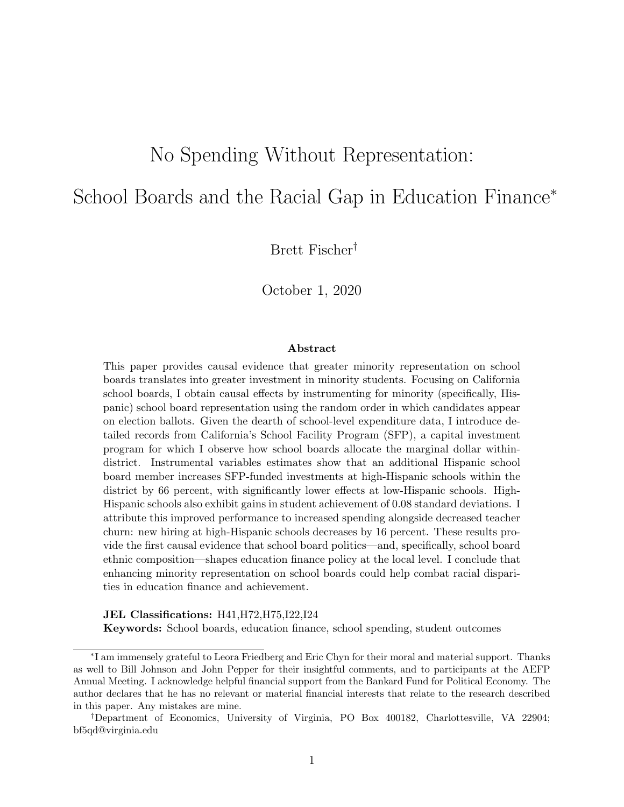# No Spending Without Representation:

# School Boards and the Racial Gap in Education Finance<sup>∗</sup>

Brett Fischer†

October 1, 2020

#### Abstract

This paper provides causal evidence that greater minority representation on school boards translates into greater investment in minority students. Focusing on California school boards, I obtain causal effects by instrumenting for minority (specifically, Hispanic) school board representation using the random order in which candidates appear on election ballots. Given the dearth of school-level expenditure data, I introduce detailed records from California's School Facility Program (SFP), a capital investment program for which I observe how school boards allocate the marginal dollar withindistrict. Instrumental variables estimates show that an additional Hispanic school board member increases SFP-funded investments at high-Hispanic schools within the district by 66 percent, with significantly lower effects at low-Hispanic schools. High-Hispanic schools also exhibit gains in student achievement of 0.08 standard deviations. I attribute this improved performance to increased spending alongside decreased teacher churn: new hiring at high-Hispanic schools decreases by 16 percent. These results provide the first causal evidence that school board politics—and, specifically, school board ethnic composition—shapes education finance policy at the local level. I conclude that enhancing minority representation on school boards could help combat racial disparities in education finance and achievement.

#### JEL Classifications: H41,H72,H75,I22,I24

Keywords: School boards, education finance, school spending, student outcomes

<sup>∗</sup> I am immensely grateful to Leora Friedberg and Eric Chyn for their moral and material support. Thanks as well to Bill Johnson and John Pepper for their insightful comments, and to participants at the AEFP Annual Meeting. I acknowledge helpful financial support from the Bankard Fund for Political Economy. The author declares that he has no relevant or material financial interests that relate to the research described in this paper. Any mistakes are mine.

<sup>†</sup>Department of Economics, University of Virginia, PO Box 400182, Charlottesville, VA 22904; [bf5qd@virginia.edu](mailto:bf5qd@virginia.edu)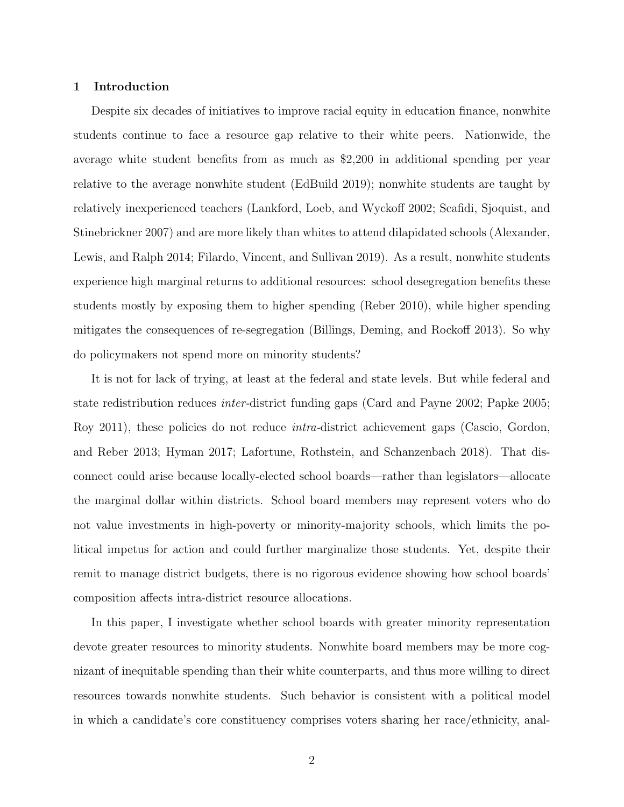# 1 Introduction

Despite six decades of initiatives to improve racial equity in education finance, nonwhite students continue to face a resource gap relative to their white peers. Nationwide, the average white student benefits from as much as \$2,200 in additional spending per year relative to the average nonwhite student (EdBuild 2019); nonwhite students are taught by relatively inexperienced teachers (Lankford, Loeb, and Wyckoff 2002; Scafidi, Sjoquist, and Stinebrickner 2007) and are more likely than whites to attend dilapidated schools (Alexander, Lewis, and Ralph 2014; Filardo, Vincent, and Sullivan 2019). As a result, nonwhite students experience high marginal returns to additional resources: school desegregation benefits these students mostly by exposing them to higher spending (Reber 2010), while higher spending mitigates the consequences of re-segregation (Billings, Deming, and Rockoff 2013). So why do policymakers not spend more on minority students?

It is not for lack of trying, at least at the federal and state levels. But while federal and state redistribution reduces inter-district funding gaps (Card and Payne 2002; Papke 2005; Roy 2011), these policies do not reduce intra-district achievement gaps (Cascio, Gordon, and Reber 2013; Hyman 2017; Lafortune, Rothstein, and Schanzenbach 2018). That disconnect could arise because locally-elected school boards—rather than legislators—allocate the marginal dollar within districts. School board members may represent voters who do not value investments in high-poverty or minority-majority schools, which limits the political impetus for action and could further marginalize those students. Yet, despite their remit to manage district budgets, there is no rigorous evidence showing how school boards' composition affects intra-district resource allocations.

In this paper, I investigate whether school boards with greater minority representation devote greater resources to minority students. Nonwhite board members may be more cognizant of inequitable spending than their white counterparts, and thus more willing to direct resources towards nonwhite students. Such behavior is consistent with a political model in which a candidate's core constituency comprises voters sharing her race/ethnicity, anal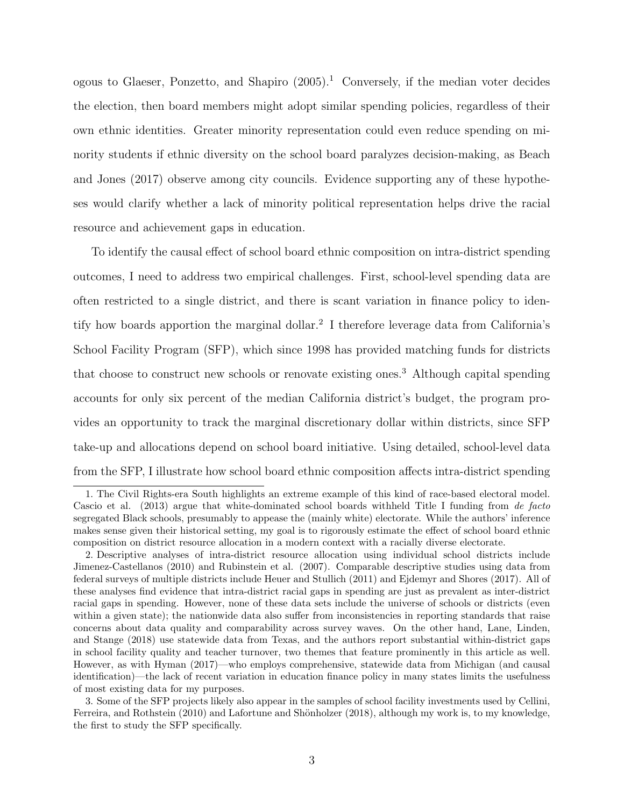ogous to Glaeser, Ponzetto, and Shapiro  $(2005)^{1}$  Conversely, if the median voter decides the election, then board members might adopt similar spending policies, regardless of their own ethnic identities. Greater minority representation could even reduce spending on minority students if ethnic diversity on the school board paralyzes decision-making, as Beach and Jones (2017) observe among city councils. Evidence supporting any of these hypotheses would clarify whether a lack of minority political representation helps drive the racial resource and achievement gaps in education.

To identify the causal effect of school board ethnic composition on intra-district spending outcomes, I need to address two empirical challenges. First, school-level spending data are often restricted to a single district, and there is scant variation in finance policy to identify how boards apportion the marginal dollar.<sup>2</sup> I therefore leverage data from California's School Facility Program (SFP), which since 1998 has provided matching funds for districts that choose to construct new schools or renovate existing ones.<sup>3</sup> Although capital spending accounts for only six percent of the median California district's budget, the program provides an opportunity to track the marginal discretionary dollar within districts, since SFP take-up and allocations depend on school board initiative. Using detailed, school-level data from the SFP, I illustrate how school board ethnic composition affects intra-district spending

<sup>1.</sup> The Civil Rights-era South highlights an extreme example of this kind of race-based electoral model. Cascio et al. (2013) argue that white-dominated school boards withheld Title I funding from de facto segregated Black schools, presumably to appease the (mainly white) electorate. While the authors' inference makes sense given their historical setting, my goal is to rigorously estimate the effect of school board ethnic composition on district resource allocation in a modern context with a racially diverse electorate.

<sup>2.</sup> Descriptive analyses of intra-district resource allocation using individual school districts include Jimenez-Castellanos (2010) and Rubinstein et al. (2007). Comparable descriptive studies using data from federal surveys of multiple districts include Heuer and Stullich (2011) and Ejdemyr and Shores (2017). All of these analyses find evidence that intra-district racial gaps in spending are just as prevalent as inter-district racial gaps in spending. However, none of these data sets include the universe of schools or districts (even within a given state); the nationwide data also suffer from inconsistencies in reporting standards that raise concerns about data quality and comparability across survey waves. On the other hand, Lane, Linden, and Stange (2018) use statewide data from Texas, and the authors report substantial within-district gaps in school facility quality and teacher turnover, two themes that feature prominently in this article as well. However, as with Hyman (2017)—who employs comprehensive, statewide data from Michigan (and causal identification)—the lack of recent variation in education finance policy in many states limits the usefulness of most existing data for my purposes.

<sup>3.</sup> Some of the SFP projects likely also appear in the samples of school facility investments used by Cellini, Ferreira, and Rothstein (2010) and Lafortune and Shönholzer (2018), although my work is, to my knowledge, the first to study the SFP specifically.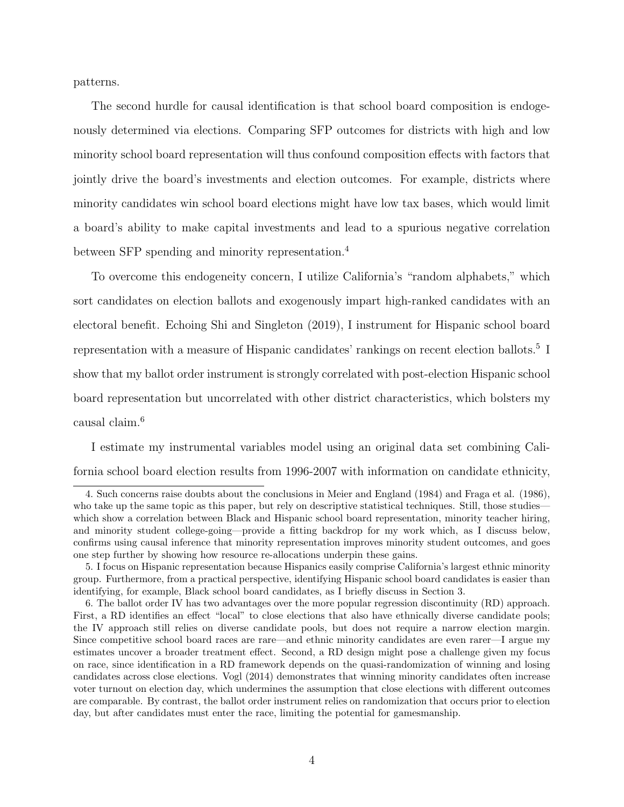patterns.

The second hurdle for causal identification is that school board composition is endogenously determined via elections. Comparing SFP outcomes for districts with high and low minority school board representation will thus confound composition effects with factors that jointly drive the board's investments and election outcomes. For example, districts where minority candidates win school board elections might have low tax bases, which would limit a board's ability to make capital investments and lead to a spurious negative correlation between SFP spending and minority representation.<sup>4</sup>

To overcome this endogeneity concern, I utilize California's "random alphabets," which sort candidates on election ballots and exogenously impart high-ranked candidates with an electoral benefit. Echoing Shi and Singleton (2019), I instrument for Hispanic school board representation with a measure of Hispanic candidates' rankings on recent election ballots.<sup>5</sup> I show that my ballot order instrument is strongly correlated with post-election Hispanic school board representation but uncorrelated with other district characteristics, which bolsters my causal claim.<sup>6</sup>

I estimate my instrumental variables model using an original data set combining California school board election results from 1996-2007 with information on candidate ethnicity,

<sup>4.</sup> Such concerns raise doubts about the conclusions in Meier and England (1984) and Fraga et al. (1986), who take up the same topic as this paper, but rely on descriptive statistical techniques. Still, those studies which show a correlation between Black and Hispanic school board representation, minority teacher hiring, and minority student college-going—provide a fitting backdrop for my work which, as I discuss below, confirms using causal inference that minority representation improves minority student outcomes, and goes one step further by showing how resource re-allocations underpin these gains.

<sup>5.</sup> I focus on Hispanic representation because Hispanics easily comprise California's largest ethnic minority group. Furthermore, from a practical perspective, identifying Hispanic school board candidates is easier than identifying, for example, Black school board candidates, as I briefly discuss in Section 3.

<sup>6.</sup> The ballot order IV has two advantages over the more popular regression discontinuity (RD) approach. First, a RD identifies an effect "local" to close elections that also have ethnically diverse candidate pools; the IV approach still relies on diverse candidate pools, but does not require a narrow election margin. Since competitive school board races are rare—and ethnic minority candidates are even rarer—I argue my estimates uncover a broader treatment effect. Second, a RD design might pose a challenge given my focus on race, since identification in a RD framework depends on the quasi-randomization of winning and losing candidates across close elections. Vogl (2014) demonstrates that winning minority candidates often increase voter turnout on election day, which undermines the assumption that close elections with different outcomes are comparable. By contrast, the ballot order instrument relies on randomization that occurs prior to election day, but after candidates must enter the race, limiting the potential for gamesmanship.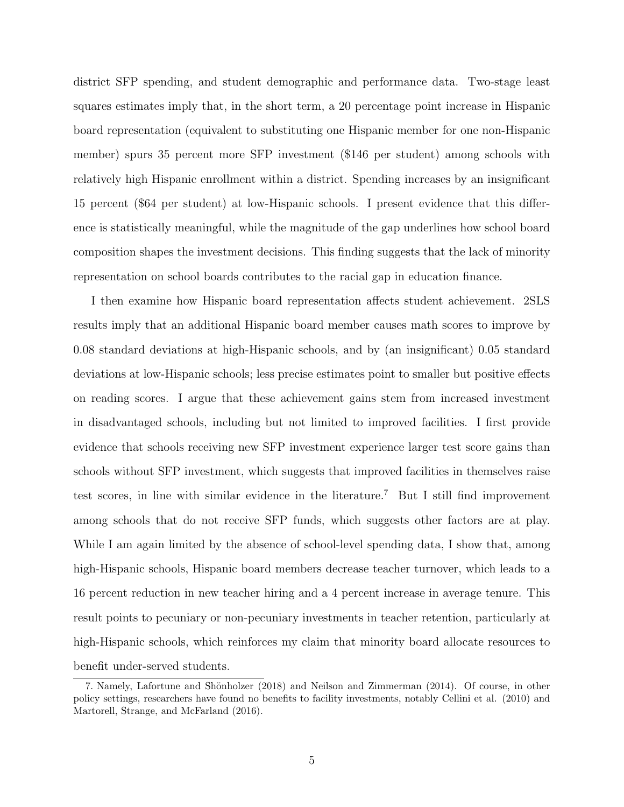district SFP spending, and student demographic and performance data. Two-stage least squares estimates imply that, in the short term, a 20 percentage point increase in Hispanic board representation (equivalent to substituting one Hispanic member for one non-Hispanic member) spurs 35 percent more SFP investment (\$146 per student) among schools with relatively high Hispanic enrollment within a district. Spending increases by an insignificant 15 percent (\$64 per student) at low-Hispanic schools. I present evidence that this difference is statistically meaningful, while the magnitude of the gap underlines how school board composition shapes the investment decisions. This finding suggests that the lack of minority representation on school boards contributes to the racial gap in education finance.

I then examine how Hispanic board representation affects student achievement. 2SLS results imply that an additional Hispanic board member causes math scores to improve by 0.08 standard deviations at high-Hispanic schools, and by (an insignificant) 0.05 standard deviations at low-Hispanic schools; less precise estimates point to smaller but positive effects on reading scores. I argue that these achievement gains stem from increased investment in disadvantaged schools, including but not limited to improved facilities. I first provide evidence that schools receiving new SFP investment experience larger test score gains than schools without SFP investment, which suggests that improved facilities in themselves raise test scores, in line with similar evidence in the literature.<sup>7</sup> But I still find improvement among schools that do not receive SFP funds, which suggests other factors are at play. While I am again limited by the absence of school-level spending data, I show that, among high-Hispanic schools, Hispanic board members decrease teacher turnover, which leads to a 16 percent reduction in new teacher hiring and a 4 percent increase in average tenure. This result points to pecuniary or non-pecuniary investments in teacher retention, particularly at high-Hispanic schools, which reinforces my claim that minority board allocate resources to benefit under-served students.

<sup>7.</sup> Namely, Lafortune and Shönholzer (2018) and Neilson and Zimmerman (2014). Of course, in other policy settings, researchers have found no benefits to facility investments, notably Cellini et al. (2010) and Martorell, Strange, and McFarland (2016).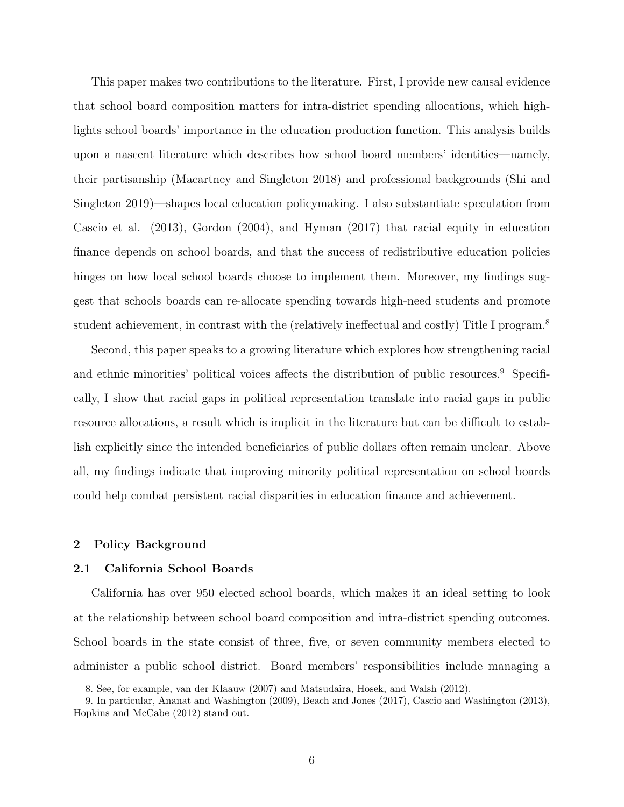This paper makes two contributions to the literature. First, I provide new causal evidence that school board composition matters for intra-district spending allocations, which highlights school boards' importance in the education production function. This analysis builds upon a nascent literature which describes how school board members' identities—namely, their partisanship (Macartney and Singleton 2018) and professional backgrounds (Shi and Singleton 2019)—shapes local education policymaking. I also substantiate speculation from Cascio et al. (2013), Gordon (2004), and Hyman (2017) that racial equity in education finance depends on school boards, and that the success of redistributive education policies hinges on how local school boards choose to implement them. Moreover, my findings suggest that schools boards can re-allocate spending towards high-need students and promote student achievement, in contrast with the (relatively ineffectual and costly) Title I program.<sup>8</sup>

Second, this paper speaks to a growing literature which explores how strengthening racial and ethnic minorities' political voices affects the distribution of public resources.<sup>9</sup> Specifically, I show that racial gaps in political representation translate into racial gaps in public resource allocations, a result which is implicit in the literature but can be difficult to establish explicitly since the intended beneficiaries of public dollars often remain unclear. Above all, my findings indicate that improving minority political representation on school boards could help combat persistent racial disparities in education finance and achievement.

# 2 Policy Background

### 2.1 California School Boards

California has over 950 elected school boards, which makes it an ideal setting to look at the relationship between school board composition and intra-district spending outcomes. School boards in the state consist of three, five, or seven community members elected to administer a public school district. Board members' responsibilities include managing a

<sup>8.</sup> See, for example, van der Klaauw (2007) and Matsudaira, Hosek, and Walsh (2012).

<sup>9.</sup> In particular, Ananat and Washington (2009), Beach and Jones (2017), Cascio and Washington (2013), Hopkins and McCabe (2012) stand out.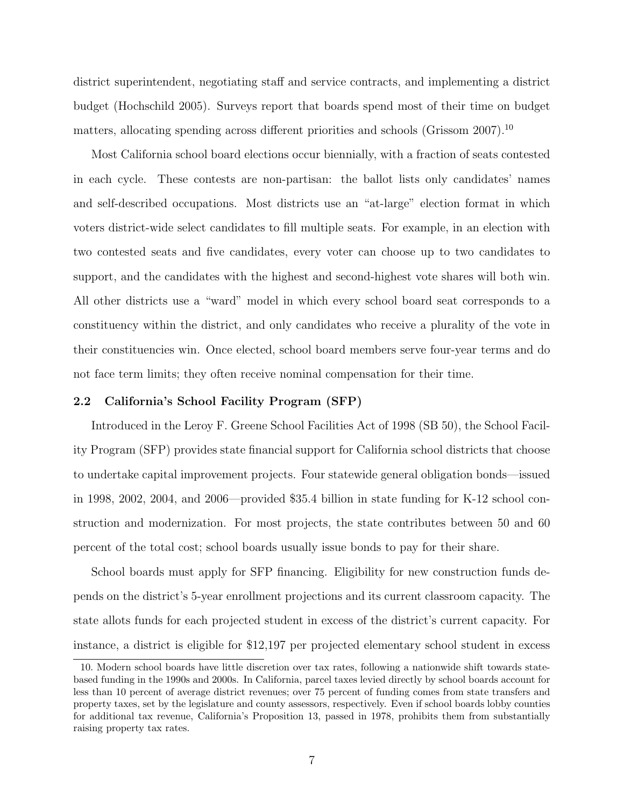district superintendent, negotiating staff and service contracts, and implementing a district budget (Hochschild 2005). Surveys report that boards spend most of their time on budget matters, allocating spending across different priorities and schools (Grissom  $2007$ ).<sup>10</sup>

Most California school board elections occur biennially, with a fraction of seats contested in each cycle. These contests are non-partisan: the ballot lists only candidates' names and self-described occupations. Most districts use an "at-large" election format in which voters district-wide select candidates to fill multiple seats. For example, in an election with two contested seats and five candidates, every voter can choose up to two candidates to support, and the candidates with the highest and second-highest vote shares will both win. All other districts use a "ward" model in which every school board seat corresponds to a constituency within the district, and only candidates who receive a plurality of the vote in their constituencies win. Once elected, school board members serve four-year terms and do not face term limits; they often receive nominal compensation for their time.

#### 2.2 California's School Facility Program (SFP)

Introduced in the Leroy F. Greene School Facilities Act of 1998 (SB 50), the School Facility Program (SFP) provides state financial support for California school districts that choose to undertake capital improvement projects. Four statewide general obligation bonds—issued in 1998, 2002, 2004, and 2006—provided \$35.4 billion in state funding for K-12 school construction and modernization. For most projects, the state contributes between 50 and 60 percent of the total cost; school boards usually issue bonds to pay for their share.

School boards must apply for SFP financing. Eligibility for new construction funds depends on the district's 5-year enrollment projections and its current classroom capacity. The state allots funds for each projected student in excess of the district's current capacity. For instance, a district is eligible for \$12,197 per projected elementary school student in excess

<sup>10.</sup> Modern school boards have little discretion over tax rates, following a nationwide shift towards statebased funding in the 1990s and 2000s. In California, parcel taxes levied directly by school boards account for less than 10 percent of average district revenues; over 75 percent of funding comes from state transfers and property taxes, set by the legislature and county assessors, respectively. Even if school boards lobby counties for additional tax revenue, California's Proposition 13, passed in 1978, prohibits them from substantially raising property tax rates.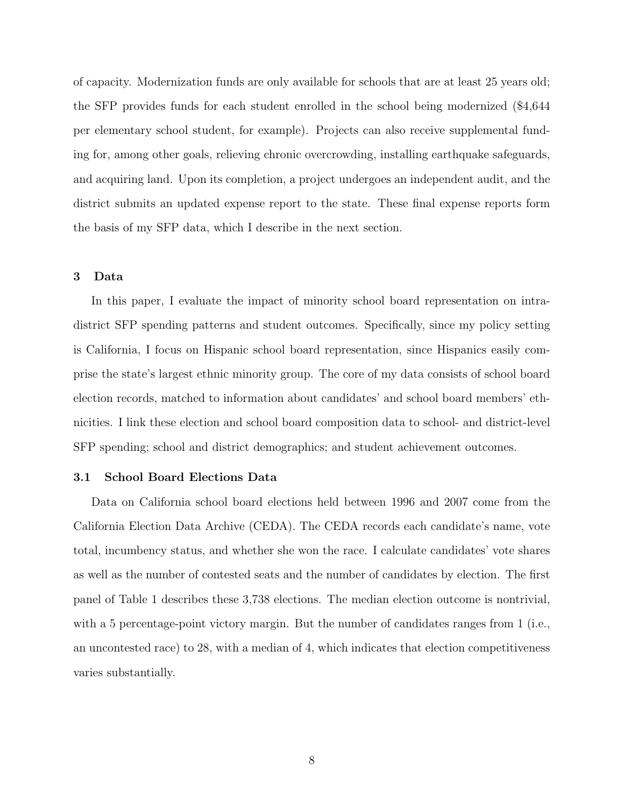of capacity. Modernization funds are only available for schools that are at least 25 years old; the SFP provides funds for each student enrolled in the school being modernized (\$4,644 per elementary school student, for example). Projects can also receive supplemental funding for, among other goals, relieving chronic overcrowding, installing earthquake safeguards, and acquiring land. Upon its completion, a project undergoes an independent audit, and the district submits an updated expense report to the state. These final expense reports form the basis of my SFP data, which I describe in the next section.

### 3 Data

In this paper, I evaluate the impact of minority school board representation on intradistrict SFP spending patterns and student outcomes. Specifically, since my policy setting is California, I focus on Hispanic school board representation, since Hispanics easily comprise the state's largest ethnic minority group. The core of my data consists of school board election records, matched to information about candidates' and school board members' ethnicities. I link these election and school board composition data to school- and district-level SFP spending; school and district demographics; and student achievement outcomes.

#### 3.1 School Board Elections Data

Data on California school board elections held between 1996 and 2007 come from the California Election Data Archive (CEDA). The CEDA records each candidate's name, vote total, incumbency status, and whether she won the race. I calculate candidates' vote shares as well as the number of contested seats and the number of candidates by election. The first panel of [Table](#page-37-0) [1](#page-37-0) describes these 3,738 elections. The median election outcome is nontrivial, with a 5 percentage-point victory margin. But the number of candidates ranges from 1 (i.e., an uncontested race) to 28, with a median of 4, which indicates that election competitiveness varies substantially.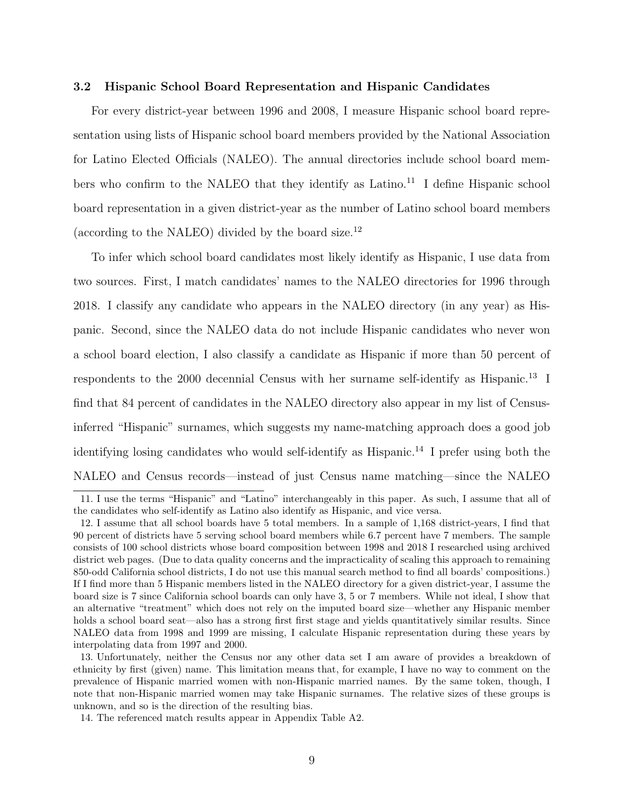#### 3.2 Hispanic School Board Representation and Hispanic Candidates

For every district-year between 1996 and 2008, I measure Hispanic school board representation using lists of Hispanic school board members provided by the National Association for Latino Elected Officials (NALEO). The annual directories include school board members who confirm to the NALEO that they identify as Latino.<sup>11</sup> I define Hispanic school board representation in a given district-year as the number of Latino school board members (according to the NALEO) divided by the board size.<sup>12</sup>

To infer which school board candidates most likely identify as Hispanic, I use data from two sources. First, I match candidates' names to the NALEO directories for 1996 through 2018. I classify any candidate who appears in the NALEO directory (in any year) as Hispanic. Second, since the NALEO data do not include Hispanic candidates who never won a school board election, I also classify a candidate as Hispanic if more than 50 percent of respondents to the 2000 decennial Census with her surname self-identify as Hispanic.<sup>13</sup> I find that 84 percent of candidates in the NALEO directory also appear in my list of Censusinferred "Hispanic" surnames, which suggests my name-matching approach does a good job identifying losing candidates who would self-identify as Hispanic.<sup>14</sup> I prefer using both the NALEO and Census records—instead of just Census name matching—since the NALEO

<sup>11.</sup> I use the terms "Hispanic" and "Latino" interchangeably in this paper. As such, I assume that all of the candidates who self-identify as Latino also identify as Hispanic, and vice versa.

<sup>12.</sup> I assume that all school boards have 5 total members. In a sample of 1,168 district-years, I find that 90 percent of districts have 5 serving school board members while 6.7 percent have 7 members. The sample consists of 100 school districts whose board composition between 1998 and 2018 I researched using archived district web pages. (Due to data quality concerns and the impracticality of scaling this approach to remaining 850-odd California school districts, I do not use this manual search method to find all boards' compositions.) If I find more than 5 Hispanic members listed in the NALEO directory for a given district-year, I assume the board size is 7 since California school boards can only have 3, 5 or 7 members. While not ideal, I show that an alternative "treatment" which does not rely on the imputed board size—whether any Hispanic member holds a school board seat—also has a strong first first stage and yields quantitatively similar results. Since NALEO data from 1998 and 1999 are missing, I calculate Hispanic representation during these years by interpolating data from 1997 and 2000.

<sup>13.</sup> Unfortunately, neither the Census nor any other data set I am aware of provides a breakdown of ethnicity by first (given) name. This limitation means that, for example, I have no way to comment on the prevalence of Hispanic married women with non-Hispanic married names. By the same token, though, I note that non-Hispanic married women may take Hispanic surnames. The relative sizes of these groups is unknown, and so is the direction of the resulting bias.

<sup>14.</sup> The referenced match results appear in Appendix [Table](#page-59-0) [A2.](#page-59-0)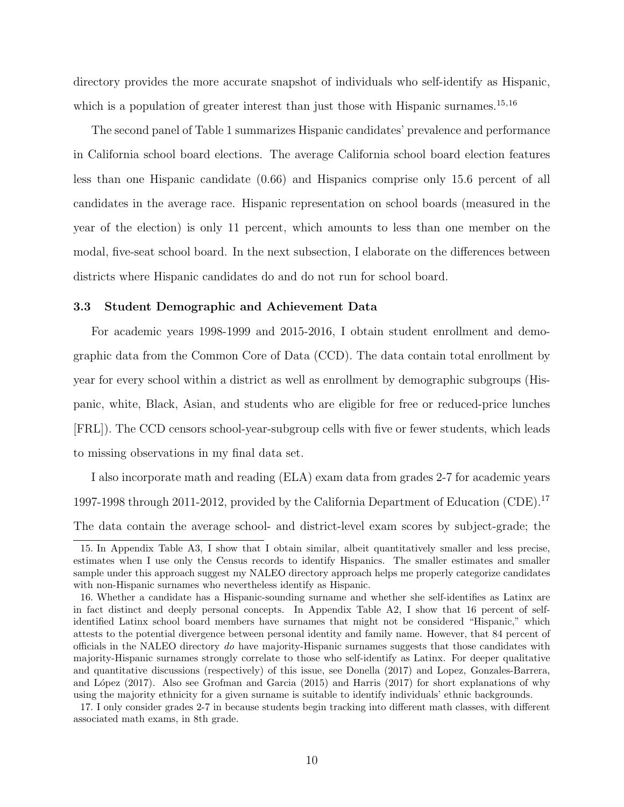directory provides the more accurate snapshot of individuals who self-identify as Hispanic, which is a population of greater interest than just those with Hispanic surnames.<sup>15,16</sup>

The second panel of [Table](#page-37-0) [1](#page-37-0) summarizes Hispanic candidates' prevalence and performance in California school board elections. The average California school board election features less than one Hispanic candidate (0.66) and Hispanics comprise only 15.6 percent of all candidates in the average race. Hispanic representation on school boards (measured in the year of the election) is only 11 percent, which amounts to less than one member on the modal, five-seat school board. In the next subsection, I elaborate on the differences between districts where Hispanic candidates do and do not run for school board.

#### 3.3 Student Demographic and Achievement Data

For academic years 1998-1999 and 2015-2016, I obtain student enrollment and demographic data from the Common Core of Data (CCD). The data contain total enrollment by year for every school within a district as well as enrollment by demographic subgroups (Hispanic, white, Black, Asian, and students who are eligible for free or reduced-price lunches [FRL]). The CCD censors school-year-subgroup cells with five or fewer students, which leads to missing observations in my final data set.

I also incorporate math and reading (ELA) exam data from grades 2-7 for academic years 1997-1998 through 2011-2012, provided by the California Department of Education (CDE).<sup>17</sup> The data contain the average school- and district-level exam scores by subject-grade; the

<sup>15.</sup> In Appendix Table [A3,](#page-60-0) I show that I obtain similar, albeit quantitatively smaller and less precise, estimates when I use only the Census records to identify Hispanics. The smaller estimates and smaller sample under this approach suggest my NALEO directory approach helps me properly categorize candidates with non-Hispanic surnames who nevertheless identify as Hispanic.

<sup>16.</sup> Whether a candidate has a Hispanic-sounding surname and whether she self-identifies as Latinx are in fact distinct and deeply personal concepts. In Appendix [Table](#page-59-0) [A2,](#page-59-0) I show that 16 percent of selfidentified Latinx school board members have surnames that might not be considered "Hispanic," which attests to the potential divergence between personal identity and family name. However, that 84 percent of officials in the NALEO directory do have majority-Hispanic surnames suggests that those candidates with majority-Hispanic surnames strongly correlate to those who self-identify as Latinx. For deeper qualitative and quantitative discussions (respectively) of this issue, see Donella (2017) and Lopez, Gonzales-Barrera, and López (2017). Also see Grofman and Garcia (2015) and Harris (2017) for short explanations of why using the majority ethnicity for a given surname is suitable to identify individuals' ethnic backgrounds.

<sup>17.</sup> I only consider grades 2-7 in because students begin tracking into different math classes, with different associated math exams, in 8th grade.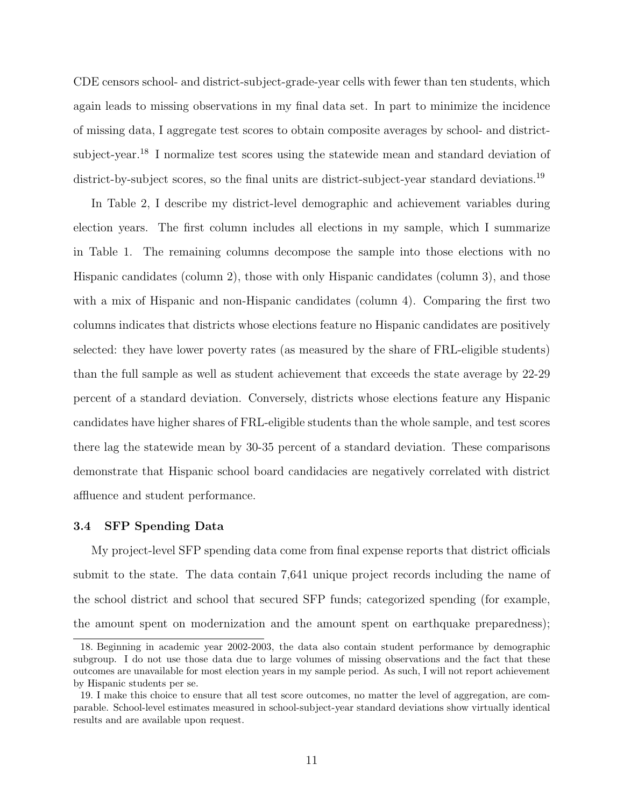CDE censors school- and district-subject-grade-year cells with fewer than ten students, which again leads to missing observations in my final data set. In part to minimize the incidence of missing data, I aggregate test scores to obtain composite averages by school- and districtsubject-year.<sup>18</sup> I normalize test scores using the statewide mean and standard deviation of district-by-subject scores, so the final units are district-subject-year standard deviations.<sup>19</sup>

In [Table](#page-38-0) [2,](#page-38-0) I describe my district-level demographic and achievement variables during election years. The first column includes all elections in my sample, which I summarize in [Table](#page-37-0) [1.](#page-37-0) The remaining columns decompose the sample into those elections with no Hispanic candidates (column 2), those with only Hispanic candidates (column 3), and those with a mix of Hispanic and non-Hispanic candidates (column 4). Comparing the first two columns indicates that districts whose elections feature no Hispanic candidates are positively selected: they have lower poverty rates (as measured by the share of FRL-eligible students) than the full sample as well as student achievement that exceeds the state average by 22-29 percent of a standard deviation. Conversely, districts whose elections feature any Hispanic candidates have higher shares of FRL-eligible students than the whole sample, and test scores there lag the statewide mean by 30-35 percent of a standard deviation. These comparisons demonstrate that Hispanic school board candidacies are negatively correlated with district affluence and student performance.

# 3.4 SFP Spending Data

My project-level SFP spending data come from final expense reports that district officials submit to the state. The data contain 7,641 unique project records including the name of the school district and school that secured SFP funds; categorized spending (for example, the amount spent on modernization and the amount spent on earthquake preparedness);

<sup>18.</sup> Beginning in academic year 2002-2003, the data also contain student performance by demographic subgroup. I do not use those data due to large volumes of missing observations and the fact that these outcomes are unavailable for most election years in my sample period. As such, I will not report achievement by Hispanic students per se.

<sup>19.</sup> I make this choice to ensure that all test score outcomes, no matter the level of aggregation, are comparable. School-level estimates measured in school-subject-year standard deviations show virtually identical results and are available upon request.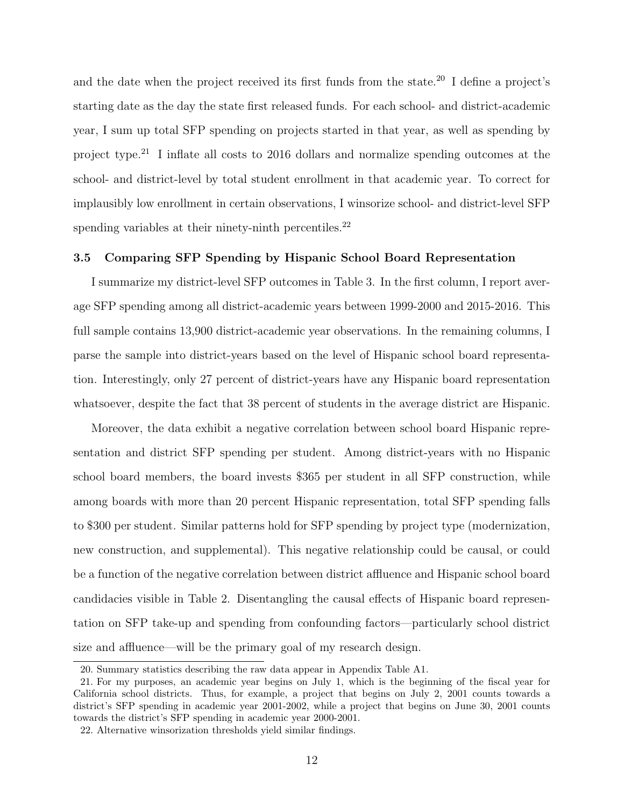and the date when the project received its first funds from the state.<sup>20</sup> I define a project's starting date as the day the state first released funds. For each school- and district-academic year, I sum up total SFP spending on projects started in that year, as well as spending by project type.<sup>21</sup> I inflate all costs to 2016 dollars and normalize spending outcomes at the school- and district-level by total student enrollment in that academic year. To correct for implausibly low enrollment in certain observations, I winsorize school- and district-level SFP spending variables at their ninety-ninth percentiles.<sup>22</sup>

# 3.5 Comparing SFP Spending by Hispanic School Board Representation

I summarize my district-level SFP outcomes in [Table](#page-39-0) [3.](#page-39-0) In the first column, I report average SFP spending among all district-academic years between 1999-2000 and 2015-2016. This full sample contains 13,900 district-academic year observations. In the remaining columns, I parse the sample into district-years based on the level of Hispanic school board representation. Interestingly, only 27 percent of district-years have any Hispanic board representation whatsoever, despite the fact that 38 percent of students in the average district are Hispanic.

Moreover, the data exhibit a negative correlation between school board Hispanic representation and district SFP spending per student. Among district-years with no Hispanic school board members, the board invests \$365 per student in all SFP construction, while among boards with more than 20 percent Hispanic representation, total SFP spending falls to \$300 per student. Similar patterns hold for SFP spending by project type (modernization, new construction, and supplemental). This negative relationship could be causal, or could be a function of the negative correlation between district affluence and Hispanic school board candidacies visible in [Table](#page-38-0) [2.](#page-38-0) Disentangling the causal effects of Hispanic board representation on SFP take-up and spending from confounding factors—particularly school district size and affluence—will be the primary goal of my research design.

<sup>20.</sup> Summary statistics describing the raw data appear in Appendix [Table](#page-58-0) [A1.](#page-58-0)

<sup>21.</sup> For my purposes, an academic year begins on July 1, which is the beginning of the fiscal year for California school districts. Thus, for example, a project that begins on July 2, 2001 counts towards a district's SFP spending in academic year 2001-2002, while a project that begins on June 30, 2001 counts towards the district's SFP spending in academic year 2000-2001.

<sup>22.</sup> Alternative winsorization thresholds yield similar findings.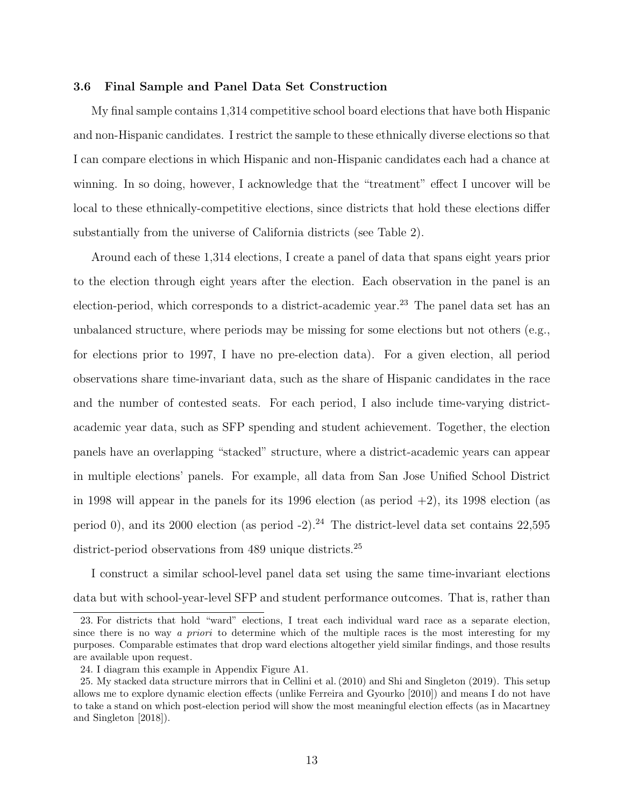# 3.6 Final Sample and Panel Data Set Construction

My final sample contains 1,314 competitive school board elections that have both Hispanic and non-Hispanic candidates. I restrict the sample to these ethnically diverse elections so that I can compare elections in which Hispanic and non-Hispanic candidates each had a chance at winning. In so doing, however, I acknowledge that the "treatment" effect I uncover will be local to these ethnically-competitive elections, since districts that hold these elections differ substantially from the universe of California districts (see [Table](#page-38-0) [2\)](#page-38-0).

Around each of these 1,314 elections, I create a panel of data that spans eight years prior to the election through eight years after the election. Each observation in the panel is an election-period, which corresponds to a district-academic year.<sup>23</sup> The panel data set has an unbalanced structure, where periods may be missing for some elections but not others (e.g., for elections prior to 1997, I have no pre-election data). For a given election, all period observations share time-invariant data, such as the share of Hispanic candidates in the race and the number of contested seats. For each period, I also include time-varying districtacademic year data, such as SFP spending and student achievement. Together, the election panels have an overlapping "stacked" structure, where a district-academic years can appear in multiple elections' panels. For example, all data from San Jose Unified School District in 1998 will appear in the panels for its 1996 election (as period  $+2$ ), its 1998 election (as period 0), and its 2000 election (as period -2).<sup>24</sup> The district-level data set contains 22,595 district-period observations from 489 unique districts.<sup>25</sup>

I construct a similar school-level panel data set using the same time-invariant elections data but with school-year-level SFP and student performance outcomes. That is, rather than

<sup>23.</sup> For districts that hold "ward" elections, I treat each individual ward race as a separate election, since there is no way a priori to determine which of the multiple races is the most interesting for my purposes. Comparable estimates that drop ward elections altogether yield similar findings, and those results are available upon request.

<sup>24.</sup> I diagram this example in Appendix [Figure](#page-53-0) [A1.](#page-53-0)

<sup>25.</sup> My stacked data structure mirrors that in Cellini et al. (2010) and Shi and Singleton (2019). This setup allows me to explore dynamic election effects (unlike Ferreira and Gyourko [2010]) and means I do not have to take a stand on which post-election period will show the most meaningful election effects (as in Macartney and Singleton [2018]).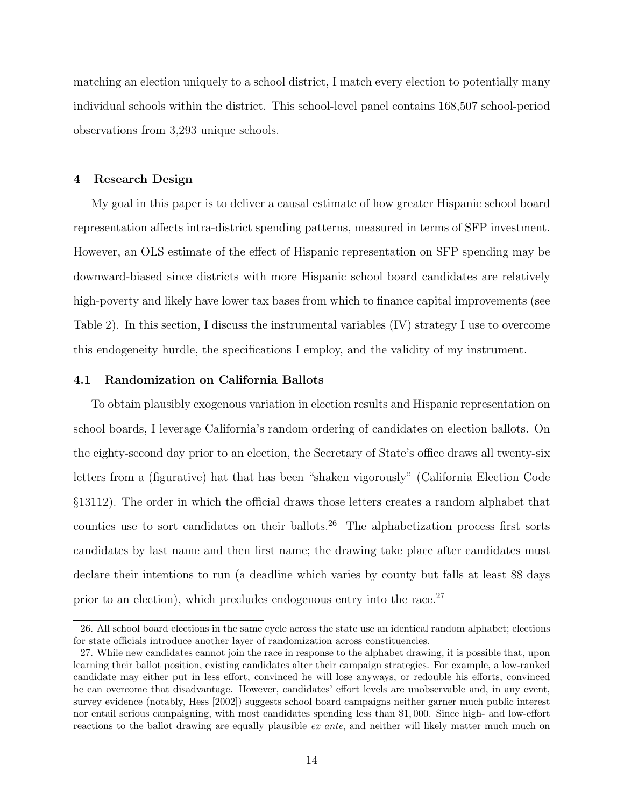matching an election uniquely to a school district, I match every election to potentially many individual schools within the district. This school-level panel contains 168,507 school-period observations from 3,293 unique schools.

# 4 Research Design

My goal in this paper is to deliver a causal estimate of how greater Hispanic school board representation affects intra-district spending patterns, measured in terms of SFP investment. However, an OLS estimate of the effect of Hispanic representation on SFP spending may be downward-biased since districts with more Hispanic school board candidates are relatively high-poverty and likely have lower tax bases from which to finance capital improvements (see [Table](#page-38-0) [2\)](#page-38-0). In this section, I discuss the instrumental variables (IV) strategy I use to overcome this endogeneity hurdle, the specifications I employ, and the validity of my instrument.

#### 4.1 Randomization on California Ballots

To obtain plausibly exogenous variation in election results and Hispanic representation on school boards, I leverage California's random ordering of candidates on election ballots. On the eighty-second day prior to an election, the Secretary of State's office draws all twenty-six letters from a (figurative) hat that has been "shaken vigorously" (California Election Code §13112). The order in which the official draws those letters creates a random alphabet that counties use to sort candidates on their ballots.<sup>26</sup> The alphabetization process first sorts candidates by last name and then first name; the drawing take place after candidates must declare their intentions to run (a deadline which varies by county but falls at least 88 days prior to an election), which precludes endogenous entry into the race.<sup>27</sup>

<sup>26.</sup> All school board elections in the same cycle across the state use an identical random alphabet; elections for state officials introduce another layer of randomization across constituencies.

<sup>27.</sup> While new candidates cannot join the race in response to the alphabet drawing, it is possible that, upon learning their ballot position, existing candidates alter their campaign strategies. For example, a low-ranked candidate may either put in less effort, convinced he will lose anyways, or redouble his efforts, convinced he can overcome that disadvantage. However, candidates' effort levels are unobservable and, in any event, survey evidence (notably, Hess [2002]) suggests school board campaigns neither garner much public interest nor entail serious campaigning, with most candidates spending less than \$1, 000. Since high- and low-effort reactions to the ballot drawing are equally plausible *ex ante*, and neither will likely matter much much on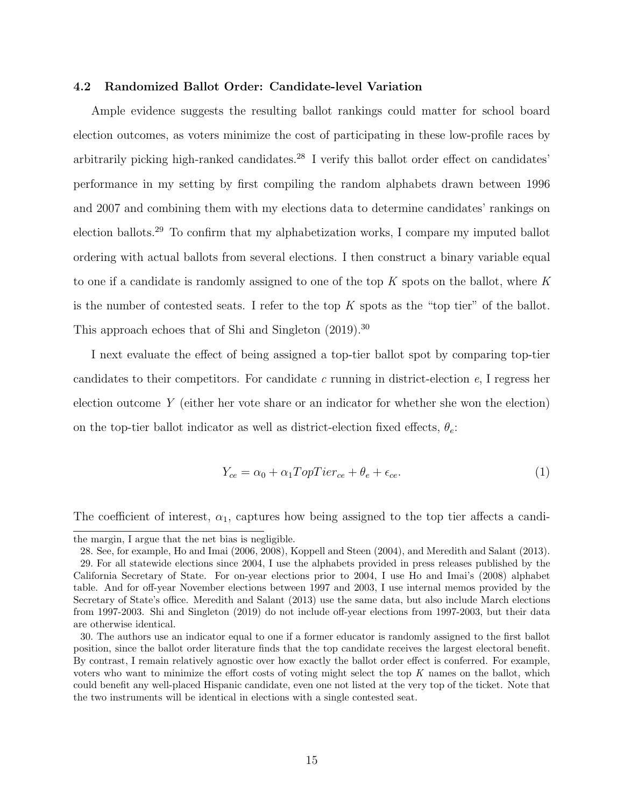#### 4.2 Randomized Ballot Order: Candidate-level Variation

Ample evidence suggests the resulting ballot rankings could matter for school board election outcomes, as voters minimize the cost of participating in these low-profile races by arbitrarily picking high-ranked candidates.<sup>28</sup> I verify this ballot order effect on candidates' performance in my setting by first compiling the random alphabets drawn between 1996 and 2007 and combining them with my elections data to determine candidates' rankings on election ballots.<sup>29</sup> To confirm that my alphabetization works, I compare my imputed ballot ordering with actual ballots from several elections. I then construct a binary variable equal to one if a candidate is randomly assigned to one of the top K spots on the ballot, where K is the number of contested seats. I refer to the top  $K$  spots as the "top tier" of the ballot. This approach echoes that of Shi and Singleton  $(2019)^{30}$ 

I next evaluate the effect of being assigned a top-tier ballot spot by comparing top-tier candidates to their competitors. For candidate c running in district-election  $e$ , I regress her election outcome Y (either her vote share or an indicator for whether she won the election) on the top-tier ballot indicator as well as district-election fixed effects,  $\theta_e$ :

<span id="page-14-0"></span>
$$
Y_{ce} = \alpha_0 + \alpha_1 TopTier_{ce} + \theta_e + \epsilon_{ce}.
$$
\n<sup>(1)</sup>

The coefficient of interest,  $\alpha_1$ , captures how being assigned to the top tier affects a candi-

the margin, I argue that the net bias is negligible.

<sup>28.</sup> See, for example, Ho and Imai (2006, 2008), Koppell and Steen (2004), and Meredith and Salant (2013).

<sup>29.</sup> For all statewide elections since 2004, I use the alphabets provided in press releases published by the California Secretary of State. For on-year elections prior to 2004, I use Ho and Imai's (2008) alphabet table. And for off-year November elections between 1997 and 2003, I use internal memos provided by the Secretary of State's office. Meredith and Salant (2013) use the same data, but also include March elections from 1997-2003. Shi and Singleton (2019) do not include off-year elections from 1997-2003, but their data are otherwise identical.

<sup>30.</sup> The authors use an indicator equal to one if a former educator is randomly assigned to the first ballot position, since the ballot order literature finds that the top candidate receives the largest electoral benefit. By contrast, I remain relatively agnostic over how exactly the ballot order effect is conferred. For example, voters who want to minimize the effort costs of voting might select the top K names on the ballot, which could benefit any well-placed Hispanic candidate, even one not listed at the very top of the ticket. Note that the two instruments will be identical in elections with a single contested seat.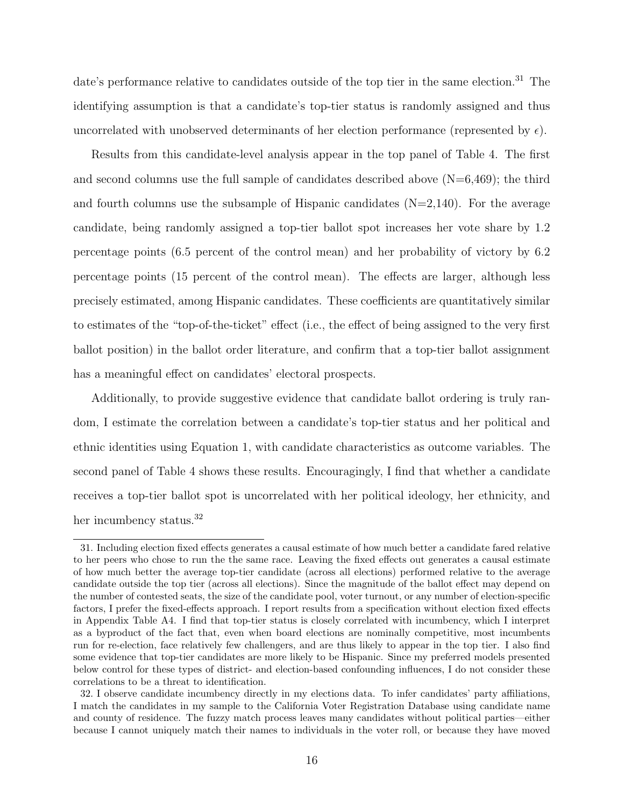date's performance relative to candidates outside of the top tier in the same election.<sup>31</sup> The identifying assumption is that a candidate's top-tier status is randomly assigned and thus uncorrelated with unobserved determinants of her election performance (represented by  $\epsilon$ ).

Results from this candidate-level analysis appear in the top panel of [Table](#page-40-0) [4.](#page-40-0) The first and second columns use the full sample of candidates described above  $(N=6,469)$ ; the third and fourth columns use the subsample of Hispanic candidates  $(N=2,140)$ . For the average candidate, being randomly assigned a top-tier ballot spot increases her vote share by 1.2 percentage points (6.5 percent of the control mean) and her probability of victory by 6.2 percentage points (15 percent of the control mean). The effects are larger, although less precisely estimated, among Hispanic candidates. These coefficients are quantitatively similar to estimates of the "top-of-the-ticket" effect (i.e., the effect of being assigned to the very first ballot position) in the ballot order literature, and confirm that a top-tier ballot assignment has a meaningful effect on candidates' electoral prospects.

Additionally, to provide suggestive evidence that candidate ballot ordering is truly random, I estimate the correlation between a candidate's top-tier status and her political and ethnic identities using Equation [1,](#page-14-0) with candidate characteristics as outcome variables. The second panel of [Table](#page-40-0) [4](#page-40-0) shows these results. Encouragingly, I find that whether a candidate receives a top-tier ballot spot is uncorrelated with her political ideology, her ethnicity, and her incumbency status.<sup>32</sup>

<sup>31.</sup> Including election fixed effects generates a causal estimate of how much better a candidate fared relative to her peers who chose to run the the same race. Leaving the fixed effects out generates a causal estimate of how much better the average top-tier candidate (across all elections) performed relative to the average candidate outside the top tier (across all elections). Since the magnitude of the ballot effect may depend on the number of contested seats, the size of the candidate pool, voter turnout, or any number of election-specific factors, I prefer the fixed-effects approach. I report results from a specification without election fixed effects in Appendix [Table](#page-61-0) [A4.](#page-61-0) I find that top-tier status is closely correlated with incumbency, which I interpret as a byproduct of the fact that, even when board elections are nominally competitive, most incumbents run for re-election, face relatively few challengers, and are thus likely to appear in the top tier. I also find some evidence that top-tier candidates are more likely to be Hispanic. Since my preferred models presented below control for these types of district- and election-based confounding influences, I do not consider these correlations to be a threat to identification.

<sup>32.</sup> I observe candidate incumbency directly in my elections data. To infer candidates' party affiliations, I match the candidates in my sample to the California Voter Registration Database using candidate name and county of residence. The fuzzy match process leaves many candidates without political parties—either because I cannot uniquely match their names to individuals in the voter roll, or because they have moved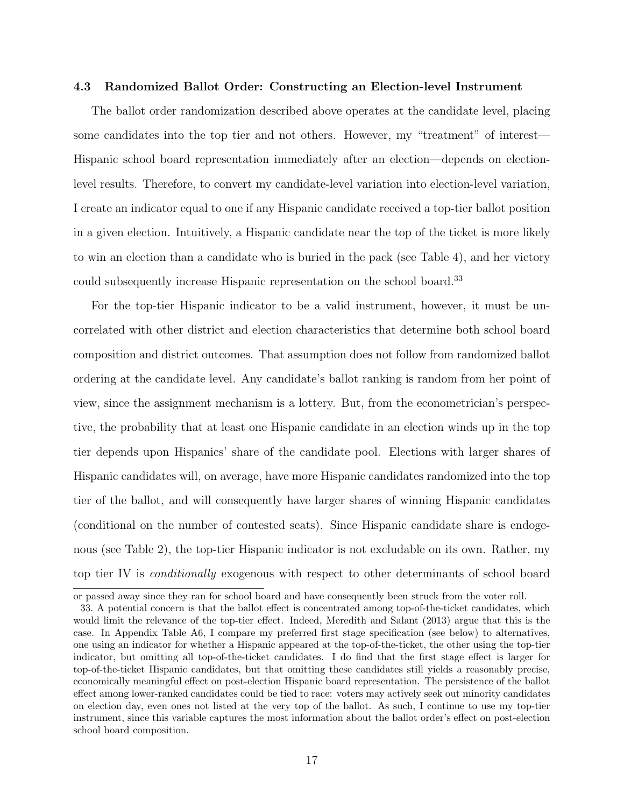#### 4.3 Randomized Ballot Order: Constructing an Election-level Instrument

The ballot order randomization described above operates at the candidate level, placing some candidates into the top tier and not others. However, my "treatment" of interest— Hispanic school board representation immediately after an election—depends on electionlevel results. Therefore, to convert my candidate-level variation into election-level variation, I create an indicator equal to one if any Hispanic candidate received a top-tier ballot position in a given election. Intuitively, a Hispanic candidate near the top of the ticket is more likely to win an election than a candidate who is buried in the pack (see [Table](#page-40-0) [4\)](#page-40-0), and her victory could subsequently increase Hispanic representation on the school board.<sup>33</sup>

For the top-tier Hispanic indicator to be a valid instrument, however, it must be uncorrelated with other district and election characteristics that determine both school board composition and district outcomes. That assumption does not follow from randomized ballot ordering at the candidate level. Any candidate's ballot ranking is random from her point of view, since the assignment mechanism is a lottery. But, from the econometrician's perspective, the probability that at least one Hispanic candidate in an election winds up in the top tier depends upon Hispanics' share of the candidate pool. Elections with larger shares of Hispanic candidates will, on average, have more Hispanic candidates randomized into the top tier of the ballot, and will consequently have larger shares of winning Hispanic candidates (conditional on the number of contested seats). Since Hispanic candidate share is endogenous (see [Table](#page-38-0) [2\)](#page-38-0), the top-tier Hispanic indicator is not excludable on its own. Rather, my top tier IV is conditionally exogenous with respect to other determinants of school board

or passed away since they ran for school board and have consequently been struck from the voter roll.

<sup>33.</sup> A potential concern is that the ballot effect is concentrated among top-of-the-ticket candidates, which would limit the relevance of the top-tier effect. Indeed, Meredith and Salant (2013) argue that this is the case. In Appendix Table [A6,](#page-63-0) I compare my preferred first stage specification (see below) to alternatives, one using an indicator for whether a Hispanic appeared at the top-of-the-ticket, the other using the top-tier indicator, but omitting all top-of-the-ticket candidates. I do find that the first stage effect is larger for top-of-the-ticket Hispanic candidates, but that omitting these candidates still yields a reasonably precise, economically meaningful effect on post-election Hispanic board representation. The persistence of the ballot effect among lower-ranked candidates could be tied to race: voters may actively seek out minority candidates on election day, even ones not listed at the very top of the ballot. As such, I continue to use my top-tier instrument, since this variable captures the most information about the ballot order's effect on post-election school board composition.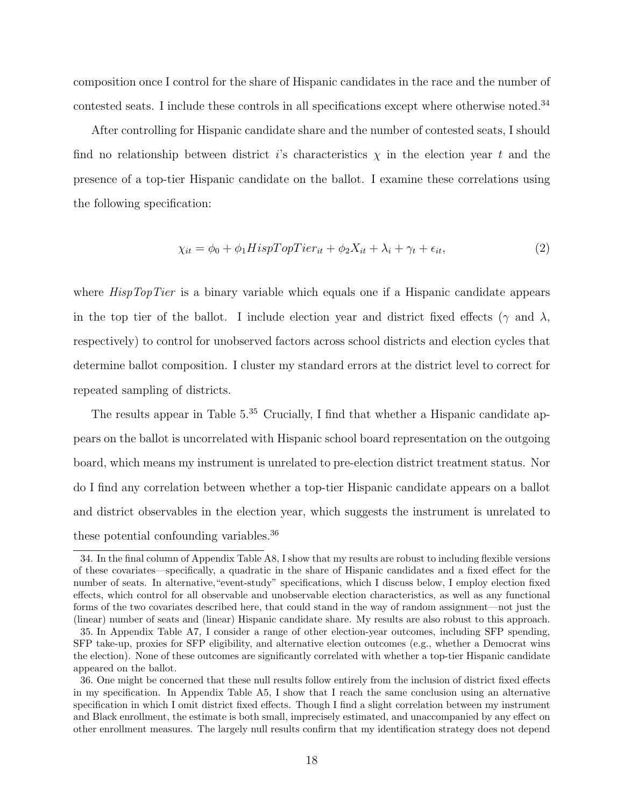composition once I control for the share of Hispanic candidates in the race and the number of contested seats. I include these controls in all specifications except where otherwise noted.<sup>34</sup>

After controlling for Hispanic candidate share and the number of contested seats, I should find no relationship between district i's characteristics  $\chi$  in the election year t and the presence of a top-tier Hispanic candidate on the ballot. I examine these correlations using the following specification:

<span id="page-17-0"></span>
$$
\chi_{it} = \phi_0 + \phi_1 HispTopTier_{it} + \phi_2 X_{it} + \lambda_i + \gamma_t + \epsilon_{it},\tag{2}
$$

where  $HispTopTier$  is a binary variable which equals one if a Hispanic candidate appears in the top tier of the ballot. I include election year and district fixed effects ( $\gamma$  and  $\lambda$ , respectively) to control for unobserved factors across school districts and election cycles that determine ballot composition. I cluster my standard errors at the district level to correct for repeated sampling of districts.

The results appear in Table  $5^{35}$  Crucially, I find that whether a Hispanic candidate appears on the ballot is uncorrelated with Hispanic school board representation on the outgoing board, which means my instrument is unrelated to pre-election district treatment status. Nor do I find any correlation between whether a top-tier Hispanic candidate appears on a ballot and district observables in the election year, which suggests the instrument is unrelated to these potential confounding variables.<sup>36</sup>

<sup>34.</sup> In the final column of Appendix Table [A8,](#page-65-0) I show that my results are robust to including flexible versions of these covariates—specifically, a quadratic in the share of Hispanic candidates and a fixed effect for the number of seats. In alternative,"event-study" specifications, which I discuss below, I employ election fixed effects, which control for all observable and unobservable election characteristics, as well as any functional forms of the two covariates described here, that could stand in the way of random assignment—not just the (linear) number of seats and (linear) Hispanic candidate share. My results are also robust to this approach.

<sup>35.</sup> In Appendix [Table](#page-64-0) [A7,](#page-64-0) I consider a range of other election-year outcomes, including SFP spending, SFP take-up, proxies for SFP eligibility, and alternative election outcomes (e.g., whether a Democrat wins the election). None of these outcomes are significantly correlated with whether a top-tier Hispanic candidate appeared on the ballot.

<sup>36.</sup> One might be concerned that these null results follow entirely from the inclusion of district fixed effects in my specification. In Appendix [Table](#page-62-0) [A5,](#page-62-0) I show that I reach the same conclusion using an alternative specification in which I omit district fixed effects. Though I find a slight correlation between my instrument and Black enrollment, the estimate is both small, imprecisely estimated, and unaccompanied by any effect on other enrollment measures. The largely null results confirm that my identification strategy does not depend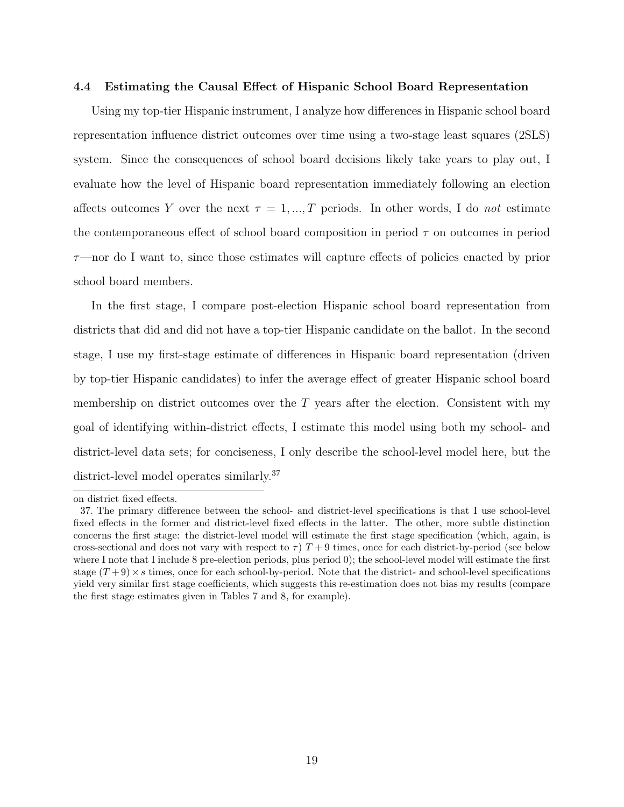#### 4.4 Estimating the Causal Effect of Hispanic School Board Representation

Using my top-tier Hispanic instrument, I analyze how differences in Hispanic school board representation influence district outcomes over time using a two-stage least squares (2SLS) system. Since the consequences of school board decisions likely take years to play out, I evaluate how the level of Hispanic board representation immediately following an election affects outcomes Y over the next  $\tau = 1, ..., T$  periods. In other words, I do not estimate the contemporaneous effect of school board composition in period  $\tau$  on outcomes in period  $\tau$ —nor do I want to, since those estimates will capture effects of policies enacted by prior school board members.

In the first stage, I compare post-election Hispanic school board representation from districts that did and did not have a top-tier Hispanic candidate on the ballot. In the second stage, I use my first-stage estimate of differences in Hispanic board representation (driven by top-tier Hispanic candidates) to infer the average effect of greater Hispanic school board membership on district outcomes over the  $T$  years after the election. Consistent with my goal of identifying within-district effects, I estimate this model using both my school- and district-level data sets; for conciseness, I only describe the school-level model here, but the district-level model operates similarly.<sup>37</sup>

on district fixed effects.

<sup>37.</sup> The primary difference between the school- and district-level specifications is that I use school-level fixed effects in the former and district-level fixed effects in the latter. The other, more subtle distinction concerns the first stage: the district-level model will estimate the first stage specification (which, again, is cross-sectional and does not vary with respect to  $\tau$ )  $T + 9$  times, once for each district-by-period (see below where I note that I include 8 pre-election periods, plus period 0); the school-level model will estimate the first stage  $(T+9) \times s$  times, once for each school-by-period. Note that the district- and school-level specifications yield very similar first stage coefficients, which suggests this re-estimation does not bias my results (compare the first stage estimates given in Tables [7](#page-43-0) and [8,](#page-44-0) for example).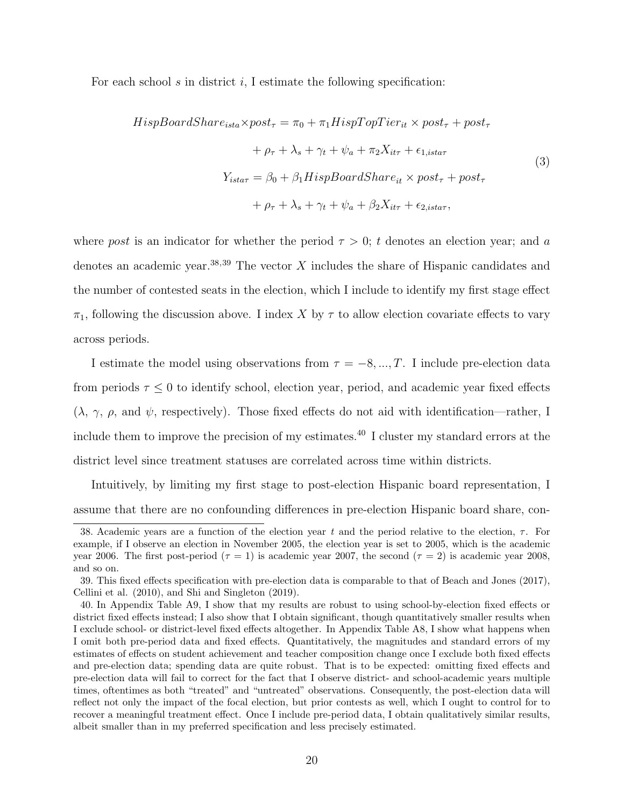For each school s in district i, I estimate the following specification:

<span id="page-19-0"></span>
$$
HispBoardShare_{ista} \times post_{\tau} = \pi_0 + \pi_1 High Top Tier_{it} \times post_{\tau} + post_{\tau}
$$

$$
+ \rho_{\tau} + \lambda_s + \gamma_t + \psi_a + \pi_2 X_{it\tau} + \epsilon_{1,ista\tau}
$$

$$
Y_{ista\tau} = \beta_0 + \beta_1 High BoardShare_{it} \times post_{\tau} + post_{\tau}
$$

$$
+ \rho_{\tau} + \lambda_s + \gamma_t + \psi_a + \beta_2 X_{it\tau} + \epsilon_{2,ista\tau},
$$

$$
(3)
$$

where post is an indicator for whether the period  $\tau > 0$ ; t denotes an election year; and a denotes an academic year.<sup>38,39</sup> The vector  $X$  includes the share of Hispanic candidates and the number of contested seats in the election, which I include to identify my first stage effect  $\pi_1$ , following the discussion above. I index X by  $\tau$  to allow election covariate effects to vary across periods.

I estimate the model using observations from  $\tau = -8, ..., T$ . I include pre-election data from periods  $\tau \leq 0$  to identify school, election year, period, and academic year fixed effects  $(\lambda, \gamma, \rho, \text{ and } \psi, \text{ respectively})$ . Those fixed effects do not aid with identification—rather, I include them to improve the precision of my estimates.<sup>40</sup> I cluster my standard errors at the district level since treatment statuses are correlated across time within districts.

Intuitively, by limiting my first stage to post-election Hispanic board representation, I assume that there are no confounding differences in pre-election Hispanic board share, con-

<sup>38.</sup> Academic years are a function of the election year t and the period relative to the election,  $\tau$ . For example, if I observe an election in November 2005, the election year is set to 2005, which is the academic year 2006. The first post-period ( $\tau = 1$ ) is academic year 2007, the second ( $\tau = 2$ ) is academic year 2008. and so on.

<sup>39.</sup> This fixed effects specification with pre-election data is comparable to that of Beach and Jones (2017), Cellini et al. (2010), and Shi and Singleton (2019).

<sup>40.</sup> In Appendix Table [A9,](#page-66-0) I show that my results are robust to using school-by-election fixed effects or district fixed effects instead; I also show that I obtain significant, though quantitatively smaller results when I exclude school- or district-level fixed effects altogether. In [Appendix Table](#page-65-0) [A8,](#page-65-0) I show what happens when I omit both pre-period data and fixed effects. Quantitatively, the magnitudes and standard errors of my estimates of effects on student achievement and teacher composition change once I exclude both fixed effects and pre-election data; spending data are quite robust. That is to be expected: omitting fixed effects and pre-election data will fail to correct for the fact that I observe district- and school-academic years multiple times, oftentimes as both "treated" and "untreated" observations. Consequently, the post-election data will reflect not only the impact of the focal election, but prior contests as well, which I ought to control for to recover a meaningful treatment effect. Once I include pre-period data, I obtain qualitatively similar results, albeit smaller than in my preferred specification and less precisely estimated.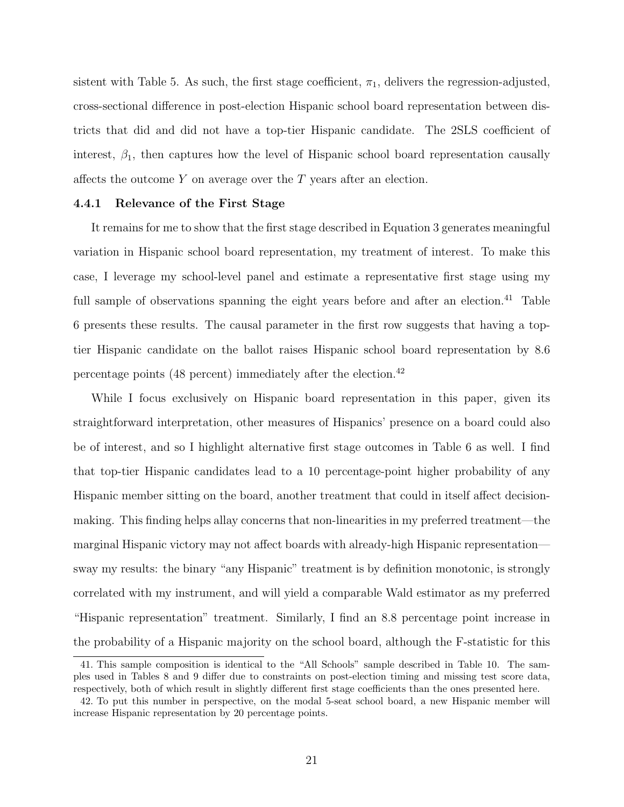sistent with Table [5.](#page-41-0) As such, the first stage coefficient,  $\pi_1$ , delivers the regression-adjusted, cross-sectional difference in post-election Hispanic school board representation between districts that did and did not have a top-tier Hispanic candidate. The 2SLS coefficient of interest,  $\beta_1$ , then captures how the level of Hispanic school board representation causally affects the outcome  $Y$  on average over the  $T$  years after an election.

### 4.4.1 Relevance of the First Stage

It remains for me to show that the first stage described in Equation [3](#page-19-0) generates meaningful variation in Hispanic school board representation, my treatment of interest. To make this case, I leverage my school-level panel and estimate a representative first stage using my full sample of observations spanning the eight years before and after an election.<sup>41</sup> Table [6](#page-42-0) presents these results. The causal parameter in the first row suggests that having a toptier Hispanic candidate on the ballot raises Hispanic school board representation by 8.6 percentage points (48 percent) immediately after the election.<sup>42</sup>

While I focus exclusively on Hispanic board representation in this paper, given its straightforward interpretation, other measures of Hispanics' presence on a board could also be of interest, and so I highlight alternative first stage outcomes in Table [6](#page-42-0) as well. I find that top-tier Hispanic candidates lead to a 10 percentage-point higher probability of any Hispanic member sitting on the board, another treatment that could in itself affect decisionmaking. This finding helps allay concerns that non-linearities in my preferred treatment—the marginal Hispanic victory may not affect boards with already-high Hispanic representation sway my results: the binary "any Hispanic" treatment is by definition monotonic, is strongly correlated with my instrument, and will yield a comparable Wald estimator as my preferred "Hispanic representation" treatment. Similarly, I find an 8.8 percentage point increase in the probability of a Hispanic majority on the school board, although the F-statistic for this

<sup>41.</sup> This sample composition is identical to the "All Schools" sample described in Table [10.](#page-46-0) The samples used in Tables [8](#page-44-0) and [9](#page-45-0) differ due to constraints on post-election timing and missing test score data, respectively, both of which result in slightly different first stage coefficients than the ones presented here.

<sup>42.</sup> To put this number in perspective, on the modal 5-seat school board, a new Hispanic member will increase Hispanic representation by 20 percentage points.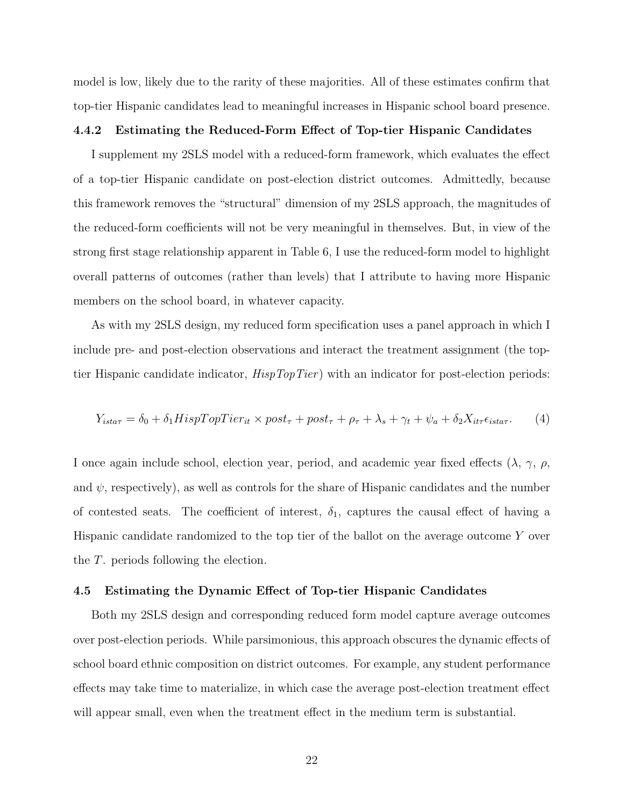model is low, likely due to the rarity of these majorities. All of these estimates confirm that top-tier Hispanic candidates lead to meaningful increases in Hispanic school board presence.

#### 4.4.2 Estimating the Reduced-Form Effect of Top-tier Hispanic Candidates

I supplement my 2SLS model with a reduced-form framework, which evaluates the effect of a top-tier Hispanic candidate on post-election district outcomes. Admittedly, because this framework removes the "structural" dimension of my 2SLS approach, the magnitudes of the reduced-form coefficients will not be very meaningful in themselves. But, in view of the strong first stage relationship apparent in Table [6,](#page-42-0) I use the reduced-form model to highlight overall patterns of outcomes (rather than levels) that I attribute to having more Hispanic members on the school board, in whatever capacity.

As with my 2SLS design, my reduced form specification uses a panel approach in which I include pre- and post-election observations and interact the treatment assignment (the toptier Hispanic candidate indicator,  $HispTopTier$ ) with an indicator for post-election periods:

<span id="page-21-0"></span>
$$
Y_{i\sigma\tau} = \delta_0 + \delta_1 H i s p T o p T i e r_{it} \times post_\tau + post_\tau + \rho_\tau + \lambda_s + \gamma_t + \psi_a + \delta_2 X_{i t \tau} \epsilon_{i s t a \tau}.
$$
 (4)

I once again include school, election year, period, and academic year fixed effects  $(\lambda, \gamma, \rho, \gamma)$ and  $\psi$ , respectively), as well as controls for the share of Hispanic candidates and the number of contested seats. The coefficient of interest,  $\delta_1$ , captures the causal effect of having a Hispanic candidate randomized to the top tier of the ballot on the average outcome Y over the T. periods following the election.

#### 4.5 Estimating the Dynamic Effect of Top-tier Hispanic Candidates

Both my 2SLS design and corresponding reduced form model capture average outcomes over post-election periods. While parsimonious, this approach obscures the dynamic effects of school board ethnic composition on district outcomes. For example, any student performance effects may take time to materialize, in which case the average post-election treatment effect will appear small, even when the treatment effect in the medium term is substantial.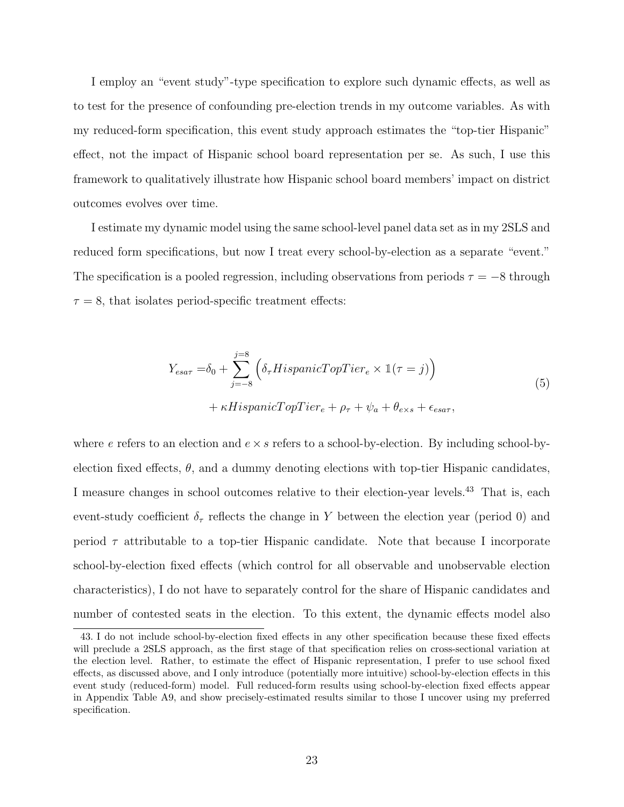I employ an "event study"-type specification to explore such dynamic effects, as well as to test for the presence of confounding pre-election trends in my outcome variables. As with my reduced-form specification, this event study approach estimates the "top-tier Hispanic" effect, not the impact of Hispanic school board representation per se. As such, I use this framework to qualitatively illustrate how Hispanic school board members' impact on district outcomes evolves over time.

I estimate my dynamic model using the same school-level panel data set as in my 2SLS and reduced form specifications, but now I treat every school-by-election as a separate "event." The specification is a pooled regression, including observations from periods  $\tau = -8$  through  $\tau = 8$ , that isolates period-specific treatment effects:

$$
Y_{esar} = \delta_0 + \sum_{j=-8}^{j=8} \left( \delta_\tau H ispanicTopTier_e \times \mathbb{1}(\tau = j) \right)
$$
  
+  $\kappa H ispanicTopTier_e + \rho_\tau + \psi_a + \theta_{exs} + \epsilon_{esar},$  (5)

<span id="page-22-0"></span>where e refers to an election and  $e \times s$  refers to a school-by-election. By including school-byelection fixed effects,  $\theta$ , and a dummy denoting elections with top-tier Hispanic candidates, I measure changes in school outcomes relative to their election-year levels.<sup>43</sup> That is, each event-study coefficient  $\delta_{\tau}$  reflects the change in Y between the election year (period 0) and period  $\tau$  attributable to a top-tier Hispanic candidate. Note that because I incorporate school-by-election fixed effects (which control for all observable and unobservable election characteristics), I do not have to separately control for the share of Hispanic candidates and number of contested seats in the election. To this extent, the dynamic effects model also

<sup>43.</sup> I do not include school-by-election fixed effects in any other specification because these fixed effects will preclude a 2SLS approach, as the first stage of that specification relies on cross-sectional variation at the election level. Rather, to estimate the effect of Hispanic representation, I prefer to use school fixed effects, as discussed above, and I only introduce (potentially more intuitive) school-by-election effects in this event study (reduced-form) model. Full reduced-form results using school-by-election fixed effects appear in Appendix Table [A9,](#page-66-0) and show precisely-estimated results similar to those I uncover using my preferred specification.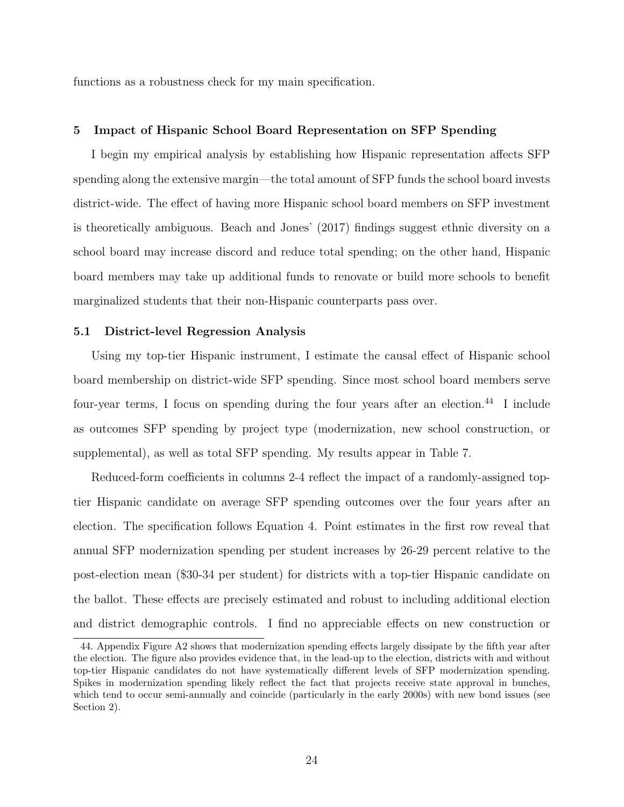functions as a robustness check for my main specification.

#### 5 Impact of Hispanic School Board Representation on SFP Spending

I begin my empirical analysis by establishing how Hispanic representation affects SFP spending along the extensive margin—the total amount of SFP funds the school board invests district-wide. The effect of having more Hispanic school board members on SFP investment is theoretically ambiguous. Beach and Jones' (2017) findings suggest ethnic diversity on a school board may increase discord and reduce total spending; on the other hand, Hispanic board members may take up additional funds to renovate or build more schools to benefit marginalized students that their non-Hispanic counterparts pass over.

# 5.1 District-level Regression Analysis

Using my top-tier Hispanic instrument, I estimate the causal effect of Hispanic school board membership on district-wide SFP spending. Since most school board members serve four-year terms, I focus on spending during the four years after an election.<sup>44</sup> I include as outcomes SFP spending by project type (modernization, new school construction, or supplemental), as well as total SFP spending. My results appear in [Table](#page-43-0) [7.](#page-43-0)

Reduced-form coefficients in columns 2-4 reflect the impact of a randomly-assigned toptier Hispanic candidate on average SFP spending outcomes over the four years after an election. The specification follows Equation [4.](#page-21-0) Point estimates in the first row reveal that annual SFP modernization spending per student increases by 26-29 percent relative to the post-election mean (\$30-34 per student) for districts with a top-tier Hispanic candidate on the ballot. These effects are precisely estimated and robust to including additional election and district demographic controls. I find no appreciable effects on new construction or

<sup>44.</sup> Appendix Figure [A2](#page-54-0) shows that modernization spending effects largely dissipate by the fifth year after the election. The figure also provides evidence that, in the lead-up to the election, districts with and without top-tier Hispanic candidates do not have systematically different levels of SFP modernization spending. Spikes in modernization spending likely reflect the fact that projects receive state approval in bunches, which tend to occur semi-annually and coincide (particularly in the early 2000s) with new bond issues (see Section 2).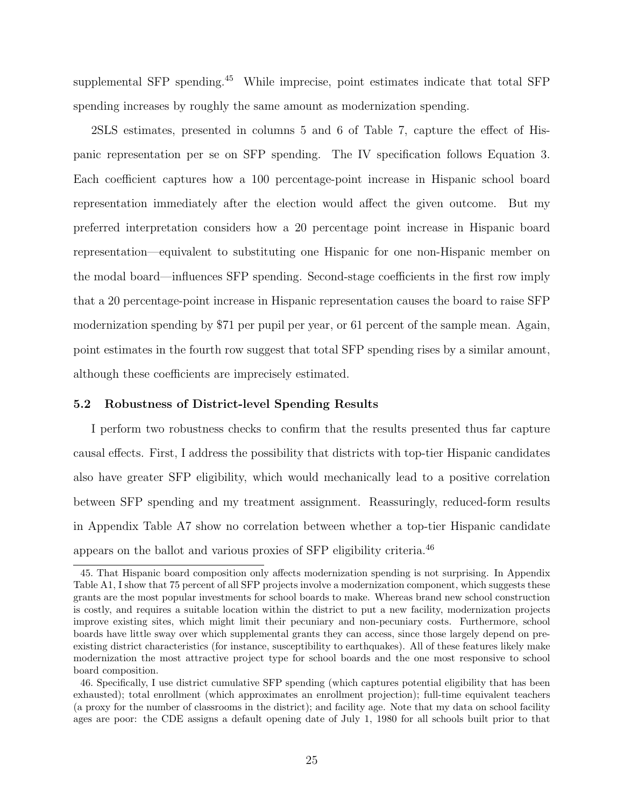supplemental SFP spending.<sup>45</sup> While imprecise, point estimates indicate that total SFP spending increases by roughly the same amount as modernization spending.

2SLS estimates, presented in columns 5 and 6 of [Table](#page-43-0) [7,](#page-43-0) capture the effect of Hispanic representation per se on SFP spending. The IV specification follows Equation [3.](#page-19-0) Each coefficient captures how a 100 percentage-point increase in Hispanic school board representation immediately after the election would affect the given outcome. But my preferred interpretation considers how a 20 percentage point increase in Hispanic board representation—equivalent to substituting one Hispanic for one non-Hispanic member on the modal board—influences SFP spending. Second-stage coefficients in the first row imply that a 20 percentage-point increase in Hispanic representation causes the board to raise SFP modernization spending by \$71 per pupil per year, or 61 percent of the sample mean. Again, point estimates in the fourth row suggest that total SFP spending rises by a similar amount, although these coefficients are imprecisely estimated.

### 5.2 Robustness of District-level Spending Results

I perform two robustness checks to confirm that the results presented thus far capture causal effects. First, I address the possibility that districts with top-tier Hispanic candidates also have greater SFP eligibility, which would mechanically lead to a positive correlation between SFP spending and my treatment assignment. Reassuringly, reduced-form results in Appendix [Table](#page-64-0) [A7](#page-64-0) show no correlation between whether a top-tier Hispanic candidate appears on the ballot and various proxies of SFP eligibility criteria.<sup>46</sup>

<sup>45.</sup> That Hispanic board composition only affects modernization spending is not surprising. In Appendix Table [A1,](#page-58-0) I show that 75 percent of all SFP projects involve a modernization component, which suggests these grants are the most popular investments for school boards to make. Whereas brand new school construction is costly, and requires a suitable location within the district to put a new facility, modernization projects improve existing sites, which might limit their pecuniary and non-pecuniary costs. Furthermore, school boards have little sway over which supplemental grants they can access, since those largely depend on preexisting district characteristics (for instance, susceptibility to earthquakes). All of these features likely make modernization the most attractive project type for school boards and the one most responsive to school board composition.

<sup>46.</sup> Specifically, I use district cumulative SFP spending (which captures potential eligibility that has been exhausted); total enrollment (which approximates an enrollment projection); full-time equivalent teachers (a proxy for the number of classrooms in the district); and facility age. Note that my data on school facility ages are poor: the CDE assigns a default opening date of July 1, 1980 for all schools built prior to that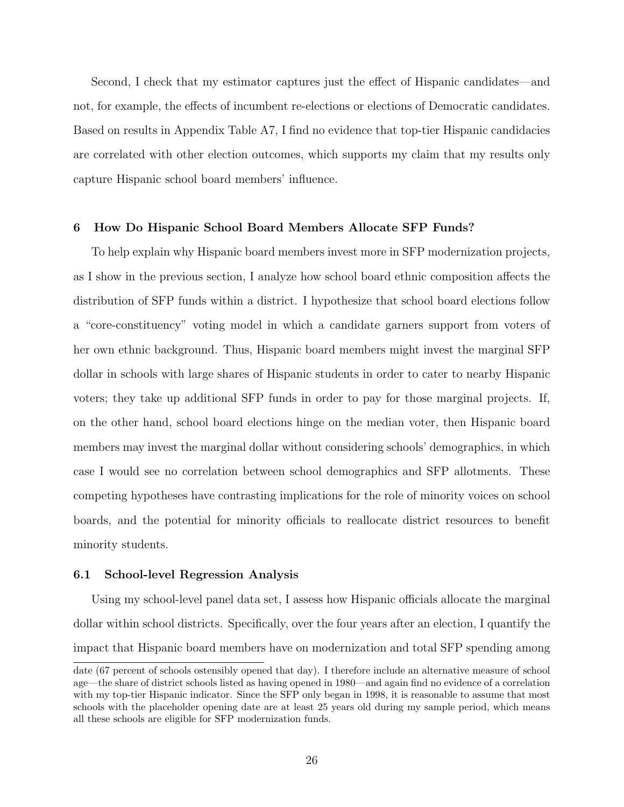Second, I check that my estimator captures just the effect of Hispanic candidates—and not, for example, the effects of incumbent re-elections or elections of Democratic candidates. Based on results in Appendix [Table](#page-64-0) [A7,](#page-64-0) I find no evidence that top-tier Hispanic candidacies are correlated with other election outcomes, which supports my claim that my results only capture Hispanic school board members' influence.

#### 6 How Do Hispanic School Board Members Allocate SFP Funds?

To help explain why Hispanic board members invest more in SFP modernization projects, as I show in the previous section, I analyze how school board ethnic composition affects the distribution of SFP funds within a district. I hypothesize that school board elections follow a "core-constituency" voting model in which a candidate garners support from voters of her own ethnic background. Thus, Hispanic board members might invest the marginal SFP dollar in schools with large shares of Hispanic students in order to cater to nearby Hispanic voters; they take up additional SFP funds in order to pay for those marginal projects. If, on the other hand, school board elections hinge on the median voter, then Hispanic board members may invest the marginal dollar without considering schools' demographics, in which case I would see no correlation between school demographics and SFP allotments. These competing hypotheses have contrasting implications for the role of minority voices on school boards, and the potential for minority officials to reallocate district resources to benefit minority students.

#### 6.1 School-level Regression Analysis

Using my school-level panel data set, I assess how Hispanic officials allocate the marginal dollar within school districts. Specifically, over the four years after an election, I quantify the impact that Hispanic board members have on modernization and total SFP spending among

date (67 percent of schools ostensibly opened that day). I therefore include an alternative measure of school age—the share of district schools listed as having opened in 1980—and again find no evidence of a correlation with my top-tier Hispanic indicator. Since the SFP only began in 1998, it is reasonable to assume that most schools with the placeholder opening date are at least 25 years old during my sample period, which means all these schools are eligible for SFP modernization funds.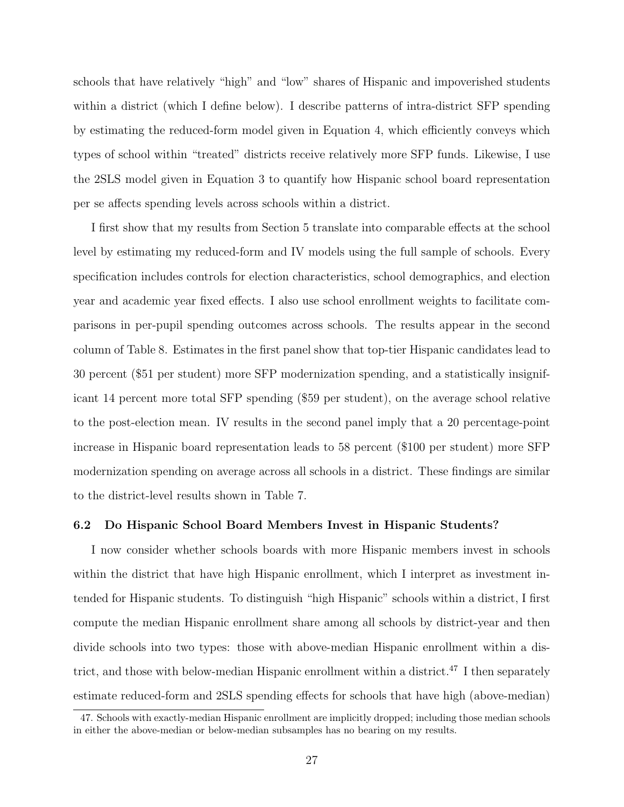schools that have relatively "high" and "low" shares of Hispanic and impoverished students within a district (which I define below). I describe patterns of intra-district SFP spending by estimating the reduced-form model given in Equation [4,](#page-21-0) which efficiently conveys which types of school within "treated" districts receive relatively more SFP funds. Likewise, I use the 2SLS model given in Equation [3](#page-19-0) to quantify how Hispanic school board representation per se affects spending levels across schools within a district.

I first show that my results from Section 5 translate into comparable effects at the school level by estimating my reduced-form and IV models using the full sample of schools. Every specification includes controls for election characteristics, school demographics, and election year and academic year fixed effects. I also use school enrollment weights to facilitate comparisons in per-pupil spending outcomes across schools. The results appear in the second column of [Table](#page-44-0) [8.](#page-44-0) Estimates in the first panel show that top-tier Hispanic candidates lead to 30 percent (\$51 per student) more SFP modernization spending, and a statistically insignificant 14 percent more total SFP spending (\$59 per student), on the average school relative to the post-election mean. IV results in the second panel imply that a 20 percentage-point increase in Hispanic board representation leads to 58 percent (\$100 per student) more SFP modernization spending on average across all schools in a district. These findings are similar to the district-level results shown in [Table](#page-43-0) [7.](#page-43-0)

#### 6.2 Do Hispanic School Board Members Invest in Hispanic Students?

I now consider whether schools boards with more Hispanic members invest in schools within the district that have high Hispanic enrollment, which I interpret as investment intended for Hispanic students. To distinguish "high Hispanic" schools within a district, I first compute the median Hispanic enrollment share among all schools by district-year and then divide schools into two types: those with above-median Hispanic enrollment within a district, and those with below-median Hispanic enrollment within a district.<sup>47</sup> I then separately estimate reduced-form and 2SLS spending effects for schools that have high (above-median)

<sup>47.</sup> Schools with exactly-median Hispanic enrollment are implicitly dropped; including those median schools in either the above-median or below-median subsamples has no bearing on my results.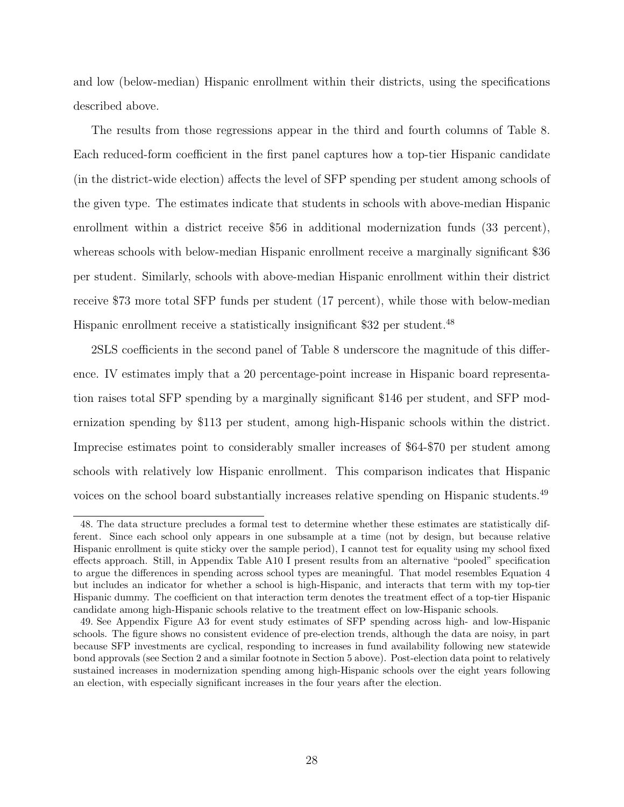and low (below-median) Hispanic enrollment within their districts, using the specifications described above.

The results from those regressions appear in the third and fourth columns of [Table](#page-44-0) [8.](#page-44-0) Each reduced-form coefficient in the first panel captures how a top-tier Hispanic candidate (in the district-wide election) affects the level of SFP spending per student among schools of the given type. The estimates indicate that students in schools with above-median Hispanic enrollment within a district receive \$56 in additional modernization funds (33 percent), whereas schools with below-median Hispanic enrollment receive a marginally significant \$36 per student. Similarly, schools with above-median Hispanic enrollment within their district receive \$73 more total SFP funds per student (17 percent), while those with below-median Hispanic enrollment receive a statistically insignificant \$32 per student.<sup>48</sup>

2SLS coefficients in the second panel of [Table](#page-44-0) [8](#page-44-0) underscore the magnitude of this difference. IV estimates imply that a 20 percentage-point increase in Hispanic board representation raises total SFP spending by a marginally significant \$146 per student, and SFP modernization spending by \$113 per student, among high-Hispanic schools within the district. Imprecise estimates point to considerably smaller increases of \$64-\$70 per student among schools with relatively low Hispanic enrollment. This comparison indicates that Hispanic voices on the school board substantially increases relative spending on Hispanic students.<sup>49</sup>

<sup>48.</sup> The data structure precludes a formal test to determine whether these estimates are statistically different. Since each school only appears in one subsample at a time (not by design, but because relative Hispanic enrollment is quite sticky over the sample period), I cannot test for equality using my school fixed effects approach. Still, in Appendix Table [A10](#page-67-0) I present results from an alternative "pooled" specification to argue the differences in spending across school types are meaningful. That model resembles Equation [4](#page-21-0) but includes an indicator for whether a school is high-Hispanic, and interacts that term with my top-tier Hispanic dummy. The coefficient on that interaction term denotes the treatment effect of a top-tier Hispanic candidate among high-Hispanic schools relative to the treatment effect on low-Hispanic schools.

<sup>49.</sup> See Appendix Figure [A3](#page-55-0) for event study estimates of SFP spending across high- and low-Hispanic schools. The figure shows no consistent evidence of pre-election trends, although the data are noisy, in part because SFP investments are cyclical, responding to increases in fund availability following new statewide bond approvals (see Section 2 and a similar footnote in Section 5 above). Post-election data point to relatively sustained increases in modernization spending among high-Hispanic schools over the eight years following an election, with especially significant increases in the four years after the election.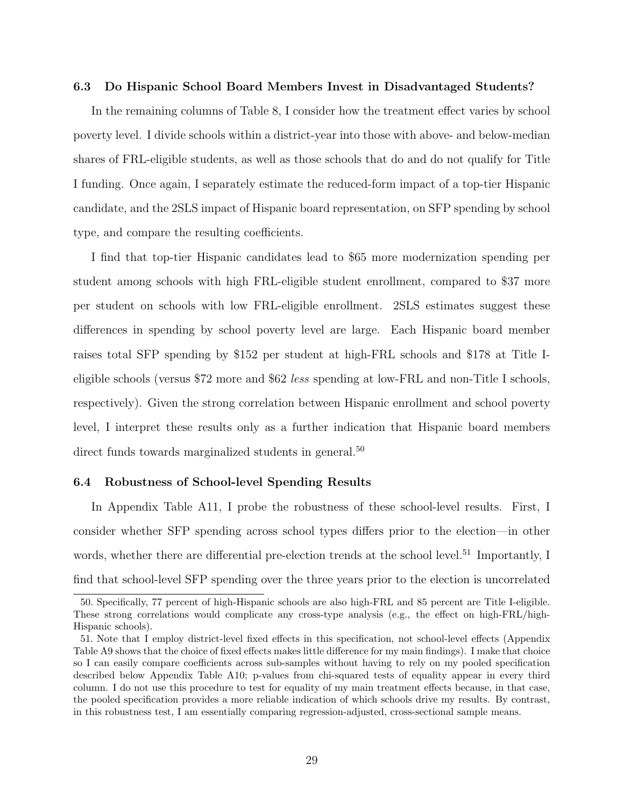#### 6.3 Do Hispanic School Board Members Invest in Disadvantaged Students?

In the remaining columns of [Table](#page-44-0) [8,](#page-44-0) I consider how the treatment effect varies by school poverty level. I divide schools within a district-year into those with above- and below-median shares of FRL-eligible students, as well as those schools that do and do not qualify for Title I funding. Once again, I separately estimate the reduced-form impact of a top-tier Hispanic candidate, and the 2SLS impact of Hispanic board representation, on SFP spending by school type, and compare the resulting coefficients.

I find that top-tier Hispanic candidates lead to \$65 more modernization spending per student among schools with high FRL-eligible student enrollment, compared to \$37 more per student on schools with low FRL-eligible enrollment. 2SLS estimates suggest these differences in spending by school poverty level are large. Each Hispanic board member raises total SFP spending by \$152 per student at high-FRL schools and \$178 at Title Ieligible schools (versus \$72 more and \$62 less spending at low-FRL and non-Title I schools, respectively). Given the strong correlation between Hispanic enrollment and school poverty level, I interpret these results only as a further indication that Hispanic board members direct funds towards marginalized students in general.<sup>50</sup>

#### 6.4 Robustness of School-level Spending Results

In Appendix [Table](#page-68-0) [A11,](#page-68-0) I probe the robustness of these school-level results. First, I consider whether SFP spending across school types differs prior to the election—in other words, whether there are differential pre-election trends at the school level.<sup>51</sup> Importantly, I find that school-level SFP spending over the three years prior to the election is uncorrelated

<sup>50.</sup> Specifically, 77 percent of high-Hispanic schools are also high-FRL and 85 percent are Title I-eligible. These strong correlations would complicate any cross-type analysis (e.g., the effect on high-FRL/high-Hispanic schools).

<sup>51.</sup> Note that I employ district-level fixed effects in this specification, not school-level effects (Appendix Table [A9](#page-66-0) shows that the choice of fixed effects makes little difference for my main findings). I make that choice so I can easily compare coefficients across sub-samples without having to rely on my pooled specification described below Appendix Table [A10;](#page-67-0) p-values from chi-squared tests of equality appear in every third column. I do not use this procedure to test for equality of my main treatment effects because, in that case, the pooled specification provides a more reliable indication of which schools drive my results. By contrast, in this robustness test, I am essentially comparing regression-adjusted, cross-sectional sample means.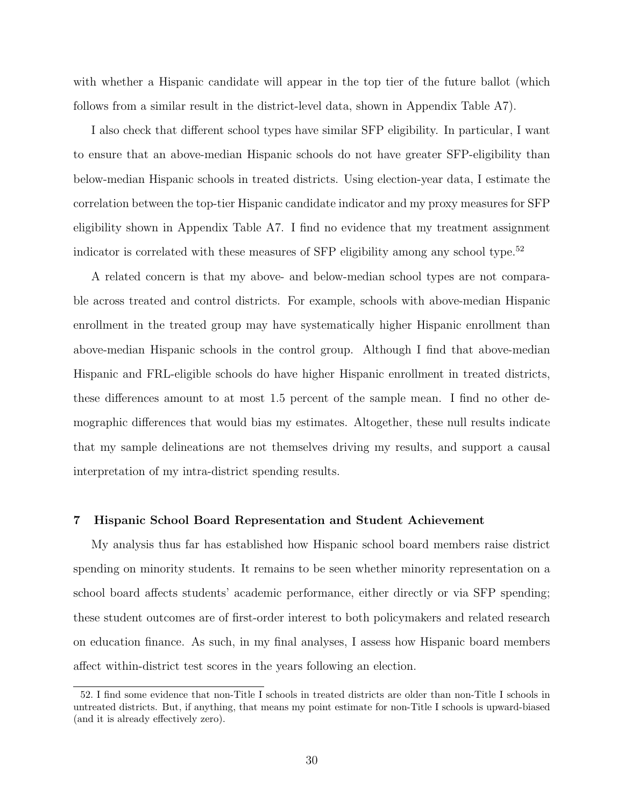with whether a Hispanic candidate will appear in the top tier of the future ballot (which follows from a similar result in the district-level data, shown in Appendix [Table](#page-64-0) [A7\)](#page-64-0).

I also check that different school types have similar SFP eligibility. In particular, I want to ensure that an above-median Hispanic schools do not have greater SFP-eligibility than below-median Hispanic schools in treated districts. Using election-year data, I estimate the correlation between the top-tier Hispanic candidate indicator and my proxy measures for SFP eligibility shown in Appendix [Table](#page-64-0) [A7.](#page-64-0) I find no evidence that my treatment assignment indicator is correlated with these measures of  $SFP$  eligibility among any school type.<sup>52</sup>

A related concern is that my above- and below-median school types are not comparable across treated and control districts. For example, schools with above-median Hispanic enrollment in the treated group may have systematically higher Hispanic enrollment than above-median Hispanic schools in the control group. Although I find that above-median Hispanic and FRL-eligible schools do have higher Hispanic enrollment in treated districts, these differences amount to at most 1.5 percent of the sample mean. I find no other demographic differences that would bias my estimates. Altogether, these null results indicate that my sample delineations are not themselves driving my results, and support a causal interpretation of my intra-district spending results.

# 7 Hispanic School Board Representation and Student Achievement

My analysis thus far has established how Hispanic school board members raise district spending on minority students. It remains to be seen whether minority representation on a school board affects students' academic performance, either directly or via SFP spending; these student outcomes are of first-order interest to both policymakers and related research on education finance. As such, in my final analyses, I assess how Hispanic board members affect within-district test scores in the years following an election.

<sup>52.</sup> I find some evidence that non-Title I schools in treated districts are older than non-Title I schools in untreated districts. But, if anything, that means my point estimate for non-Title I schools is upward-biased (and it is already effectively zero).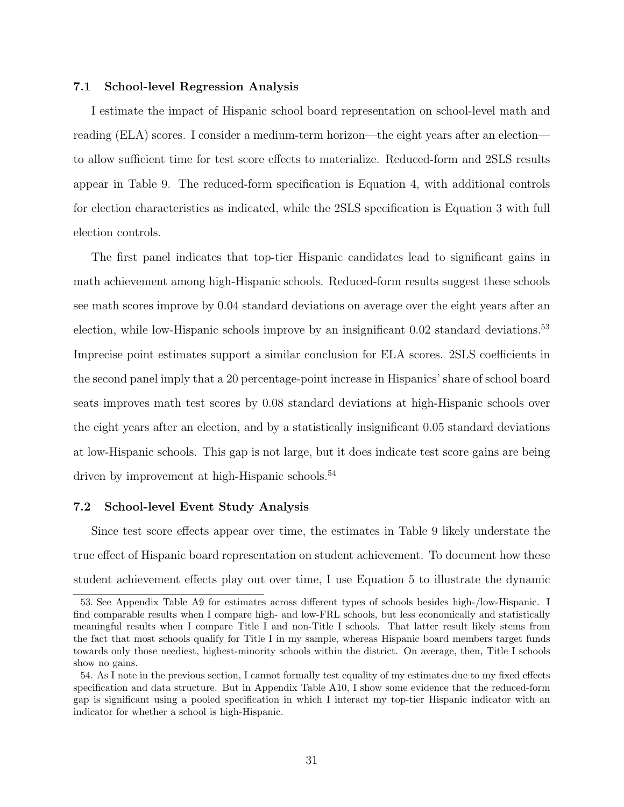#### 7.1 School-level Regression Analysis

I estimate the impact of Hispanic school board representation on school-level math and reading (ELA) scores. I consider a medium-term horizon—the eight years after an election to allow sufficient time for test score effects to materialize. Reduced-form and 2SLS results appear in [Table](#page-45-0) [9.](#page-45-0) The reduced-form specification is Equation [4,](#page-21-0) with additional controls for election characteristics as indicated, while the 2SLS specification is Equation [3](#page-19-0) with full election controls.

The first panel indicates that top-tier Hispanic candidates lead to significant gains in math achievement among high-Hispanic schools. Reduced-form results suggest these schools see math scores improve by 0.04 standard deviations on average over the eight years after an election, while low-Hispanic schools improve by an insignificant 0.02 standard deviations.<sup>53</sup> Imprecise point estimates support a similar conclusion for ELA scores. 2SLS coefficients in the second panel imply that a 20 percentage-point increase in Hispanics' share of school board seats improves math test scores by 0.08 standard deviations at high-Hispanic schools over the eight years after an election, and by a statistically insignificant 0.05 standard deviations at low-Hispanic schools. This gap is not large, but it does indicate test score gains are being driven by improvement at high-Hispanic schools.<sup>54</sup>

# 7.2 School-level Event Study Analysis

Since test score effects appear over time, the estimates in Table [9](#page-45-0) likely understate the true effect of Hispanic board representation on student achievement. To document how these student achievement effects play out over time, I use Equation [5](#page-22-0) to illustrate the dynamic

<sup>53.</sup> See Appendix Table [A9](#page-66-0) for estimates across different types of schools besides high-/low-Hispanic. I find comparable results when I compare high- and low-FRL schools, but less economically and statistically meaningful results when I compare Title I and non-Title I schools. That latter result likely stems from the fact that most schools qualify for Title I in my sample, whereas Hispanic board members target funds towards only those neediest, highest-minority schools within the district. On average, then, Title I schools show no gains.

<sup>54.</sup> As I note in the previous section, I cannot formally test equality of my estimates due to my fixed effects specification and data structure. But in Appendix Table [A10,](#page-67-0) I show some evidence that the reduced-form gap is significant using a pooled specification in which I interact my top-tier Hispanic indicator with an indicator for whether a school is high-Hispanic.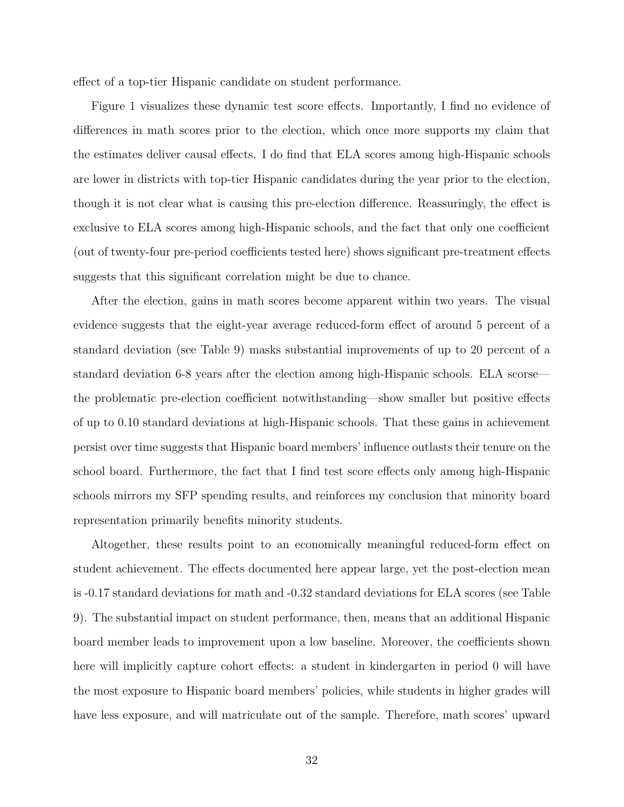effect of a top-tier Hispanic candidate on student performance.

Figure [1](#page-47-0) visualizes these dynamic test score effects. Importantly, I find no evidence of differences in math scores prior to the election, which once more supports my claim that the estimates deliver causal effects. I do find that ELA scores among high-Hispanic schools are lower in districts with top-tier Hispanic candidates during the year prior to the election, though it is not clear what is causing this pre-election difference. Reassuringly, the effect is exclusive to ELA scores among high-Hispanic schools, and the fact that only one coefficient (out of twenty-four pre-period coefficients tested here) shows significant pre-treatment effects suggests that this significant correlation might be due to chance.

After the election, gains in math scores become apparent within two years. The visual evidence suggests that the eight-year average reduced-form effect of around 5 percent of a standard deviation (see Table [9\)](#page-45-0) masks substantial improvements of up to 20 percent of a standard deviation 6-8 years after the election among high-Hispanic schools. ELA scorse the problematic pre-election coefficient notwithstanding—show smaller but positive effects of up to 0.10 standard deviations at high-Hispanic schools. That these gains in achievement persist over time suggests that Hispanic board members' influence outlasts their tenure on the school board. Furthermore, the fact that I find test score effects only among high-Hispanic schools mirrors my SFP spending results, and reinforces my conclusion that minority board representation primarily benefits minority students.

Altogether, these results point to an economically meaningful reduced-form effect on student achievement. The effects documented here appear large, yet the post-election mean is -0.17 standard deviations for math and -0.32 standard deviations for ELA scores (see Table [9\)](#page-45-0). The substantial impact on student performance, then, means that an additional Hispanic board member leads to improvement upon a low baseline. Moreover, the coefficients shown here will implicitly capture cohort effects: a student in kindergarten in period 0 will have the most exposure to Hispanic board members' policies, while students in higher grades will have less exposure, and will matriculate out of the sample. Therefore, math scores' upward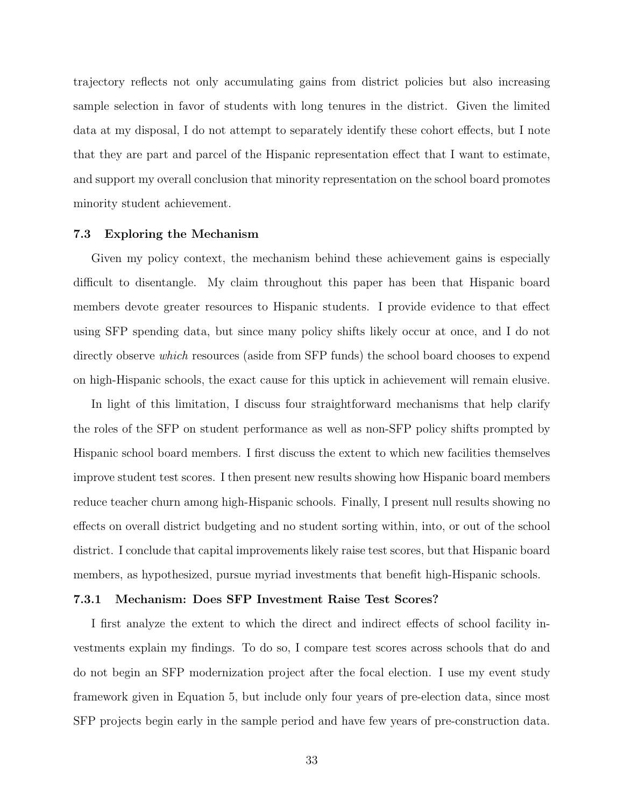trajectory reflects not only accumulating gains from district policies but also increasing sample selection in favor of students with long tenures in the district. Given the limited data at my disposal, I do not attempt to separately identify these cohort effects, but I note that they are part and parcel of the Hispanic representation effect that I want to estimate, and support my overall conclusion that minority representation on the school board promotes minority student achievement.

#### 7.3 Exploring the Mechanism

Given my policy context, the mechanism behind these achievement gains is especially difficult to disentangle. My claim throughout this paper has been that Hispanic board members devote greater resources to Hispanic students. I provide evidence to that effect using SFP spending data, but since many policy shifts likely occur at once, and I do not directly observe *which* resources (aside from SFP funds) the school board chooses to expend on high-Hispanic schools, the exact cause for this uptick in achievement will remain elusive.

In light of this limitation, I discuss four straightforward mechanisms that help clarify the roles of the SFP on student performance as well as non-SFP policy shifts prompted by Hispanic school board members. I first discuss the extent to which new facilities themselves improve student test scores. I then present new results showing how Hispanic board members reduce teacher churn among high-Hispanic schools. Finally, I present null results showing no effects on overall district budgeting and no student sorting within, into, or out of the school district. I conclude that capital improvements likely raise test scores, but that Hispanic board members, as hypothesized, pursue myriad investments that benefit high-Hispanic schools.

# 7.3.1 Mechanism: Does SFP Investment Raise Test Scores?

I first analyze the extent to which the direct and indirect effects of school facility investments explain my findings. To do so, I compare test scores across schools that do and do not begin an SFP modernization project after the focal election. I use my event study framework given in Equation [5,](#page-22-0) but include only four years of pre-election data, since most SFP projects begin early in the sample period and have few years of pre-construction data.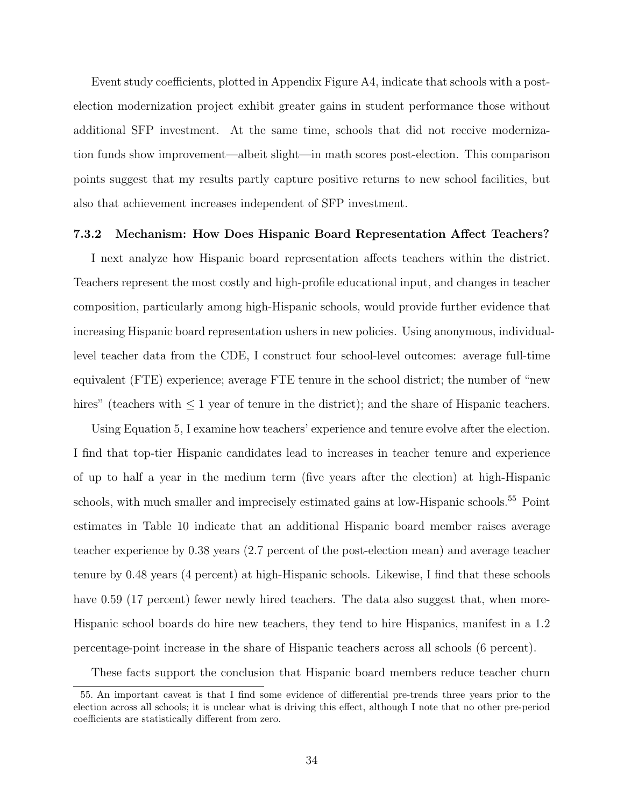Event study coefficients, plotted in Appendix Figure [A4,](#page-56-0) indicate that schools with a postelection modernization project exhibit greater gains in student performance those without additional SFP investment. At the same time, schools that did not receive modernization funds show improvement—albeit slight—in math scores post-election. This comparison points suggest that my results partly capture positive returns to new school facilities, but also that achievement increases independent of SFP investment.

#### 7.3.2 Mechanism: How Does Hispanic Board Representation Affect Teachers?

I next analyze how Hispanic board representation affects teachers within the district. Teachers represent the most costly and high-profile educational input, and changes in teacher composition, particularly among high-Hispanic schools, would provide further evidence that increasing Hispanic board representation ushers in new policies. Using anonymous, individuallevel teacher data from the CDE, I construct four school-level outcomes: average full-time equivalent (FTE) experience; average FTE tenure in the school district; the number of "new hires" (teachers with ≤ 1 year of tenure in the district); and the share of Hispanic teachers.

Using Equation [5,](#page-22-0) I examine how teachers' experience and tenure evolve after the election. I find that top-tier Hispanic candidates lead to increases in teacher tenure and experience of up to half a year in the medium term (five years after the election) at high-Hispanic schools, with much smaller and imprecisely estimated gains at low-Hispanic schools.<sup>55</sup> Point estimates in Table [10](#page-46-0) indicate that an additional Hispanic board member raises average teacher experience by 0.38 years (2.7 percent of the post-election mean) and average teacher tenure by 0.48 years (4 percent) at high-Hispanic schools. Likewise, I find that these schools have 0.59 (17 percent) fewer newly hired teachers. The data also suggest that, when more-Hispanic school boards do hire new teachers, they tend to hire Hispanics, manifest in a 1.2 percentage-point increase in the share of Hispanic teachers across all schools (6 percent).

These facts support the conclusion that Hispanic board members reduce teacher churn

<sup>55.</sup> An important caveat is that I find some evidence of differential pre-trends three years prior to the election across all schools; it is unclear what is driving this effect, although I note that no other pre-period coefficients are statistically different from zero.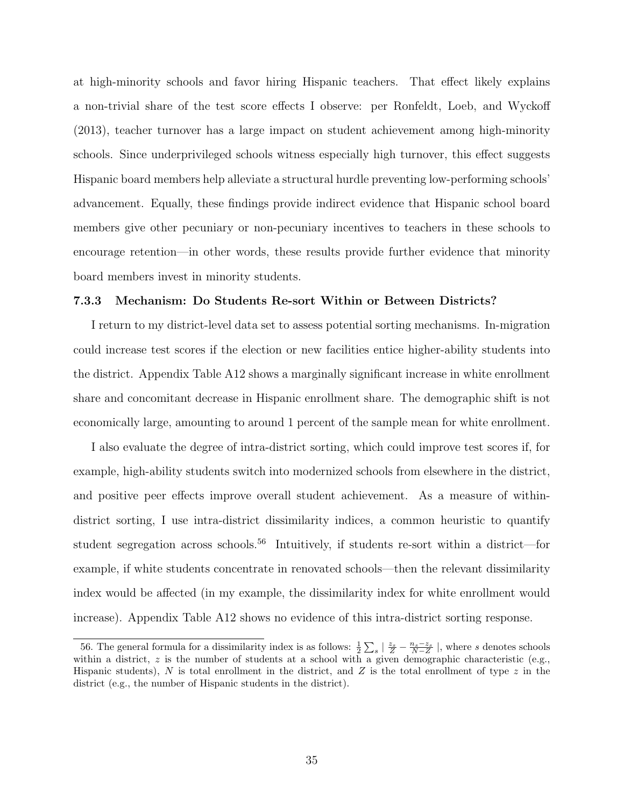at high-minority schools and favor hiring Hispanic teachers. That effect likely explains a non-trivial share of the test score effects I observe: per Ronfeldt, Loeb, and Wyckoff (2013), teacher turnover has a large impact on student achievement among high-minority schools. Since underprivileged schools witness especially high turnover, this effect suggests Hispanic board members help alleviate a structural hurdle preventing low-performing schools' advancement. Equally, these findings provide indirect evidence that Hispanic school board members give other pecuniary or non-pecuniary incentives to teachers in these schools to encourage retention—in other words, these results provide further evidence that minority board members invest in minority students.

#### 7.3.3 Mechanism: Do Students Re-sort Within or Between Districts?

I return to my district-level data set to assess potential sorting mechanisms. In-migration could increase test scores if the election or new facilities entice higher-ability students into the district. Appendix Table [A12](#page-69-0) shows a marginally significant increase in white enrollment share and concomitant decrease in Hispanic enrollment share. The demographic shift is not economically large, amounting to around 1 percent of the sample mean for white enrollment.

I also evaluate the degree of intra-district sorting, which could improve test scores if, for example, high-ability students switch into modernized schools from elsewhere in the district, and positive peer effects improve overall student achievement. As a measure of withindistrict sorting, I use intra-district dissimilarity indices, a common heuristic to quantify student segregation across schools.<sup>56</sup> Intuitively, if students re-sort within a district—for example, if white students concentrate in renovated schools—then the relevant dissimilarity index would be affected (in my example, the dissimilarity index for white enrollment would increase). Appendix Table [A12](#page-69-0) shows no evidence of this intra-district sorting response.

<sup>56.</sup> The general formula for a dissimilarity index is as follows:  $\frac{1}{2}\sum_{s}|\frac{z_{s}}{Z}-\frac{n_{s}-z_{s}}{N-Z}|$ , where s denotes schools within a district,  $z$  is the number of students at a school with a given demographic characteristic (e.g., Hispanic students),  $N$  is total enrollment in the district, and  $Z$  is the total enrollment of type  $z$  in the district (e.g., the number of Hispanic students in the district).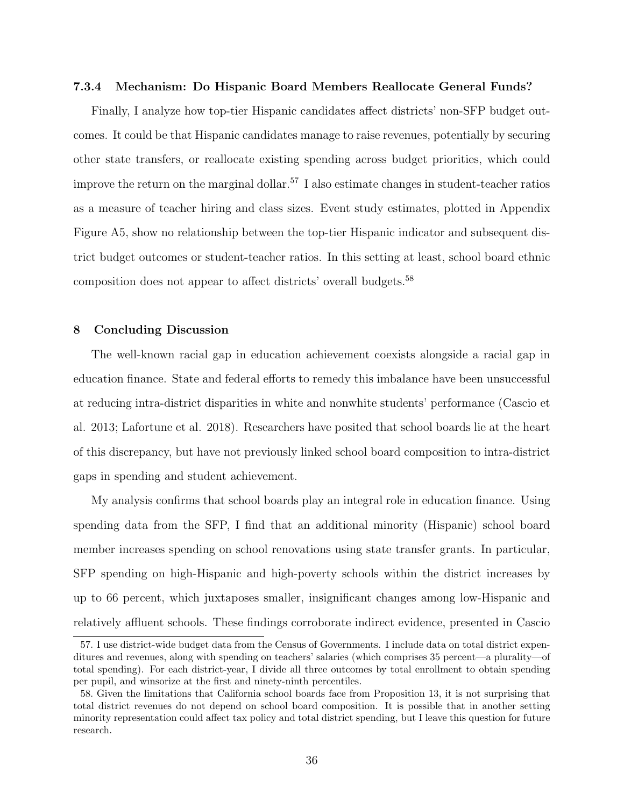#### 7.3.4 Mechanism: Do Hispanic Board Members Reallocate General Funds?

Finally, I analyze how top-tier Hispanic candidates affect districts' non-SFP budget outcomes. It could be that Hispanic candidates manage to raise revenues, potentially by securing other state transfers, or reallocate existing spending across budget priorities, which could improve the return on the marginal dollar.<sup>57</sup> I also estimate changes in student-teacher ratios as a measure of teacher hiring and class sizes. Event study estimates, plotted in Appendix Figure [A5,](#page-57-0) show no relationship between the top-tier Hispanic indicator and subsequent district budget outcomes or student-teacher ratios. In this setting at least, school board ethnic composition does not appear to affect districts' overall budgets.<sup>58</sup>

# 8 Concluding Discussion

The well-known racial gap in education achievement coexists alongside a racial gap in education finance. State and federal efforts to remedy this imbalance have been unsuccessful at reducing intra-district disparities in white and nonwhite students' performance (Cascio et al. 2013; Lafortune et al. 2018). Researchers have posited that school boards lie at the heart of this discrepancy, but have not previously linked school board composition to intra-district gaps in spending and student achievement.

My analysis confirms that school boards play an integral role in education finance. Using spending data from the SFP, I find that an additional minority (Hispanic) school board member increases spending on school renovations using state transfer grants. In particular, SFP spending on high-Hispanic and high-poverty schools within the district increases by up to 66 percent, which juxtaposes smaller, insignificant changes among low-Hispanic and relatively affluent schools. These findings corroborate indirect evidence, presented in Cascio

<sup>57.</sup> I use district-wide budget data from the Census of Governments. I include data on total district expenditures and revenues, along with spending on teachers' salaries (which comprises 35 percent—a plurality—of total spending). For each district-year, I divide all three outcomes by total enrollment to obtain spending per pupil, and winsorize at the first and ninety-ninth percentiles.

<sup>58.</sup> Given the limitations that California school boards face from Proposition 13, it is not surprising that total district revenues do not depend on school board composition. It is possible that in another setting minority representation could affect tax policy and total district spending, but I leave this question for future research.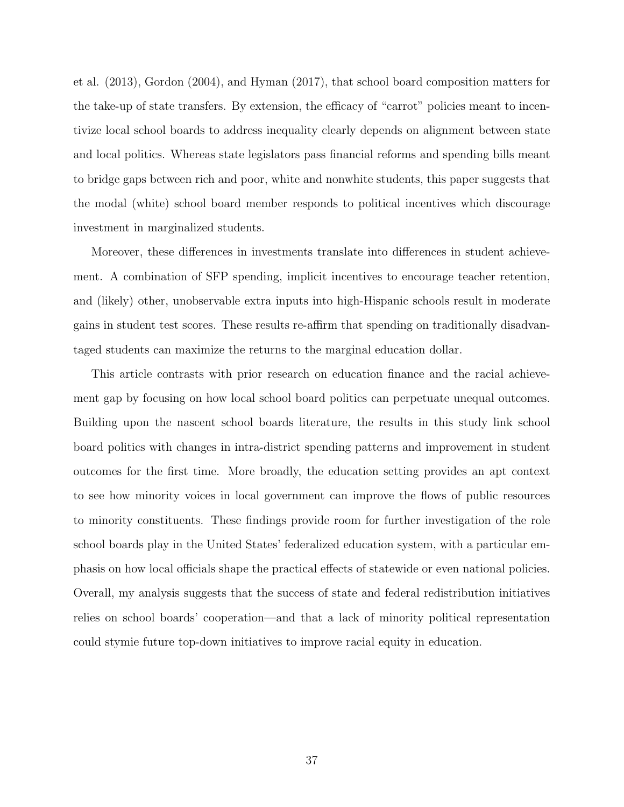et al. (2013), Gordon (2004), and Hyman (2017), that school board composition matters for the take-up of state transfers. By extension, the efficacy of "carrot" policies meant to incentivize local school boards to address inequality clearly depends on alignment between state and local politics. Whereas state legislators pass financial reforms and spending bills meant to bridge gaps between rich and poor, white and nonwhite students, this paper suggests that the modal (white) school board member responds to political incentives which discourage investment in marginalized students.

Moreover, these differences in investments translate into differences in student achievement. A combination of SFP spending, implicit incentives to encourage teacher retention, and (likely) other, unobservable extra inputs into high-Hispanic schools result in moderate gains in student test scores. These results re-affirm that spending on traditionally disadvantaged students can maximize the returns to the marginal education dollar.

This article contrasts with prior research on education finance and the racial achievement gap by focusing on how local school board politics can perpetuate unequal outcomes. Building upon the nascent school boards literature, the results in this study link school board politics with changes in intra-district spending patterns and improvement in student outcomes for the first time. More broadly, the education setting provides an apt context to see how minority voices in local government can improve the flows of public resources to minority constituents. These findings provide room for further investigation of the role school boards play in the United States' federalized education system, with a particular emphasis on how local officials shape the practical effects of statewide or even national policies. Overall, my analysis suggests that the success of state and federal redistribution initiatives relies on school boards' cooperation—and that a lack of minority political representation could stymie future top-down initiatives to improve racial equity in education.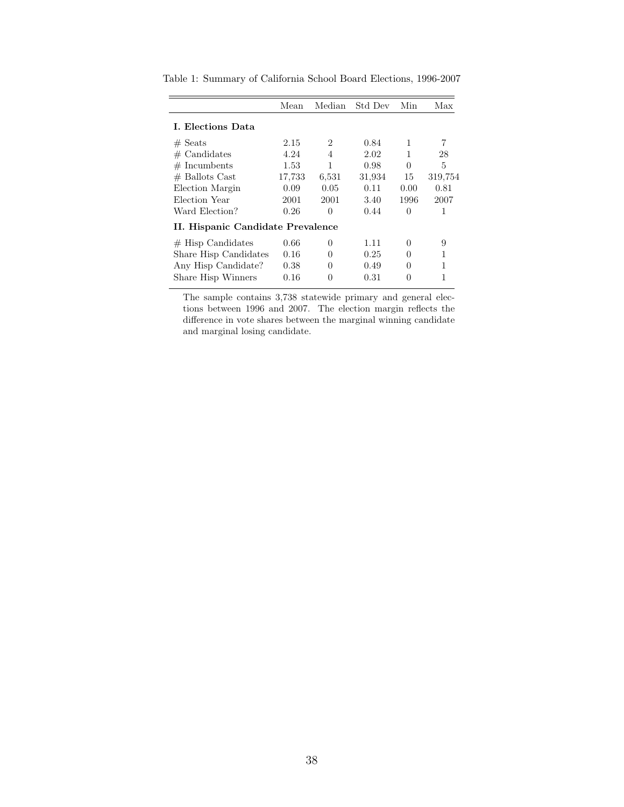|                                   | Mean   | Median | Std Dev | Min      | Max     |
|-----------------------------------|--------|--------|---------|----------|---------|
| L. Elections Data                 |        |        |         |          |         |
| $#$ Seats                         | 2.15   | 2      | 0.84    | 1        | 7       |
| $#$ Candidates                    | 4.24   | 4      | 2.02    |          | 28      |
| $#$ Incumbents                    | 1.53   | 1      | 0.98    | 0        | 5       |
| $#$ Ballots Cast                  | 17.733 | 6.531  | 31,934  | 15       | 319,754 |
| Election Margin                   | 0.09   | 0.05   | 0.11    | 0.00     | 0.81    |
| Election Year                     | 2001   | 2001   | 3.40    | 1996     | 2007    |
| Ward Election?                    | 0.26   | 0      | 0.44    | $\Omega$ | 1       |
| II. Hispanic Candidate Prevalence |        |        |         |          |         |
| $#$ Hisp Candidates               | 0.66   | 0      | 1.11    | 0        | 9       |
| Share Hisp Candidates             | 0.16   | O      | 0.25    | 0        | 1       |
| Any Hisp Candidate?               | 0.38   | 0      | 0.49    | 0        | 1       |
| Share Hisp Winners                | 0.16   | 0      | 0.31    | 0        |         |

<span id="page-37-0"></span>Table 1: Summary of California School Board Elections, 1996-2007

The sample contains 3,738 statewide primary and general elections between 1996 and 2007. The election margin reflects the difference in vote shares between the marginal winning candidate and marginal losing candidate.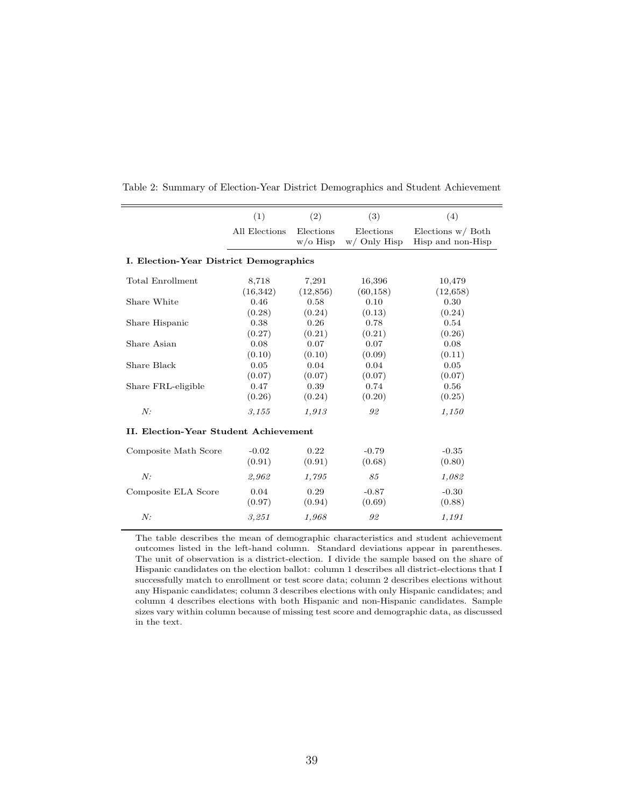| (1)                                           | (2)         | (3)                                   | (4)                 |  |  |  |  |  |  |  |
|-----------------------------------------------|-------------|---------------------------------------|---------------------|--|--|--|--|--|--|--|
| All Elections                                 | Elections   | Elections                             | Elections $w/$ Both |  |  |  |  |  |  |  |
|                                               | $w$ /o Hisp | $w/$ Only Hisp                        | Hisp and non-Hisp   |  |  |  |  |  |  |  |
| <b>I. Election-Year District Demographics</b> |             |                                       |                     |  |  |  |  |  |  |  |
| 8,718                                         | 7,291       | 16,396                                | 10,479              |  |  |  |  |  |  |  |
| (16, 342)                                     | (12, 856)   | (60, 158)                             | (12,658)            |  |  |  |  |  |  |  |
| 0.46                                          | 0.58        | 0.10                                  | 0.30                |  |  |  |  |  |  |  |
| (0.28)                                        | (0.24)      | (0.13)                                | (0.24)              |  |  |  |  |  |  |  |
| 0.38                                          | 0.26        | 0.78                                  | 0.54                |  |  |  |  |  |  |  |
| (0.27)                                        | (0.21)      | (0.21)                                | (0.26)              |  |  |  |  |  |  |  |
| 0.08                                          | 0.07        | 0.07                                  | 0.08                |  |  |  |  |  |  |  |
| (0.10)                                        | (0.10)      | (0.09)                                | (0.11)              |  |  |  |  |  |  |  |
| 0.05                                          | 0.04        | 0.04                                  | 0.05                |  |  |  |  |  |  |  |
| (0.07)                                        | (0.07)      | (0.07)                                | (0.07)              |  |  |  |  |  |  |  |
| 0.47                                          | 0.39        | 0.74                                  | 0.56                |  |  |  |  |  |  |  |
| (0.26)                                        | (0.24)      | (0.20)                                | (0.25)              |  |  |  |  |  |  |  |
| 3.155                                         | 1,913       | 92                                    | 1,150               |  |  |  |  |  |  |  |
|                                               |             |                                       |                     |  |  |  |  |  |  |  |
| $-0.02$                                       | 0.22        | $-0.79$                               | $-0.35$             |  |  |  |  |  |  |  |
| (0.91)                                        | (0.91)      | (0.68)                                | (0.80)              |  |  |  |  |  |  |  |
| 2,962                                         | 1,795       | 85                                    | 1,082               |  |  |  |  |  |  |  |
| 0.04                                          | 0.29        | $-0.87$                               | $-0.30$             |  |  |  |  |  |  |  |
| (0.97)                                        | (0.94)      | (0.69)                                | (0.88)              |  |  |  |  |  |  |  |
| 3.251                                         | 1.968       | 92                                    | 1,191               |  |  |  |  |  |  |  |
|                                               |             | II. Election-Year Student Achievement |                     |  |  |  |  |  |  |  |

<span id="page-38-0"></span>Table 2: Summary of Election-Year District Demographics and Student Achievement

The table describes the mean of demographic characteristics and student achievement outcomes listed in the left-hand column. Standard deviations appear in parentheses. The unit of observation is a district-election. I divide the sample based on the share of Hispanic candidates on the election ballot: column 1 describes all district-elections that I successfully match to enrollment or test score data; column 2 describes elections without any Hispanic candidates; column 3 describes elections with only Hispanic candidates; and column 4 describes elections with both Hispanic and non-Hispanic candidates. Sample sizes vary within column because of missing test score and demographic data, as discussed in the text.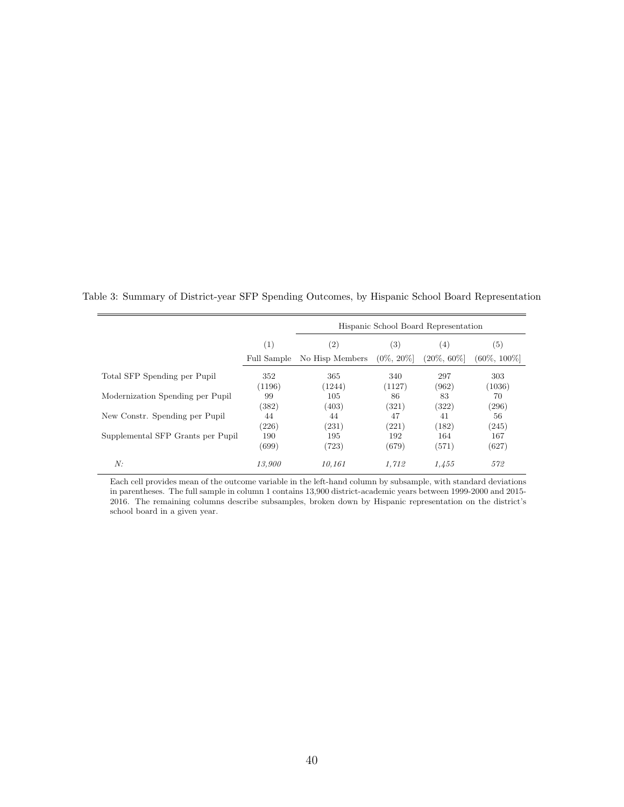|                                   |             | Hispanic School Board Representation |               |                |                 |  |  |
|-----------------------------------|-------------|--------------------------------------|---------------|----------------|-----------------|--|--|
|                                   | (1)         | (2)                                  | (3)           | (4)            | (5)             |  |  |
|                                   | Full Sample | No Hisp Members                      | $(0\%, 20\%)$ | $(20\%, 60\%)$ | $(60\%, 100\%]$ |  |  |
| Total SFP Spending per Pupil      | 352         | 365                                  | 340           | 297            | 303             |  |  |
|                                   | (1196)      | (1244)                               | (1127)        | (962)          | (1036)          |  |  |
| Modernization Spending per Pupil  | 99          | 105                                  | 86            | 83             | 70              |  |  |
|                                   | (382)       | (403)                                | (321)         | (322)          | (296)           |  |  |
| New Constr. Spending per Pupil    | 44          | 44                                   | 47            | 41             | 56              |  |  |
|                                   | (226)       | (231)                                | (221)         | (182)          | (245)           |  |  |
| Supplemental SFP Grants per Pupil | 190         | 195                                  | 192           | 164            | 167             |  |  |
|                                   | (699)       | (723)                                | (679)         | (571)          | (627)           |  |  |
| N:                                | 13,900      | 10.161                               | 1.712         | 1.455          | 572             |  |  |

<span id="page-39-0"></span>Table 3: Summary of District-year SFP Spending Outcomes, by Hispanic School Board Representation

Each cell provides mean of the outcome variable in the left-hand column by subsample, with standard deviations in parentheses. The full sample in column 1 contains 13,900 district-academic years between 1999-2000 and 2015- 2016. The remaining columns describe subsamples, broken down by Hispanic representation on the district's school board in a given year.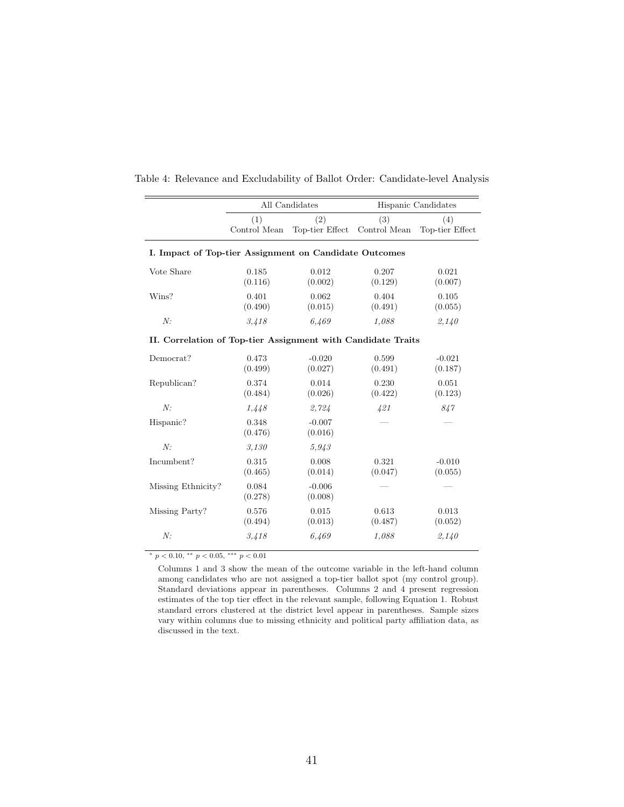|                                                              |                     | All Candidates         |                     | Hispanic Candidates    |  |  |  |  |  |  |  |
|--------------------------------------------------------------|---------------------|------------------------|---------------------|------------------------|--|--|--|--|--|--|--|
|                                                              | (1)<br>Control Mean | (2)<br>Top-tier Effect | (3)<br>Control Mean | (4)<br>Top-tier Effect |  |  |  |  |  |  |  |
| I. Impact of Top-tier Assignment on Candidate Outcomes       |                     |                        |                     |                        |  |  |  |  |  |  |  |
| Vote Share                                                   | 0.185<br>(0.116)    | 0.012<br>(0.002)       | 0.207<br>(0.129)    | 0.021<br>(0.007)       |  |  |  |  |  |  |  |
| Wins?                                                        | 0.401<br>(0.490)    | 0.062<br>(0.015)       | 0.404<br>(0.491)    | 0.105<br>(0.055)       |  |  |  |  |  |  |  |
| N:                                                           | 3,418               | 6.469                  | 1.088               | 2,140                  |  |  |  |  |  |  |  |
| II. Correlation of Top-tier Assignment with Candidate Traits |                     |                        |                     |                        |  |  |  |  |  |  |  |
| Democrat?                                                    | 0.473<br>(0.499)    | $-0.020$<br>(0.027)    | 0.599<br>(0.491)    | $-0.021$<br>(0.187)    |  |  |  |  |  |  |  |
| Republican?                                                  | 0.374<br>(0.484)    | 0.014<br>(0.026)       | 0.230<br>(0.422)    | 0.051<br>(0.123)       |  |  |  |  |  |  |  |
| N:                                                           | 1,448               | 2,724                  | 421                 | 847                    |  |  |  |  |  |  |  |
| Hispanic?                                                    | 0.348<br>(0.476)    | $-0.007$<br>(0.016)    |                     |                        |  |  |  |  |  |  |  |
| N:                                                           | 3,130               | 5,943                  |                     |                        |  |  |  |  |  |  |  |
| Incumbent?                                                   | 0.315<br>(0.465)    | 0.008<br>(0.014)       | 0.321<br>(0.047)    | $-0.010$<br>(0.055)    |  |  |  |  |  |  |  |
| Missing Ethnicity?                                           | 0.084<br>(0.278)    | $-0.006$<br>(0.008)    |                     |                        |  |  |  |  |  |  |  |
| Missing Party?                                               | 0.576<br>(0.494)    | 0.015<br>(0.013)       | 0.613<br>(0.487)    | 0.013<br>(0.052)       |  |  |  |  |  |  |  |
| N:                                                           | 3,418               | 6,469                  | 1.088               | 2,140                  |  |  |  |  |  |  |  |

<span id="page-40-0"></span>Table 4: Relevance and Excludability of Ballot Order: Candidate-level Analysis

<sup>∗</sup> p < 0.10, ∗∗ p < 0.05, ∗∗∗ p < 0.01

Columns 1 and 3 show the mean of the outcome variable in the left-hand column among candidates who are not assigned a top-tier ballot spot (my control group). Standard deviations appear in parentheses. Columns 2 and 4 present regression estimates of the top tier effect in the relevant sample, following Equation [1.](#page-14-0) Robust standard errors clustered at the district level appear in parentheses. Sample sizes vary within columns due to missing ethnicity and political party affiliation data, as discussed in the text.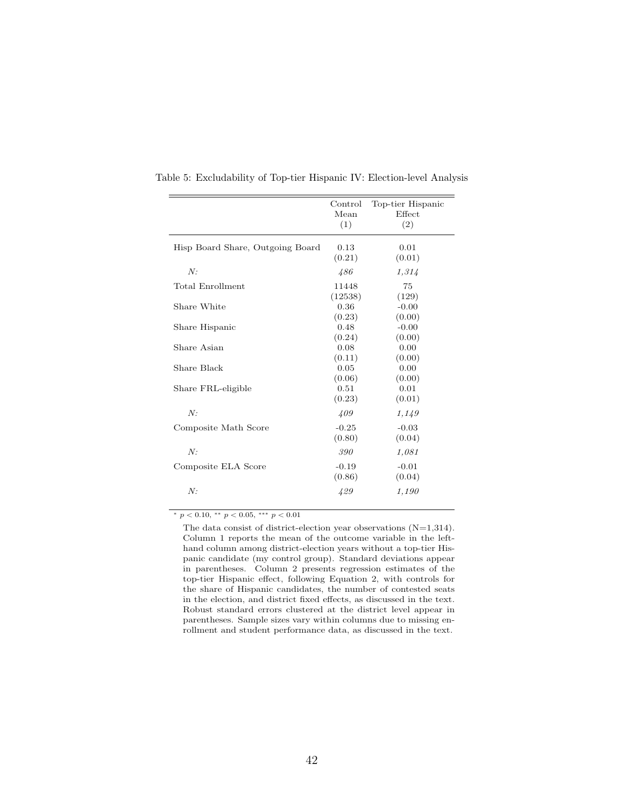|                                  | Control<br>Mean<br>(1) | Top-tier Hispanic<br>Effect<br>(2) |
|----------------------------------|------------------------|------------------------------------|
| Hisp Board Share, Outgoing Board | 0.13<br>(0.21)         | 0.01<br>(0.01)                     |
| N:                               | 486                    | 1,314                              |
| Total Enrollment                 | 11448<br>(12538)       | 75<br>(129)                        |
| Share White                      | 0.36<br>(0.23)         | $-0.00$<br>(0.00)                  |
| Share Hispanic                   | 0.48<br>(0.24)         | $-0.00$<br>(0.00)                  |
| Share Asian                      | 0.08<br>(0.11)         | 0.00<br>(0.00)                     |
| Share Black                      | 0.05<br>(0.06)         | 0.00<br>(0.00)                     |
| Share FRL-eligible               | 0.51<br>(0.23)         | 0.01<br>(0.01)                     |
| N:                               | 409                    | 1,149                              |
| Composite Math Score             | $-0.25$<br>(0.80)      | $-0.03$<br>(0.04)                  |
| N:                               | 390                    | 1,081                              |
| Composite ELA Score              | $-0.19$<br>(0.86)      | $-0.01$<br>(0.04)                  |
| N:                               | 429                    | 1,190                              |

<span id="page-41-0"></span>Table 5: Excludability of Top-tier Hispanic IV: Election-level Analysis

 $\frac{*}{p}$  < 0.10,  $\frac{**}{p}$  < 0.05,  $\frac{***}{p}$  ≠ 0.01

The data consist of district-election year observations (N=1,314). Column 1 reports the mean of the outcome variable in the lefthand column among district-election years without a top-tier Hispanic candidate (my control group). Standard deviations appear in parentheses. Column 2 presents regression estimates of the top-tier Hispanic effect, following Equation [2,](#page-17-0) with controls for the share of Hispanic candidates, the number of contested seats in the election, and district fixed effects, as discussed in the text. Robust standard errors clustered at the district level appear in parentheses. Sample sizes vary within columns due to missing enrollment and student performance data, as discussed in the text.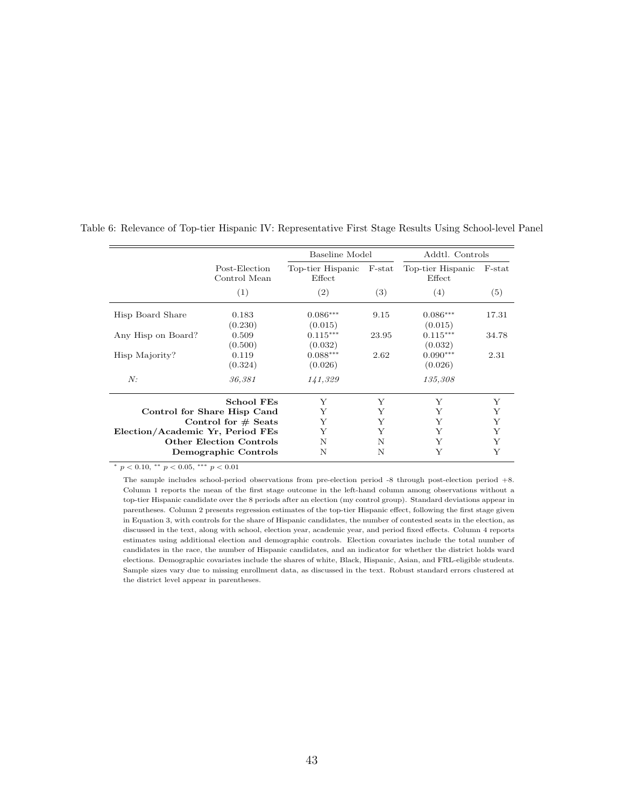|                                  |                                |                             | Baseline Model |                                | Addtl. Controls |
|----------------------------------|--------------------------------|-----------------------------|----------------|--------------------------------|-----------------|
|                                  | Post-Election<br>Control Mean  | Top-tier Hispanic<br>Effect | $F$ -stat      | Top-tier Hispanic<br>$E$ ffect | $F$ -stat       |
|                                  | (1)                            | (2)                         | (3)            | (4)                            | (5)             |
| Hisp Board Share                 | 0.183<br>(0.230)               | $0.086***$<br>(0.015)       | 9.15           | $0.086***$<br>(0.015)          | 17.31           |
| Any Hisp on Board?               | 0.509<br>(0.500)               | $0.115***$<br>(0.032)       | 23.95          | $0.115***$<br>(0.032)          | 34.78           |
| Hisp Majority?                   | 0.119<br>(0.324)               | $0.088***$<br>(0.026)       | 2.62           | $0.090***$<br>(0.026)          | 2.31            |
| N:                               | 36,381                         | 141,329                     |                | 135,308                        |                 |
|                                  | <b>School FEs</b>              | Y                           | Y              | Y                              | Y               |
|                                  | Control for Share Hisp Cand    | Y                           | Y              | Y                              | Υ               |
|                                  | Control for $#$ Seats          | Y                           | Y              | Y                              | Y               |
| Election/Academic Yr, Period FEs |                                | Y                           | Y              | Y                              | Y               |
|                                  | <b>Other Election Controls</b> | N                           | N              | Y                              | Y               |
|                                  | Demographic Controls           | N                           | N              | Y                              | Y               |

<span id="page-42-0"></span>Table 6: Relevance of Top-tier Hispanic IV: Representative First Stage Results Using School-level Panel

<sup>∗</sup> p < 0.10, ∗∗ p < 0.05, ∗∗∗ p < 0.01

The sample includes school-period observations from pre-election period -8 through post-election period +8. Column 1 reports the mean of the first stage outcome in the left-hand column among observations without a top-tier Hispanic candidate over the 8 periods after an election (my control group). Standard deviations appear in parentheses. Column 2 presents regression estimates of the top-tier Hispanic effect, following the first stage given in Equation [3,](#page-19-0) with controls for the share of Hispanic candidates, the number of contested seats in the election, as discussed in the text, along with school, election year, academic year, and period fixed effects. Column 4 reports estimates using additional election and demographic controls. Election covariates include the total number of candidates in the race, the number of Hispanic candidates, and an indicator for whether the district holds ward elections. Demographic covariates include the shares of white, Black, Hispanic, Asian, and FRL-eligible students. Sample sizes vary due to missing enrollment data, as discussed in the text. Robust standard errors clustered at the district level appear in parentheses.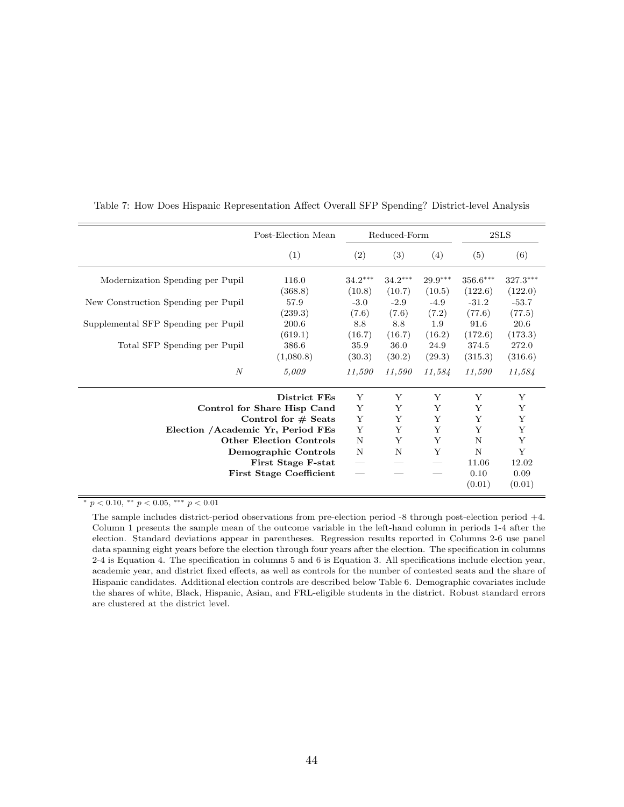|                                     | Post-Election Mean                 | Reduced-Form        |                     |                     | 2SLS                  |                       |
|-------------------------------------|------------------------------------|---------------------|---------------------|---------------------|-----------------------|-----------------------|
|                                     | (1)                                | (2)                 | (3)                 | (4)                 | (5)                   | (6)                   |
| Modernization Spending per Pupil    | 116.0<br>(368.8)                   | $34.2***$<br>(10.8) | $34.2***$<br>(10.7) | $29.9***$<br>(10.5) | $356.6***$<br>(122.6) | $327.3***$<br>(122.0) |
| New Construction Spending per Pupil | 57.9<br>(239.3)                    | $-3.0$<br>(7.6)     | $-2.9$<br>(7.6)     | $-4.9$<br>(7.2)     | $-31.2$<br>(77.6)     | $-53.7$<br>(77.5)     |
| Supplemental SFP Spending per Pupil | 200.6<br>(619.1)                   | 8.8<br>(16.7)       | 8.8<br>(16.7)       | 1.9<br>(16.2)       | 91.6<br>(172.6)       | 20.6<br>(173.3)       |
| Total SFP Spending per Pupil        | 386.6<br>(1,080.8)                 | 35.9<br>(30.3)      | 36.0<br>(30.2)      | 24.9<br>(29.3)      | 374.5<br>(315.3)      | 272.0<br>(316.6)      |
| $\boldsymbol{N}$                    | 5,009                              | 11,590              | 11,590              | 11,584              | 11,590                | 11,584                |
|                                     | District FEs                       | Y                   | Y                   | Y                   | Y                     | Y                     |
|                                     | Control for Share Hisp Cand        | Y                   | Y                   | Y                   | Y                     | Y                     |
|                                     | Control for $#$ Seats              | Y                   | Y                   | Y                   | Y                     | Υ                     |
|                                     | Election / Academic Yr, Period FEs | Y                   | Y                   | Y                   | Y                     | Y                     |
|                                     | <b>Other Election Controls</b>     | N                   | Y                   | Y                   | N                     | Y                     |
|                                     | Demographic Controls               | N                   | N                   | Y                   | N                     | Y                     |
|                                     | First Stage F-stat                 |                     |                     |                     | 11.06                 | 12.02                 |
|                                     | <b>First Stage Coefficient</b>     |                     |                     |                     | 0.10                  | 0.09                  |
|                                     |                                    |                     |                     |                     | (0.01)                | (0.01)                |

<span id="page-43-0"></span>Table 7: How Does Hispanic Representation Affect Overall SFP Spending? District-level Analysis

\*  $p < 0.10,$  \*\*  $p < 0.05,$  \*\*\*  $p < 0.01$ 

The sample includes district-period observations from pre-election period -8 through post-election period +4. Column 1 presents the sample mean of the outcome variable in the left-hand column in periods 1-4 after the election. Standard deviations appear in parentheses. Regression results reported in Columns 2-6 use panel data spanning eight years before the election through four years after the election. The specification in columns 2-4 is Equation [4.](#page-21-0) The specification in columns 5 and 6 is Equation [3.](#page-19-0) All specifications include election year, academic year, and district fixed effects, as well as controls for the number of contested seats and the share of Hispanic candidates. Additional election controls are described below Table [6.](#page-42-0) Demographic covariates include the shares of white, Black, Hispanic, Asian, and FRL-eligible students in the district. Robust standard errors are clustered at the district level.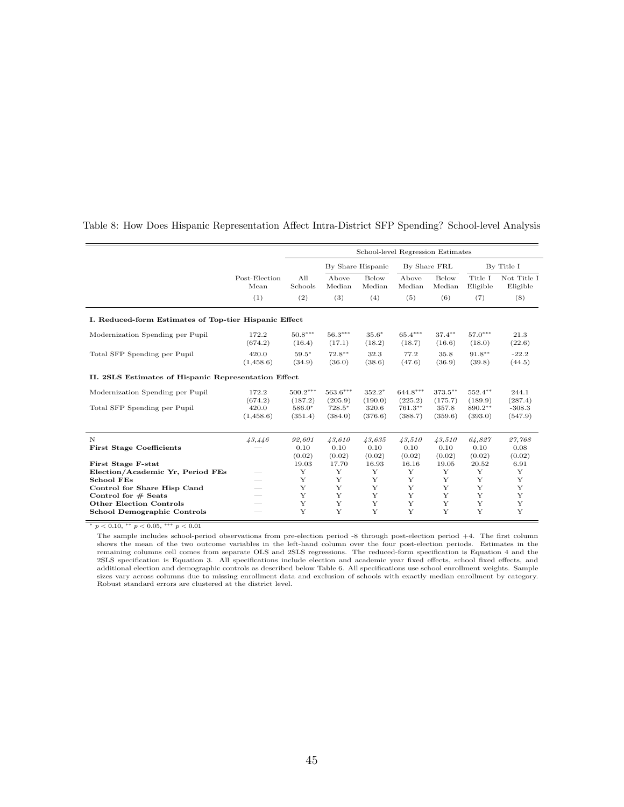|                                                       |                       | School-level Regression Estimates |                       |                        |                       |                        |                     |                         |
|-------------------------------------------------------|-----------------------|-----------------------------------|-----------------------|------------------------|-----------------------|------------------------|---------------------|-------------------------|
|                                                       |                       |                                   |                       | By Share Hispanic      | By Share FRL          |                        |                     | By Title I              |
|                                                       | Post-Election<br>Mean | All<br>Schools                    | Above<br>Median       | <b>Below</b><br>Median | Above<br>Median       | <b>Below</b><br>Median | Title I<br>Eligible | Not Title I<br>Eligible |
|                                                       | (1)                   | (2)                               | (3)                   | (4)                    | (5)                   | (6)                    | (7)                 | (8)                     |
| I. Reduced-form Estimates of Top-tier Hispanic Effect |                       |                                   |                       |                        |                       |                        |                     |                         |
| Modernization Spending per Pupil                      | 172.2<br>(674.2)      | $50.8***$<br>(16.4)               | $56.3***$<br>(17.1)   | $35.6*$<br>(18.2)      | $65.4***$<br>(18.7)   | $37.4***$<br>(16.6)    | $57.0***$<br>(18.0) | 21.3<br>(22.6)          |
| Total SFP Spending per Pupil                          | 420.0<br>(1,458.6)    | $59.5*$<br>(34.9)                 | $72.8**$<br>(36.0)    | 32.3<br>(38.6)         | 77.2<br>(47.6)        | 35.8<br>(36.9)         | $91.8***$<br>(39.8) | $-22.2$<br>(44.5)       |
| II. 2SLS Estimates of Hispanic Representation Effect  |                       |                                   |                       |                        |                       |                        |                     |                         |
| Modernization Spending per Pupil                      | 172.2<br>(674.2)      | $500.2***$<br>(187.2)             | $563.6***$<br>(205.9) | $352.2*$<br>(190.0)    | $644.8***$<br>(225.2) | $373.5***$<br>(175.7)  | 552.4**<br>(189.9)  | 244.1<br>(287.4)        |
| Total SFP Spending per Pupil                          | 420.0<br>(1,458.6)    | $586.0*$<br>(351.4)               | $728.5*$<br>(384.0)   | 320.6<br>(376.6)       | 761.3**<br>(388.7)    | 357.8<br>(359.6)       | 890.2**<br>(393.0)  | $-308.3$<br>(547.9)     |
| $\mathbf N$                                           | 43,446                | 92,601                            | 43,610                | 43,635                 | 43,510                | 43.510                 | 64,827              | 27,768                  |
| <b>First Stage Coefficients</b>                       |                       | 0.10<br>(0.02)                    | 0.10<br>(0.02)        | 0.10<br>(0.02)         | 0.10<br>(0.02)        | 0.10<br>(0.02)         | 0.10<br>(0.02)      | 0.08<br>(0.02)          |
| First Stage F-stat                                    |                       | 19.03                             | 17.70                 | 16.93                  | 16.16                 | 19.05                  | 20.52               | 6.91                    |
| Election/Academic Yr, Period FEs                      |                       | Y                                 | Y                     | Y                      | Y                     | Y                      | Y                   | Y                       |
| <b>School FEs</b>                                     |                       | Y                                 | Y                     | Y                      | Y                     | Y                      | Y                   | Y                       |
| Control for Share Hisp Cand                           |                       | Y                                 | Y                     | Y                      | Y                     | Y                      | Y                   | Y                       |
| Control for $#$ Seats                                 |                       | Y                                 | Y                     | Y                      | Y                     | Y                      | Y                   | Y                       |
| <b>Other Election Controls</b>                        |                       | Y<br>Y                            | Y<br>Y                | Y<br>Y                 | Y<br>Y                | Y<br>Y                 | Y<br>Y              | Y<br>Y                  |
| <b>School Demographic Controls</b>                    |                       |                                   |                       |                        |                       |                        |                     |                         |

<span id="page-44-0"></span>Table 8: How Does Hispanic Representation Affect Intra-District SFP Spending? School-level Analysis

 $*$   $p$   $<$   $0.10,$   $^{**}$   $p$   $<$   $0.05,$   $^{***}$   $p$   $<$   $0.01$ 

The sample includes school-period observations from pre-election period -8 through post-election period +4. The first column The stamps increase sensor periods. Estimates in the left-hand column over the four post-election periods. Estimates in the shows the mean of the two outcome variables in the left-hand column over the four post-election pe communic correction is Equation [3.](#page-19-0) All specifications include election and academic year fixed effects, school fixed effects, and<br>additional election and demographic controls as described below Table [6.](#page-42-0) All specifications sizes vary across columns due to missing enrollment data and exclusion of schools with exactly median enrollment by category. Robust standard errors are clustered at the district level.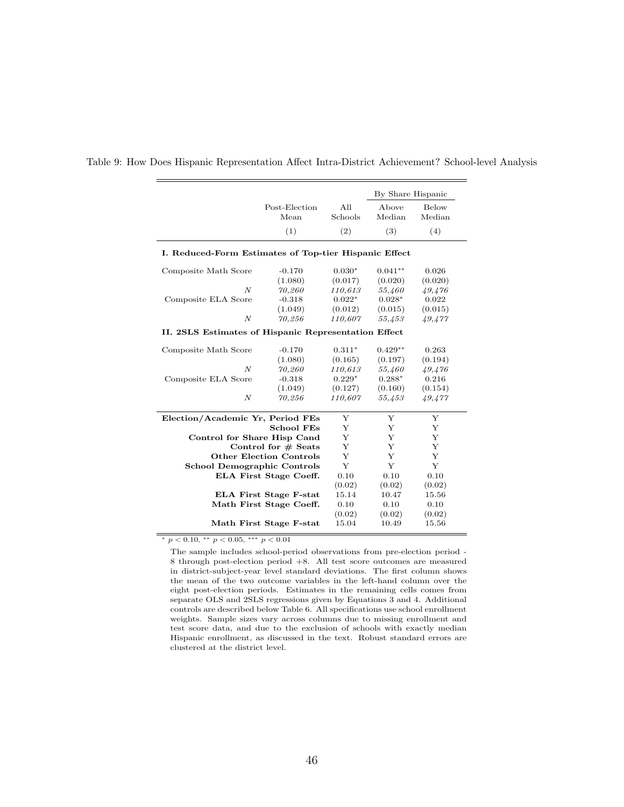| Post-Election<br>All<br>Below<br>Above<br>Median<br>Mean<br>Schools<br>Median<br>(1)<br>(3)<br>(4)<br>(2)<br>Composite Math Score<br>$-0.170$<br>$0.030*$<br>$0.041**$<br>0.026<br>(1.080)<br>(0.017)<br>(0.020)<br>(0.020)<br>$\overline{N}$<br>70,260<br>110,613<br>55,460<br>49,476<br>$0.022*$<br>$0.028*$<br>$-0.318$<br>0.022<br>Composite ELA Score<br>(1.049)<br>(0.012)<br>(0.015)<br>(0.015)<br>$\boldsymbol{N}$<br>70,256<br>110,607<br>55,453<br>49,477<br>II. 2SLS Estimates of Hispanic Representation Effect<br>Composite Math Score<br>$-0.170$<br>$0.311*$<br>$0.429**$<br>0.263<br>(1.080)<br>(0.165)<br>(0.194)<br>(0.197)<br>$\overline{N}$<br>70,260<br>110,613<br>55,460<br>49,476<br>$0.229*$<br>$-0.318$<br>$0.288*$<br>0.216<br>Composite ELA Score<br>(1.049)<br>(0.127)<br>(0.160)<br>(0.154)<br>$\overline{N}$<br>70,256<br>110,607<br>55,453<br>49,477<br>Y<br>Y<br>Election/Academic Yr, Period FEs<br>Y<br>Y<br><b>School FEs</b><br>Y<br>Y<br>Y<br>Y<br>Y<br>Control for Share Hisp Cand<br>Y<br>Y<br>Y<br>Control for $#$ Seats<br>Y<br><b>Other Election Controls</b><br>Y<br>Y<br>Y<br>Y<br>Y<br><b>School Demographic Controls</b><br>0.10<br>0.10<br>0.10<br><b>ELA First Stage Coeff.</b><br>(0.02)<br>(0.02)<br>(0.02)<br><b>ELA First Stage F-stat</b><br>15.14<br>10.47<br>15.56<br>0.10<br>0.10<br>0.10<br>Math First Stage Coeff.<br>(0.02)<br>(0.02)<br>(0.02)<br>Math First Stage F-stat<br>15.04<br>10.49<br>15.56 |                                                       |  |  | By Share Hispanic |  |  |  |  |  |  |
|------------------------------------------------------------------------------------------------------------------------------------------------------------------------------------------------------------------------------------------------------------------------------------------------------------------------------------------------------------------------------------------------------------------------------------------------------------------------------------------------------------------------------------------------------------------------------------------------------------------------------------------------------------------------------------------------------------------------------------------------------------------------------------------------------------------------------------------------------------------------------------------------------------------------------------------------------------------------------------------------------------------------------------------------------------------------------------------------------------------------------------------------------------------------------------------------------------------------------------------------------------------------------------------------------------------------------------------------------------------------------------------------------------------------------------------------------------------|-------------------------------------------------------|--|--|-------------------|--|--|--|--|--|--|
|                                                                                                                                                                                                                                                                                                                                                                                                                                                                                                                                                                                                                                                                                                                                                                                                                                                                                                                                                                                                                                                                                                                                                                                                                                                                                                                                                                                                                                                                  |                                                       |  |  |                   |  |  |  |  |  |  |
|                                                                                                                                                                                                                                                                                                                                                                                                                                                                                                                                                                                                                                                                                                                                                                                                                                                                                                                                                                                                                                                                                                                                                                                                                                                                                                                                                                                                                                                                  |                                                       |  |  |                   |  |  |  |  |  |  |
|                                                                                                                                                                                                                                                                                                                                                                                                                                                                                                                                                                                                                                                                                                                                                                                                                                                                                                                                                                                                                                                                                                                                                                                                                                                                                                                                                                                                                                                                  | I. Reduced-Form Estimates of Top-tier Hispanic Effect |  |  |                   |  |  |  |  |  |  |
|                                                                                                                                                                                                                                                                                                                                                                                                                                                                                                                                                                                                                                                                                                                                                                                                                                                                                                                                                                                                                                                                                                                                                                                                                                                                                                                                                                                                                                                                  |                                                       |  |  |                   |  |  |  |  |  |  |
|                                                                                                                                                                                                                                                                                                                                                                                                                                                                                                                                                                                                                                                                                                                                                                                                                                                                                                                                                                                                                                                                                                                                                                                                                                                                                                                                                                                                                                                                  |                                                       |  |  |                   |  |  |  |  |  |  |
|                                                                                                                                                                                                                                                                                                                                                                                                                                                                                                                                                                                                                                                                                                                                                                                                                                                                                                                                                                                                                                                                                                                                                                                                                                                                                                                                                                                                                                                                  |                                                       |  |  |                   |  |  |  |  |  |  |
|                                                                                                                                                                                                                                                                                                                                                                                                                                                                                                                                                                                                                                                                                                                                                                                                                                                                                                                                                                                                                                                                                                                                                                                                                                                                                                                                                                                                                                                                  |                                                       |  |  |                   |  |  |  |  |  |  |
|                                                                                                                                                                                                                                                                                                                                                                                                                                                                                                                                                                                                                                                                                                                                                                                                                                                                                                                                                                                                                                                                                                                                                                                                                                                                                                                                                                                                                                                                  |                                                       |  |  |                   |  |  |  |  |  |  |
|                                                                                                                                                                                                                                                                                                                                                                                                                                                                                                                                                                                                                                                                                                                                                                                                                                                                                                                                                                                                                                                                                                                                                                                                                                                                                                                                                                                                                                                                  |                                                       |  |  |                   |  |  |  |  |  |  |
|                                                                                                                                                                                                                                                                                                                                                                                                                                                                                                                                                                                                                                                                                                                                                                                                                                                                                                                                                                                                                                                                                                                                                                                                                                                                                                                                                                                                                                                                  |                                                       |  |  |                   |  |  |  |  |  |  |
|                                                                                                                                                                                                                                                                                                                                                                                                                                                                                                                                                                                                                                                                                                                                                                                                                                                                                                                                                                                                                                                                                                                                                                                                                                                                                                                                                                                                                                                                  |                                                       |  |  |                   |  |  |  |  |  |  |
|                                                                                                                                                                                                                                                                                                                                                                                                                                                                                                                                                                                                                                                                                                                                                                                                                                                                                                                                                                                                                                                                                                                                                                                                                                                                                                                                                                                                                                                                  |                                                       |  |  |                   |  |  |  |  |  |  |
|                                                                                                                                                                                                                                                                                                                                                                                                                                                                                                                                                                                                                                                                                                                                                                                                                                                                                                                                                                                                                                                                                                                                                                                                                                                                                                                                                                                                                                                                  |                                                       |  |  |                   |  |  |  |  |  |  |
|                                                                                                                                                                                                                                                                                                                                                                                                                                                                                                                                                                                                                                                                                                                                                                                                                                                                                                                                                                                                                                                                                                                                                                                                                                                                                                                                                                                                                                                                  |                                                       |  |  |                   |  |  |  |  |  |  |
|                                                                                                                                                                                                                                                                                                                                                                                                                                                                                                                                                                                                                                                                                                                                                                                                                                                                                                                                                                                                                                                                                                                                                                                                                                                                                                                                                                                                                                                                  |                                                       |  |  |                   |  |  |  |  |  |  |
|                                                                                                                                                                                                                                                                                                                                                                                                                                                                                                                                                                                                                                                                                                                                                                                                                                                                                                                                                                                                                                                                                                                                                                                                                                                                                                                                                                                                                                                                  |                                                       |  |  |                   |  |  |  |  |  |  |
|                                                                                                                                                                                                                                                                                                                                                                                                                                                                                                                                                                                                                                                                                                                                                                                                                                                                                                                                                                                                                                                                                                                                                                                                                                                                                                                                                                                                                                                                  |                                                       |  |  |                   |  |  |  |  |  |  |
|                                                                                                                                                                                                                                                                                                                                                                                                                                                                                                                                                                                                                                                                                                                                                                                                                                                                                                                                                                                                                                                                                                                                                                                                                                                                                                                                                                                                                                                                  |                                                       |  |  |                   |  |  |  |  |  |  |
|                                                                                                                                                                                                                                                                                                                                                                                                                                                                                                                                                                                                                                                                                                                                                                                                                                                                                                                                                                                                                                                                                                                                                                                                                                                                                                                                                                                                                                                                  |                                                       |  |  |                   |  |  |  |  |  |  |
|                                                                                                                                                                                                                                                                                                                                                                                                                                                                                                                                                                                                                                                                                                                                                                                                                                                                                                                                                                                                                                                                                                                                                                                                                                                                                                                                                                                                                                                                  |                                                       |  |  |                   |  |  |  |  |  |  |
|                                                                                                                                                                                                                                                                                                                                                                                                                                                                                                                                                                                                                                                                                                                                                                                                                                                                                                                                                                                                                                                                                                                                                                                                                                                                                                                                                                                                                                                                  |                                                       |  |  |                   |  |  |  |  |  |  |
|                                                                                                                                                                                                                                                                                                                                                                                                                                                                                                                                                                                                                                                                                                                                                                                                                                                                                                                                                                                                                                                                                                                                                                                                                                                                                                                                                                                                                                                                  |                                                       |  |  |                   |  |  |  |  |  |  |
|                                                                                                                                                                                                                                                                                                                                                                                                                                                                                                                                                                                                                                                                                                                                                                                                                                                                                                                                                                                                                                                                                                                                                                                                                                                                                                                                                                                                                                                                  |                                                       |  |  |                   |  |  |  |  |  |  |
|                                                                                                                                                                                                                                                                                                                                                                                                                                                                                                                                                                                                                                                                                                                                                                                                                                                                                                                                                                                                                                                                                                                                                                                                                                                                                                                                                                                                                                                                  |                                                       |  |  |                   |  |  |  |  |  |  |
|                                                                                                                                                                                                                                                                                                                                                                                                                                                                                                                                                                                                                                                                                                                                                                                                                                                                                                                                                                                                                                                                                                                                                                                                                                                                                                                                                                                                                                                                  |                                                       |  |  |                   |  |  |  |  |  |  |
|                                                                                                                                                                                                                                                                                                                                                                                                                                                                                                                                                                                                                                                                                                                                                                                                                                                                                                                                                                                                                                                                                                                                                                                                                                                                                                                                                                                                                                                                  |                                                       |  |  |                   |  |  |  |  |  |  |
|                                                                                                                                                                                                                                                                                                                                                                                                                                                                                                                                                                                                                                                                                                                                                                                                                                                                                                                                                                                                                                                                                                                                                                                                                                                                                                                                                                                                                                                                  |                                                       |  |  |                   |  |  |  |  |  |  |
|                                                                                                                                                                                                                                                                                                                                                                                                                                                                                                                                                                                                                                                                                                                                                                                                                                                                                                                                                                                                                                                                                                                                                                                                                                                                                                                                                                                                                                                                  |                                                       |  |  |                   |  |  |  |  |  |  |

#### <span id="page-45-0"></span>Table 9: How Does Hispanic Representation Affect Intra-District Achievement? School-level Analysis

 $* p < 0.10, ** p < 0.05, ** p < 0.01$ 

The sample includes school-period observations from pre-election period - 8 through post-election period +8. All test score outcomes are measured in district-subject-year level standard deviations. The first column shows the mean of the two outcome variables in the left-hand column over the eight post-election periods. Estimates in the remaining cells comes from separate OLS and 2SLS regressions given by Equations [3](#page-19-0) and [4.](#page-21-0) Additional controls are described below Table [6.](#page-42-0) All specifications use school enrollment weights. Sample sizes vary across columns due to missing enrollment and test score data, and due to the exclusion of schools with exactly median Hispanic enrollment, as discussed in the text. Robust standard errors are clustered at the district level.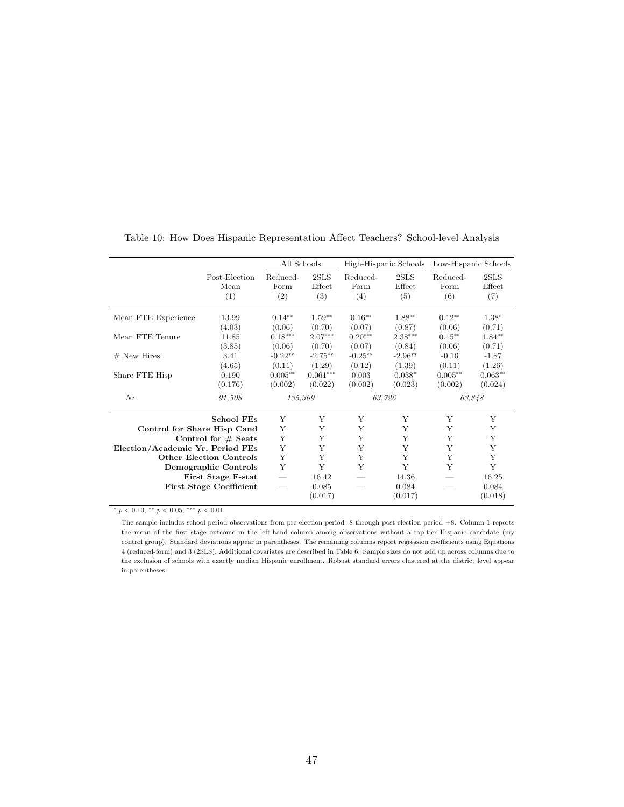<span id="page-46-0"></span>

|                                  |                                            | All Schools             |                       |                         | High-Hispanic Schools | Low-Hispanic Schools    |                       |
|----------------------------------|--------------------------------------------|-------------------------|-----------------------|-------------------------|-----------------------|-------------------------|-----------------------|
|                                  | Post-Election<br>Mean<br>(1)               | Reduced-<br>Form<br>(2) | 2SLS<br>Effect<br>(3) | Reduced-<br>Form<br>(4) | 2SLS<br>Effect<br>(5) | Reduced-<br>Form<br>(6) | 2SLS<br>Effect<br>(7) |
| Mean FTE Experience              | 13.99<br>(4.03)                            | $0.14***$<br>(0.06)     | $1.59**$<br>(0.70)    | $0.16**$<br>(0.07)      | $1.88**$<br>(0.87)    | $0.12**$<br>(0.06)      | $1.38*$<br>(0.71)     |
| Mean FTE Tenure                  | 11.85<br>(3.85)                            | $0.18***$<br>(0.06)     | $2.07***$<br>(0.70)   | $0.20***$<br>(0.07)     | $2.38***$<br>(0.84)   | $0.15***$<br>(0.06)     | $1.84**$<br>(0.71)    |
| $#$ New Hires                    | 3.41<br>(4.65)                             | $-0.22**$<br>(0.11)     | $-2.75**$<br>(1.29)   | $-0.25**$<br>(0.12)     | $-2.96**$<br>(1.39)   | $-0.16$<br>(0.11)       | $-1.87$<br>(1.26)     |
| Share FTE Hisp                   | 0.190<br>(0.176)                           | $0.005**$<br>(0.002)    | $0.061***$<br>(0.022) | 0.003<br>(0.002)        | $0.038*$<br>(0.023)   | $0.005**$<br>(0.002)    | $0.063**$<br>(0.024)  |
| N:                               | 91,508                                     | 135,309                 |                       |                         | 63.726                | 63,848                  |                       |
|                                  | <b>School FEs</b>                          | Y                       | Y                     | Y                       | Y                     | Y                       | Y                     |
| Control for Share Hisp Cand      |                                            | Υ                       | Y                     | Y                       | Y                     | Y                       | Y                     |
|                                  | Control for $#$ Seats                      | Υ                       | Y                     | Y                       | Y                     | Y                       | Y                     |
| Election/Academic Yr, Period FEs |                                            | Y                       | Y                     | Y                       | Y                     | Y                       | Y                     |
|                                  | <b>Other Election Controls</b>             | Y<br>Y                  | Y<br>Y                | Y<br>Y                  | Y<br>Y                | Y<br>Y                  | Y<br>Y                |
|                                  | Demographic Controls<br>First Stage F-stat |                         | 16.42                 |                         | 14.36                 |                         | 16.25                 |
|                                  | <b>First Stage Coefficient</b>             |                         | 0.085<br>(0.017)      |                         | 0.084<br>(0.017)      |                         | 0.084<br>(0.018)      |

Table 10: How Does Hispanic Representation Affect Teachers? School-level Analysis

 $*$   $p$   $<$   $0.10,$   $^{**}$   $p$   $<$   $0.05,$   $^{***}$   $p$   $<$   $0.01$ 

The sample includes school-period observations from pre-election period -8 through post-election period +8. Column 1 reports the mean of the first stage outcome in the left-hand column among observations without a top-tier Hispanic candidate (my control group). Standard deviations appear in parentheses. The remaining columns report regression coefficients using Equations [4](#page-21-0) (reduced-form) and [3](#page-19-0) (2SLS). Additional covariates are described in Table [6.](#page-42-0) Sample sizes do not add up across columns due to the exclusion of schools with exactly median Hispanic enrollment. Robust standard errors clustered at the district level appear in parentheses.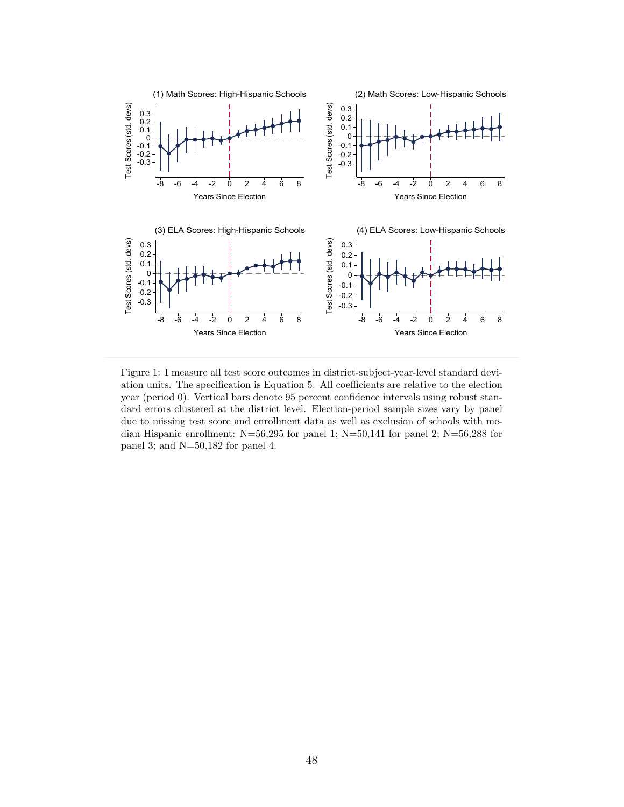<span id="page-47-0"></span>

Figure 1: I measure all test score outcomes in district-subject-year-level standard deviation units. The specification is Equation [5.](#page-22-0) All coefficients are relative to the election year (period 0). Vertical bars denote 95 percent confidence intervals using robust standard errors clustered at the district level. Election-period sample sizes vary by panel due to missing test score and enrollment data as well as exclusion of schools with median Hispanic enrollment: N=56,295 for panel 1; N=50,141 for panel 2; N=56,288 for panel 3; and N=50,182 for panel 4.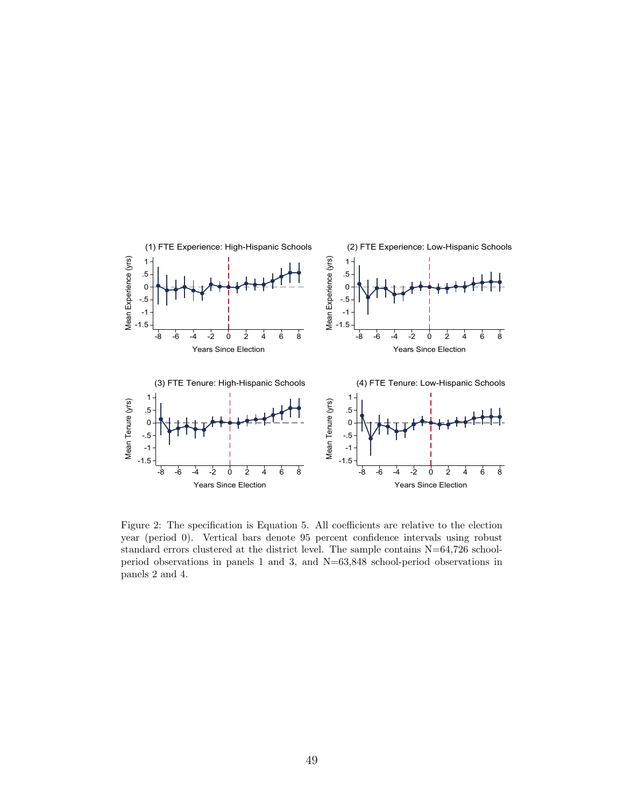

Figure 2: The specification is Equation [5.](#page-22-0) All coefficients are relative to the election year (period 0). Vertical bars denote 95 percent confidence intervals using robust standard errors clustered at the district level. The sample contains N=64,726 schoolperiod observations in panels 1 and 3, and N=63,848 school-period observations in panels 2 and 4.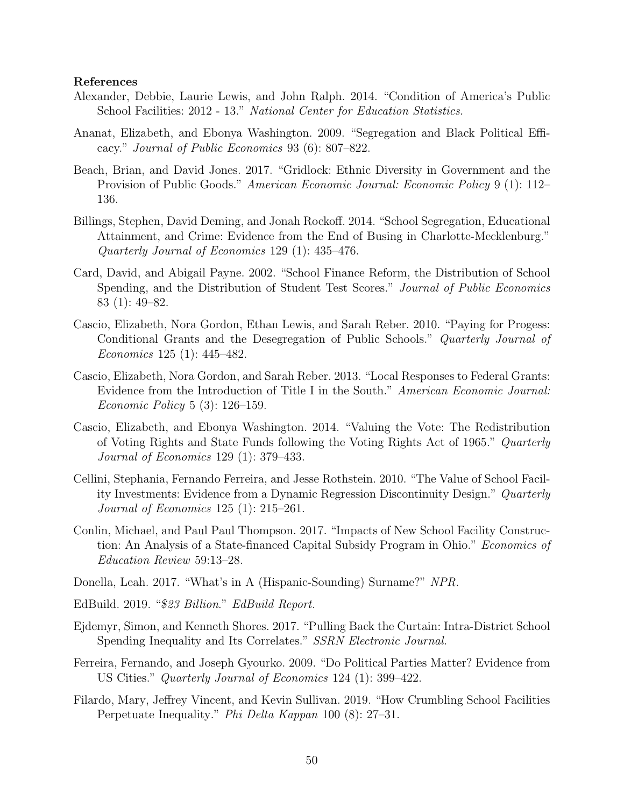#### References

- Alexander, Debbie, Laurie Lewis, and John Ralph. 2014. "Condition of America's Public School Facilities: 2012 - 13." National Center for Education Statistics.
- Ananat, Elizabeth, and Ebonya Washington. 2009. "Segregation and Black Political Efficacy." Journal of Public Economics 93 (6): 807–822.
- Beach, Brian, and David Jones. 2017. "Gridlock: Ethnic Diversity in Government and the Provision of Public Goods." American Economic Journal: Economic Policy 9 (1): 112– 136.
- Billings, Stephen, David Deming, and Jonah Rockoff. 2014. "School Segregation, Educational Attainment, and Crime: Evidence from the End of Busing in Charlotte-Mecklenburg." Quarterly Journal of Economics 129 (1): 435–476.
- Card, David, and Abigail Payne. 2002. "School Finance Reform, the Distribution of School Spending, and the Distribution of Student Test Scores." Journal of Public Economics 83 (1): 49–82.
- Cascio, Elizabeth, Nora Gordon, Ethan Lewis, and Sarah Reber. 2010. "Paying for Progess: Conditional Grants and the Desegregation of Public Schools." Quarterly Journal of Economics 125 (1): 445–482.
- Cascio, Elizabeth, Nora Gordon, and Sarah Reber. 2013. "Local Responses to Federal Grants: Evidence from the Introduction of Title I in the South." American Economic Journal: Economic Policy 5 (3): 126–159.
- Cascio, Elizabeth, and Ebonya Washington. 2014. "Valuing the Vote: The Redistribution of Voting Rights and State Funds following the Voting Rights Act of 1965." Quarterly Journal of Economics 129 (1): 379–433.
- Cellini, Stephania, Fernando Ferreira, and Jesse Rothstein. 2010. "The Value of School Facility Investments: Evidence from a Dynamic Regression Discontinuity Design." Quarterly Journal of Economics 125 (1): 215–261.
- Conlin, Michael, and Paul Paul Thompson. 2017. "Impacts of New School Facility Construction: An Analysis of a State-financed Capital Subsidy Program in Ohio." Economics of Education Review 59:13–28.
- Donella, Leah. 2017. "What's in A (Hispanic-Sounding) Surname?" NPR.
- EdBuild. 2019. "\$23 Billion." EdBuild Report.
- Ejdemyr, Simon, and Kenneth Shores. 2017. "Pulling Back the Curtain: Intra-District School Spending Inequality and Its Correlates." SSRN Electronic Journal.
- Ferreira, Fernando, and Joseph Gyourko. 2009. "Do Political Parties Matter? Evidence from US Cities." Quarterly Journal of Economics 124 (1): 399–422.
- Filardo, Mary, Jeffrey Vincent, and Kevin Sullivan. 2019. "How Crumbling School Facilities Perpetuate Inequality." Phi Delta Kappan 100 (8): 27–31.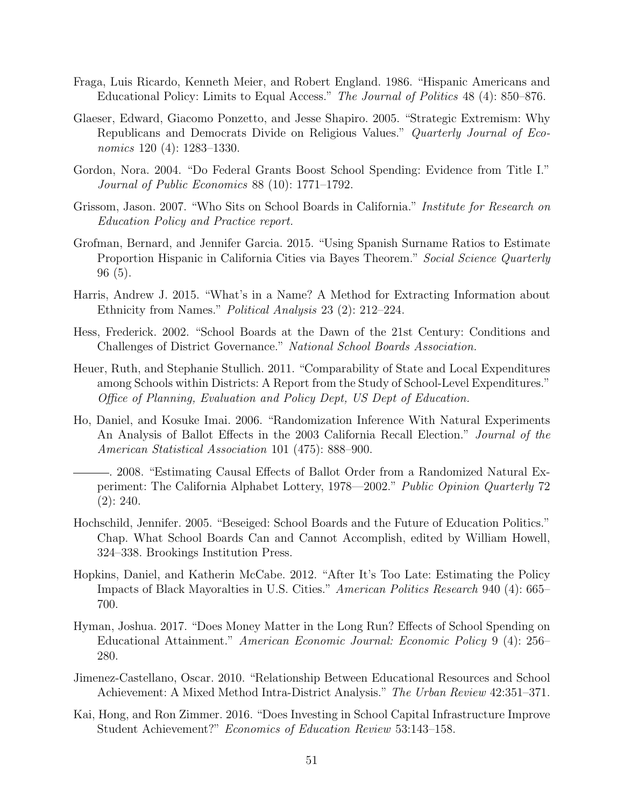- Fraga, Luis Ricardo, Kenneth Meier, and Robert England. 1986. "Hispanic Americans and Educational Policy: Limits to Equal Access." The Journal of Politics 48 (4): 850–876.
- Glaeser, Edward, Giacomo Ponzetto, and Jesse Shapiro. 2005. "Strategic Extremism: Why Republicans and Democrats Divide on Religious Values." Quarterly Journal of Economics 120 (4): 1283–1330.
- Gordon, Nora. 2004. "Do Federal Grants Boost School Spending: Evidence from Title I." Journal of Public Economics 88 (10): 1771–1792.
- Grissom, Jason. 2007. "Who Sits on School Boards in California." Institute for Research on Education Policy and Practice report.
- Grofman, Bernard, and Jennifer Garcia. 2015. "Using Spanish Surname Ratios to Estimate Proportion Hispanic in California Cities via Bayes Theorem." Social Science Quarterly 96 (5).
- Harris, Andrew J. 2015. "What's in a Name? A Method for Extracting Information about Ethnicity from Names." Political Analysis 23 (2): 212–224.
- Hess, Frederick. 2002. "School Boards at the Dawn of the 21st Century: Conditions and Challenges of District Governance." National School Boards Association.
- Heuer, Ruth, and Stephanie Stullich. 2011. "Comparability of State and Local Expenditures among Schools within Districts: A Report from the Study of School-Level Expenditures." Office of Planning, Evaluation and Policy Dept, US Dept of Education.
- Ho, Daniel, and Kosuke Imai. 2006. "Randomization Inference With Natural Experiments An Analysis of Ballot Effects in the 2003 California Recall Election." Journal of the American Statistical Association 101 (475): 888–900.
- . 2008. "Estimating Causal Effects of Ballot Order from a Randomized Natural Experiment: The California Alphabet Lottery, 1978—2002." Public Opinion Quarterly 72 (2): 240.
- Hochschild, Jennifer. 2005. "Beseiged: School Boards and the Future of Education Politics." Chap. What School Boards Can and Cannot Accomplish, edited by William Howell, 324–338. Brookings Institution Press.
- Hopkins, Daniel, and Katherin McCabe. 2012. "After It's Too Late: Estimating the Policy Impacts of Black Mayoralties in U.S. Cities." American Politics Research 940 (4): 665– 700.
- Hyman, Joshua. 2017. "Does Money Matter in the Long Run? Effects of School Spending on Educational Attainment." American Economic Journal: Economic Policy 9 (4): 256– 280.
- Jimenez-Castellano, Oscar. 2010. "Relationship Between Educational Resources and School Achievement: A Mixed Method Intra-District Analysis." The Urban Review 42:351–371.
- Kai, Hong, and Ron Zimmer. 2016. "Does Investing in School Capital Infrastructure Improve Student Achievement?" Economics of Education Review 53:143–158.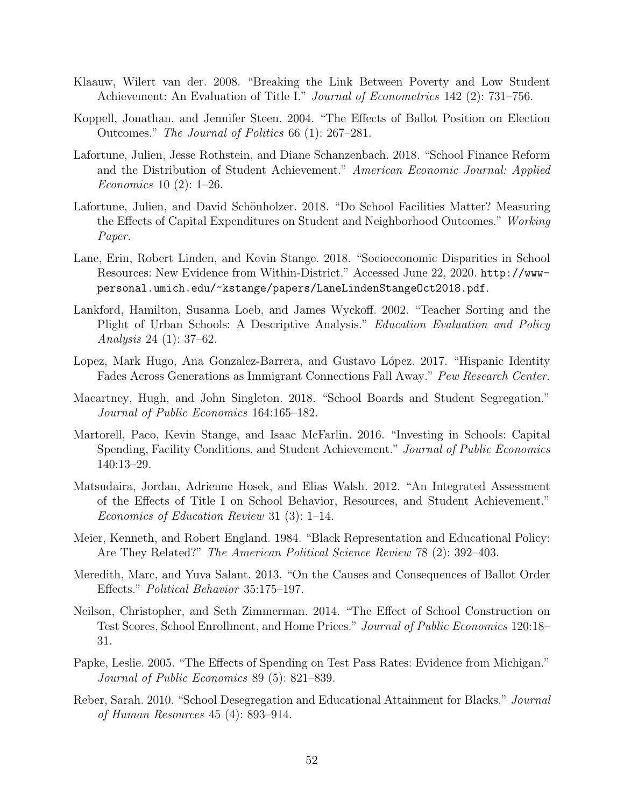- Klaauw, Wilert van der. 2008. "Breaking the Link Between Poverty and Low Student Achievement: An Evaluation of Title I." *Journal of Econometrics* 142 (2): 731–756.
- Koppell, Jonathan, and Jennifer Steen. 2004. "The Effects of Ballot Position on Election Outcomes." The Journal of Politics 66 (1): 267–281.
- Lafortune, Julien, Jesse Rothstein, and Diane Schanzenbach. 2018. "School Finance Reform and the Distribution of Student Achievement." American Economic Journal: Applied Economics 10 (2): 1–26.
- Lafortune, Julien, and David Schönholzer. 2018. "Do School Facilities Matter? Measuring the Effects of Capital Expenditures on Student and Neighborhood Outcomes." Working Paper.
- Lane, Erin, Robert Linden, and Kevin Stange. 2018. "Socioeconomic Disparities in School Resources: New Evidence from Within-District." Accessed June 22, 2020. [http://www](http://www-personal.umich.edu/~kstange/papers/LaneLindenStangeOct2018.pdf)[personal.umich.edu/~kstange/papers/LaneLindenStangeOct2018.pdf](http://www-personal.umich.edu/~kstange/papers/LaneLindenStangeOct2018.pdf).
- Lankford, Hamilton, Susanna Loeb, and James Wyckoff. 2002. "Teacher Sorting and the Plight of Urban Schools: A Descriptive Analysis." Education Evaluation and Policy Analysis 24 (1): 37–62.
- Lopez, Mark Hugo, Ana Gonzalez-Barrera, and Gustavo López. 2017. "Hispanic Identity Fades Across Generations as Immigrant Connections Fall Away." Pew Research Center.
- Macartney, Hugh, and John Singleton. 2018. "School Boards and Student Segregation." Journal of Public Economics 164:165–182.
- Martorell, Paco, Kevin Stange, and Isaac McFarlin. 2016. "Investing in Schools: Capital Spending, Facility Conditions, and Student Achievement." Journal of Public Economics 140:13–29.
- Matsudaira, Jordan, Adrienne Hosek, and Elias Walsh. 2012. "An Integrated Assessment of the Effects of Title I on School Behavior, Resources, and Student Achievement." Economics of Education Review 31 (3): 1–14.
- Meier, Kenneth, and Robert England. 1984. "Black Representation and Educational Policy: Are They Related?" The American Political Science Review 78 (2): 392–403.
- Meredith, Marc, and Yuva Salant. 2013. "On the Causes and Consequences of Ballot Order Effects." Political Behavior 35:175–197.
- Neilson, Christopher, and Seth Zimmerman. 2014. "The Effect of School Construction on Test Scores, School Enrollment, and Home Prices." Journal of Public Economics 120:18– 31.
- Papke, Leslie. 2005. "The Effects of Spending on Test Pass Rates: Evidence from Michigan." Journal of Public Economics 89 (5): 821–839.
- Reber, Sarah. 2010. "School Desegregation and Educational Attainment for Blacks." Journal of Human Resources 45 (4): 893–914.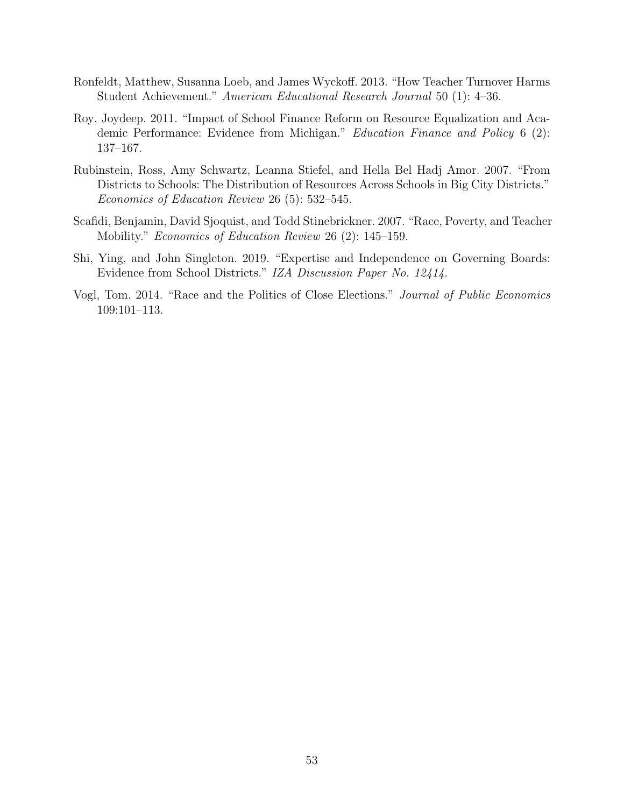- Ronfeldt, Matthew, Susanna Loeb, and James Wyckoff. 2013. "How Teacher Turnover Harms Student Achievement." American Educational Research Journal 50 (1): 4–36.
- Roy, Joydeep. 2011. "Impact of School Finance Reform on Resource Equalization and Academic Performance: Evidence from Michigan." Education Finance and Policy 6 (2): 137–167.
- Rubinstein, Ross, Amy Schwartz, Leanna Stiefel, and Hella Bel Hadj Amor. 2007. "From Districts to Schools: The Distribution of Resources Across Schools in Big City Districts." Economics of Education Review 26 (5): 532–545.
- Scafidi, Benjamin, David Sjoquist, and Todd Stinebrickner. 2007. "Race, Poverty, and Teacher Mobility." Economics of Education Review 26 (2): 145–159.
- Shi, Ying, and John Singleton. 2019. "Expertise and Independence on Governing Boards: Evidence from School Districts." IZA Discussion Paper No. 12414.
- Vogl, Tom. 2014. "Race and the Politics of Close Elections." Journal of Public Economics 109:101–113.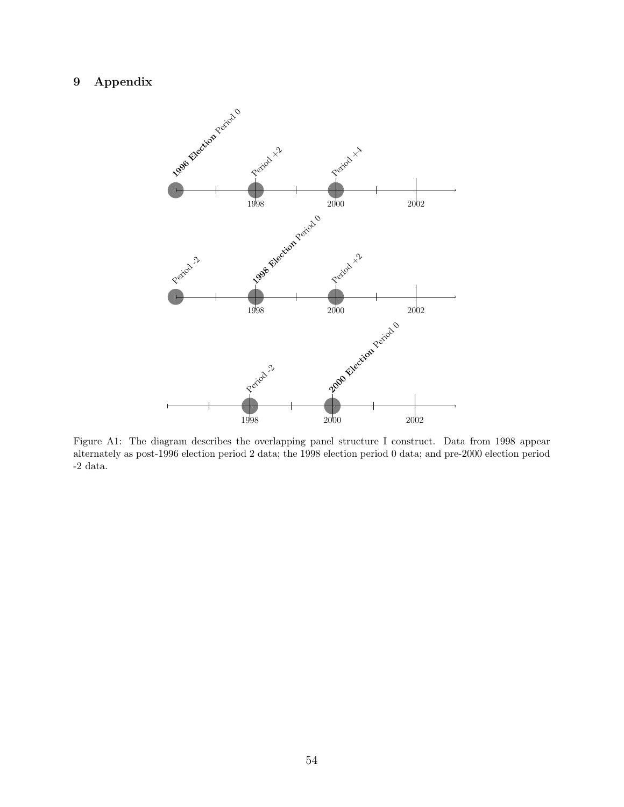# <span id="page-53-0"></span>9 Appendix



Figure A1: The diagram describes the overlapping panel structure I construct. Data from 1998 appear alternately as post-1996 election period 2 data; the 1998 election period 0 data; and pre-2000 election period  $\mbox{-}2$  data.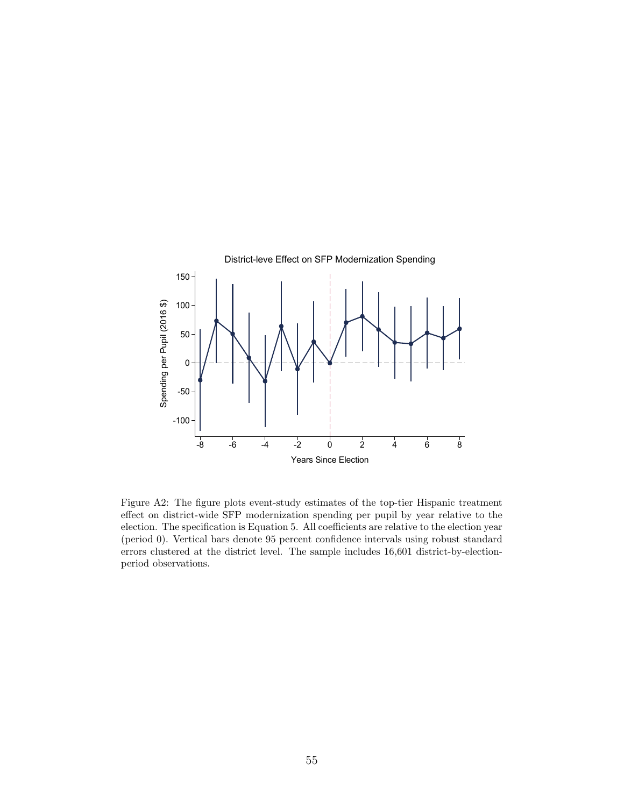<span id="page-54-0"></span>

Figure A2: The figure plots event-study estimates of the top-tier Hispanic treatment effect on district-wide SFP modernization spending per pupil by year relative to the election. The specification is Equation [5.](#page-22-0) All coefficients are relative to the election year (period 0). Vertical bars denote 95 percent confidence intervals using robust standard errors clustered at the district level. The sample includes 16,601 district-by-electionperiod observations.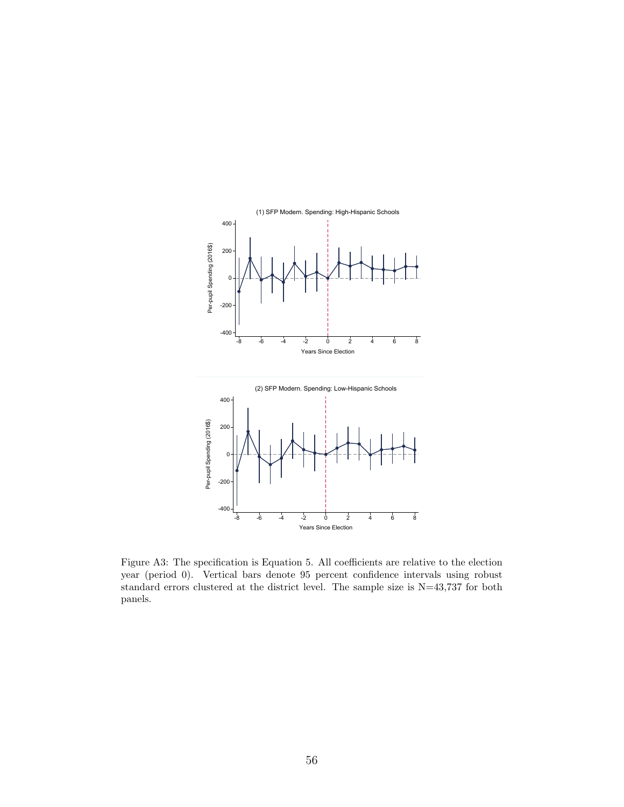<span id="page-55-0"></span>

Figure A3: The specification is Equation [5.](#page-22-0) All coefficients are relative to the election year (period 0). Vertical bars denote 95 percent confidence intervals using robust standard errors clustered at the district level. The sample size is N=43,737 for both panels.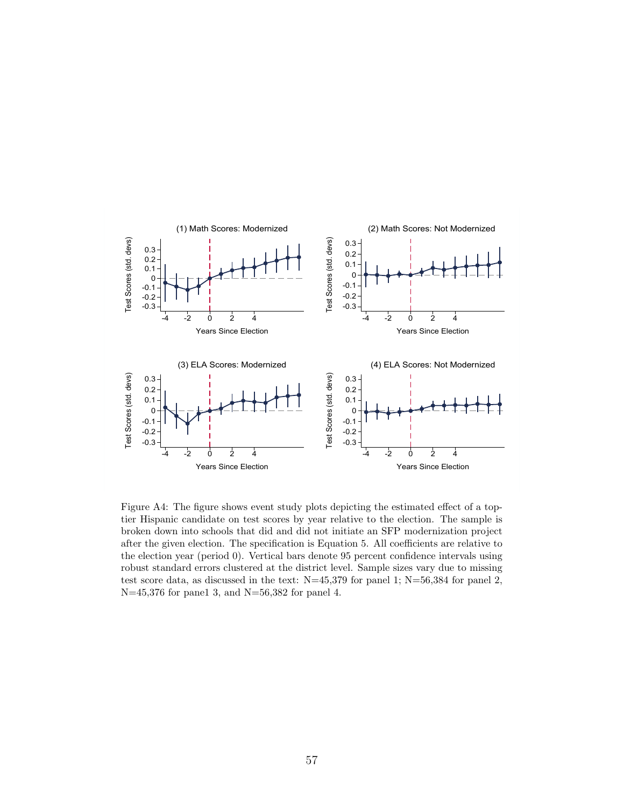<span id="page-56-0"></span>

Figure A4: The figure shows event study plots depicting the estimated effect of a toptier Hispanic candidate on test scores by year relative to the election. The sample is broken down into schools that did and did not initiate an SFP modernization project after the given election. The specification is Equation [5.](#page-22-0) All coefficients are relative to the election year (period 0). Vertical bars denote 95 percent confidence intervals using robust standard errors clustered at the district level. Sample sizes vary due to missing test score data, as discussed in the text:  $N=45,379$  for panel 1;  $N=56,384$  for panel 2, N=45,376 for pane1 3, and N=56,382 for panel 4.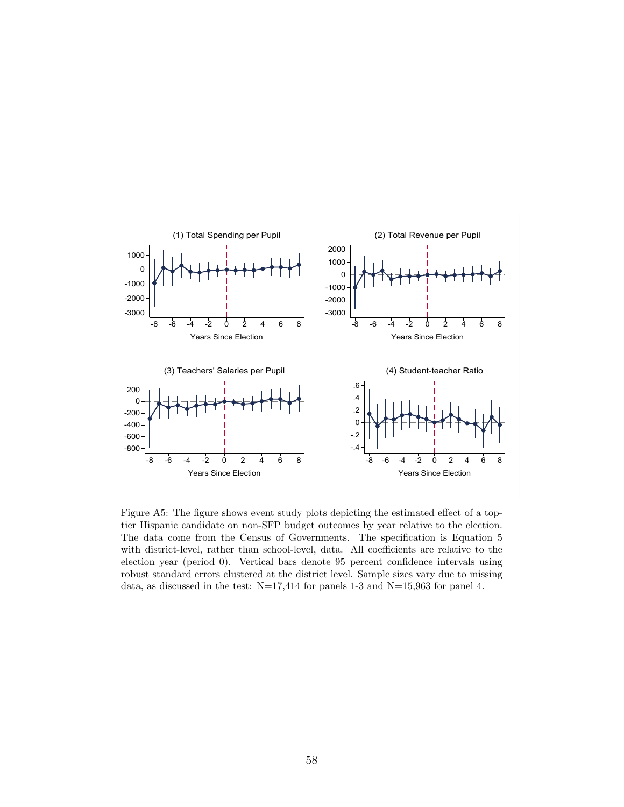<span id="page-57-0"></span>

Figure A5: The figure shows event study plots depicting the estimated effect of a toptier Hispanic candidate on non-SFP budget outcomes by year relative to the election. The data come from the Census of Governments. The specification is Equation [5](#page-22-0) with district-level, rather than school-level, data. All coefficients are relative to the election year (period 0). Vertical bars denote 95 percent confidence intervals using robust standard errors clustered at the district level. Sample sizes vary due to missing data, as discussed in the test:  $N=17,414$  for panels 1-3 and  $N=15,963$  for panel 4.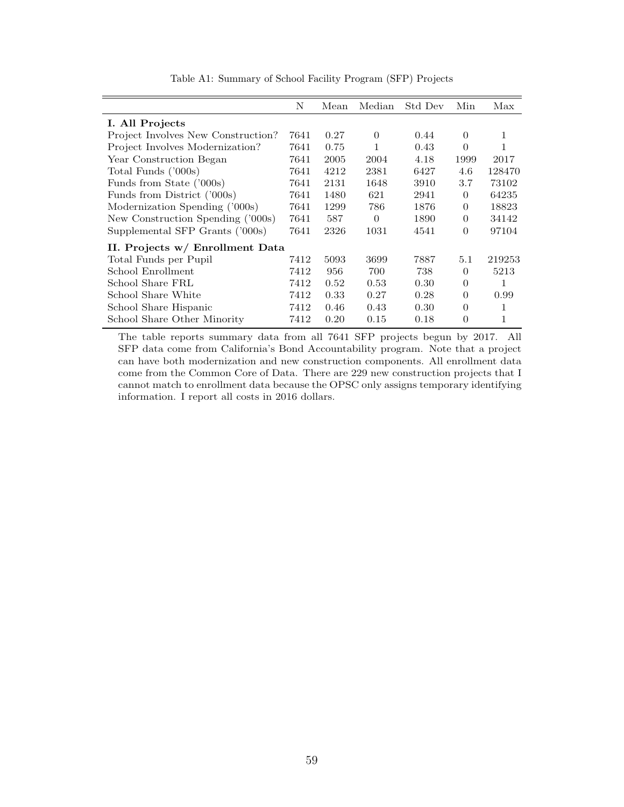<span id="page-58-0"></span>

| N                               | Mean | Median   | Std Dev | Min      | Max    |
|---------------------------------|------|----------|---------|----------|--------|
|                                 |      |          |         |          |        |
| 7641                            | 0.27 | $\Omega$ | 0.44    | $\Omega$ | 1      |
| 7641                            | 0.75 |          | 0.43    | $\Omega$ |        |
| 7641                            | 2005 | 2004     | 4.18    | 1999     | 2017   |
| 7641                            | 4212 | 2381     | 6427    | 4.6      | 128470 |
| 7641                            | 2131 | 1648     | 3910    | 3.7      | 73102  |
| 7641                            | 1480 | 621      | 2941    | $\Omega$ | 64235  |
| 7641                            | 1299 | 786      | 1876    | $\Omega$ | 18823  |
| 7641                            | 587  | $\Omega$ | 1890    | $\Omega$ | 34142  |
| 7641                            | 2326 | 1031     | 4541    | $\Omega$ | 97104  |
| II. Projects w/ Enrollment Data |      |          |         |          |        |
| 7412                            | 5093 | 3699     | 7887    | 5.1      | 219253 |
| 7412                            | 956  | 700      | 738     | $\Omega$ | 5213   |
| 7412                            | 0.52 | 0.53     | 0.30    | $\Omega$ | 1      |
| 7412                            | 0.33 | 0.27     | 0.28    | $\Omega$ | 0.99   |
| 7412                            | 0.46 | 0.43     | 0.30    | $\Omega$ | 1      |
| 7412                            | 0.20 | 0.15     | 0.18    | $\Omega$ | 1      |
|                                 |      |          |         |          |        |

Table A1: Summary of School Facility Program (SFP) Projects

The table reports summary data from all 7641 SFP projects begun by 2017. All SFP data come from California's Bond Accountability program. Note that a project can have both modernization and new construction components. All enrollment data come from the Common Core of Data. There are 229 new construction projects that I cannot match to enrollment data because the OPSC only assigns temporary identifying information. I report all costs in 2016 dollars.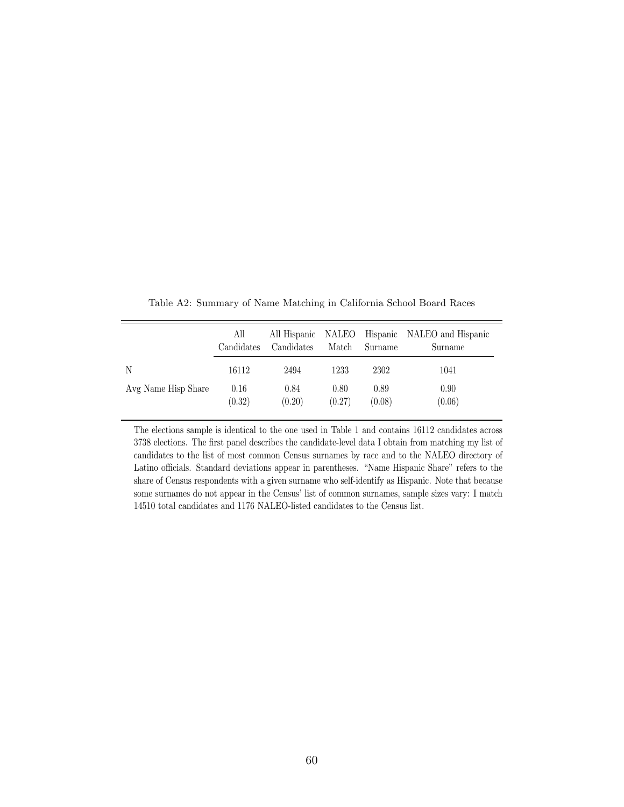<span id="page-59-0"></span>

|                     | All        | All Hispanic | NALEO  | Hispanic | NALEO and Hispanic |
|---------------------|------------|--------------|--------|----------|--------------------|
|                     | Candidates | Candidates   | Match  | Surname  | Surname            |
| N                   | 16112      | 2494         | 1233   | 2302     | 1041               |
| Avg Name Hisp Share | 0.16       | 0.84         | 0.80   | 0.89     | 0.90               |
|                     | (0.32)     | (0.20)       | (0.27) | (0.08)   | (0.06)             |

Table A2: Summary of Name Matching in California School Board Races

The elections sample is identical to the one used in Table [1](#page-37-0) and contains 16112 candidates across 3738 elections. The first panel describes the candidate-level data I obtain from matching my list of candidates to the list of most common Census surnames by race and to the NALEO directory of Latino officials. Standard deviations appear in parentheses. "Name Hispanic Share" refers to the share of Census respondents with a given surname who self-identify as Hispanic. Note that because some surnames do not appear in the Census' list of common surnames, sample sizes vary: I match 14510 total candidates and 1176 NALEO-listed candidates to the Census list.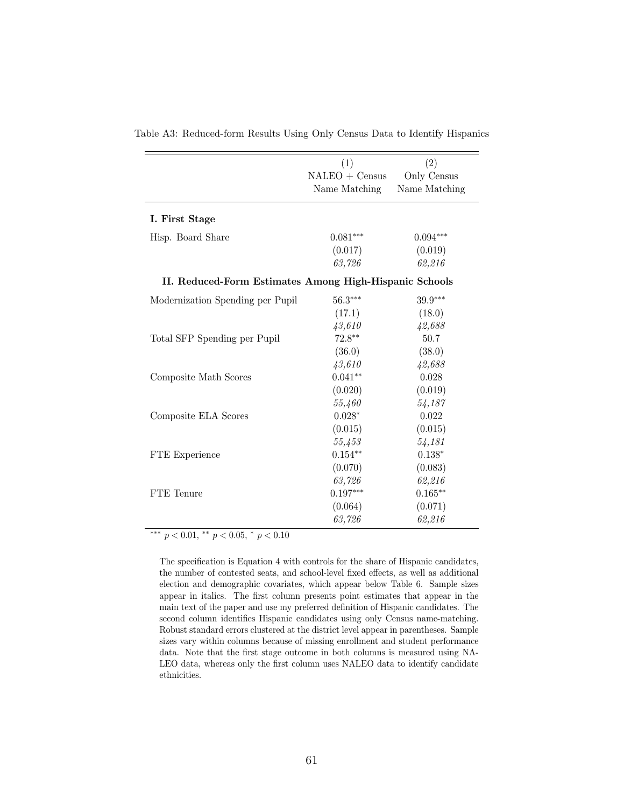|                                                        | (1)              | (2)           |
|--------------------------------------------------------|------------------|---------------|
|                                                        | $NALEO + Census$ | Only Census   |
|                                                        | Name Matching    | Name Matching |
| I. First Stage                                         |                  |               |
| Hisp. Board Share                                      | $0.081***$       | $0.094***$    |
|                                                        | (0.017)          | (0.019)       |
|                                                        | 63,726           | 62,216        |
| II. Reduced-Form Estimates Among High-Hispanic Schools |                  |               |
| Modernization Spending per Pupil                       | $56.3***$        | $39.9***$     |
|                                                        | (17.1)           | (18.0)        |
|                                                        | 43,610           | 42,688        |
| Total SFP Spending per Pupil                           | $72.8***$        | 50.7          |
|                                                        | (36.0)           | (38.0)        |
|                                                        | 43,610           | 42,688        |
| Composite Math Scores                                  | $0.041**$        | 0.028         |
|                                                        | (0.020)          | (0.019)       |
|                                                        | 55,460           | 54,187        |
| Composite ELA Scores                                   | $0.028*$         | 0.022         |
|                                                        | (0.015)          | (0.015)       |
|                                                        | 55,453           | 54,181        |
| FTE Experience                                         | $0.154***$       | $0.138*$      |
|                                                        | (0.070)          | (0.083)       |
|                                                        | 63,726           | 62,216        |
| FTE Tenure                                             | $0.197***$       | $0.165***$    |
|                                                        | (0.064)          | (0.071)       |
|                                                        | 63,726           | 62,216        |

<span id="page-60-0"></span>Table A3: Reduced-form Results Using Only Census Data to Identify Hispanics

∗∗∗ p < 0.01, ∗∗ p < 0.05, <sup>∗</sup> p < 0.10

The specification is Equation [4](#page-21-0) with controls for the share of Hispanic candidates, the number of contested seats, and school-level fixed effects, as well as additional election and demographic covariates, which appear below Table [6.](#page-42-0) Sample sizes appear in italics. The first column presents point estimates that appear in the main text of the paper and use my preferred definition of Hispanic candidates. The second column identifies Hispanic candidates using only Census name-matching. Robust standard errors clustered at the district level appear in parentheses. Sample sizes vary within columns because of missing enrollment and student performance data. Note that the first stage outcome in both columns is measured using NA-LEO data, whereas only the first column uses NALEO data to identify candidate ethnicities.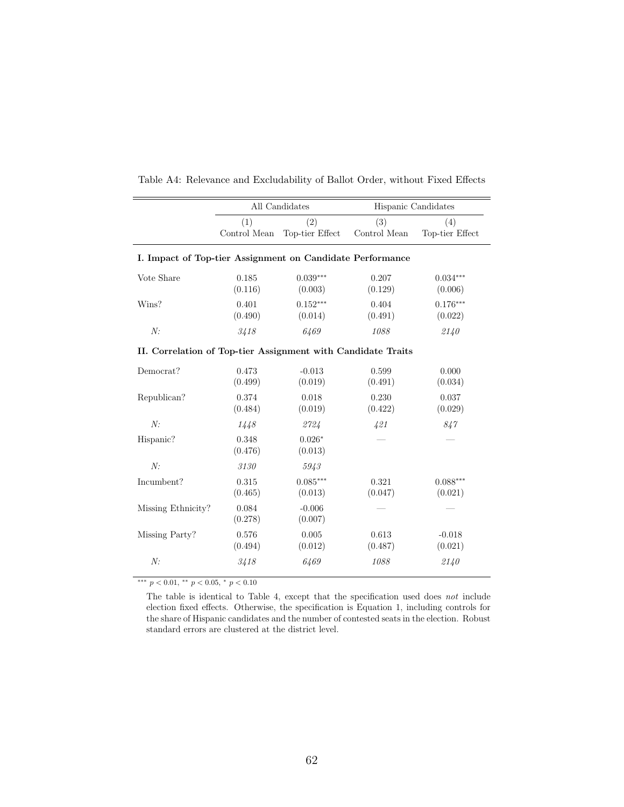|                                                              |                     | All Candidates         | Hispanic Candidates |                        |
|--------------------------------------------------------------|---------------------|------------------------|---------------------|------------------------|
|                                                              | (1)<br>Control Mean | (2)<br>Top-tier Effect | (3)<br>Control Mean | (4)<br>Top-tier Effect |
| I. Impact of Top-tier Assignment on Candidate Performance    |                     |                        |                     |                        |
| Vote Share                                                   | 0.185<br>(0.116)    | $0.039***$<br>(0.003)  | 0.207<br>(0.129)    | $0.034***$<br>(0.006)  |
| Wins?                                                        | 0.401<br>(0.490)    | $0.152***$<br>(0.014)  | 0.404<br>(0.491)    | $0.176***$<br>(0.022)  |
| N:                                                           | 3418                | 6469                   | 1088                | 2140                   |
| II. Correlation of Top-tier Assignment with Candidate Traits |                     |                        |                     |                        |
| Democrat?                                                    | 0.473<br>(0.499)    | $-0.013$<br>(0.019)    | 0.599<br>(0.491)    | 0.000<br>(0.034)       |
| Republican?                                                  | 0.374<br>(0.484)    | 0.018<br>(0.019)       | 0.230<br>(0.422)    | 0.037<br>(0.029)       |
| N:                                                           | 1448                | 2724                   | 421                 | 847                    |
| Hispanic?                                                    | 0.348<br>(0.476)    | $0.026*$<br>(0.013)    |                     |                        |
| N:                                                           | 3130                | 5943                   |                     |                        |
| Incumbent?                                                   | 0.315<br>(0.465)    | $0.085***$<br>(0.013)  | 0.321<br>(0.047)    | $0.088***$<br>(0.021)  |
| Missing Ethnicity?                                           | 0.084<br>(0.278)    | $-0.006$<br>(0.007)    |                     |                        |
| Missing Party?                                               | 0.576<br>(0.494)    | 0.005<br>(0.012)       | 0.613<br>(0.487)    | $-0.018$<br>(0.021)    |
| N:                                                           | 3418                | 6469                   | 1088                | 2140                   |

<span id="page-61-0"></span>Table A4: Relevance and Excludability of Ballot Order, without Fixed Effects

 $***\,$   $p<0.01,$   $^{**}$   $p<0.05,$   $^{*}$   $p<0.10$ 

The table is identical to Table [4,](#page-40-0) except that the specification used does not include election fixed effects. Otherwise, the specification is Equation [1,](#page-14-0) including controls for the share of Hispanic candidates and the number of contested seats in the election. Robust standard errors are clustered at the district level.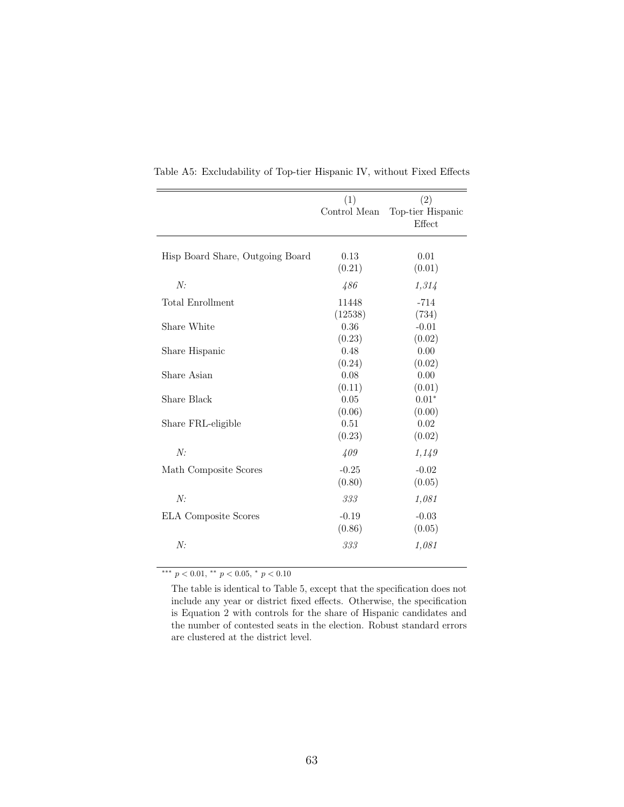|                                  | (1)          | (2)               |
|----------------------------------|--------------|-------------------|
|                                  | Control Mean | Top-tier Hispanic |
|                                  |              | Effect            |
|                                  |              |                   |
| Hisp Board Share, Outgoing Board | 0.13         | 0.01              |
|                                  | (0.21)       | (0.01)            |
| N:                               | 486          | 1,314             |
| Total Enrollment                 | 11448        | $-714$            |
|                                  | (12538)      | (734)             |
| Share White                      | 0.36         | $-0.01$           |
|                                  | (0.23)       | (0.02)            |
| Share Hispanic                   | 0.48         | 0.00              |
|                                  | (0.24)       | (0.02)            |
| Share Asian                      | 0.08         | 0.00              |
|                                  | (0.11)       | (0.01)            |
| Share Black                      | 0.05         | $0.01*$           |
|                                  | (0.06)       | (0.00)            |
| Share FRL-eligible               | 0.51         | 0.02              |
|                                  | (0.23)       | (0.02)            |
| N:                               | 409          | 1,149             |
| Math Composite Scores            | $-0.25$      | $-0.02$           |
|                                  | (0.80)       | (0.05)            |
| N:                               | 333          | 1,081             |
| <b>ELA</b> Composite Scores      | $-0.19$      | $-0.03$           |
|                                  | (0.86)       | (0.05)            |
| N:                               | 333          | 1,081             |
|                                  |              |                   |

<span id="page-62-0"></span>Table A5: Excludability of Top-tier Hispanic IV, without Fixed Effects

 $\frac{***}{p}$  p < 0.01, \*\* p < 0.05, \* p < 0.10

The table is identical to Table [5,](#page-41-0) except that the specification does not include any year or district fixed effects. Otherwise, the specification is Equation [2](#page-17-0) with controls for the share of Hispanic candidates and the number of contested seats in the election. Robust standard errors are clustered at the district level.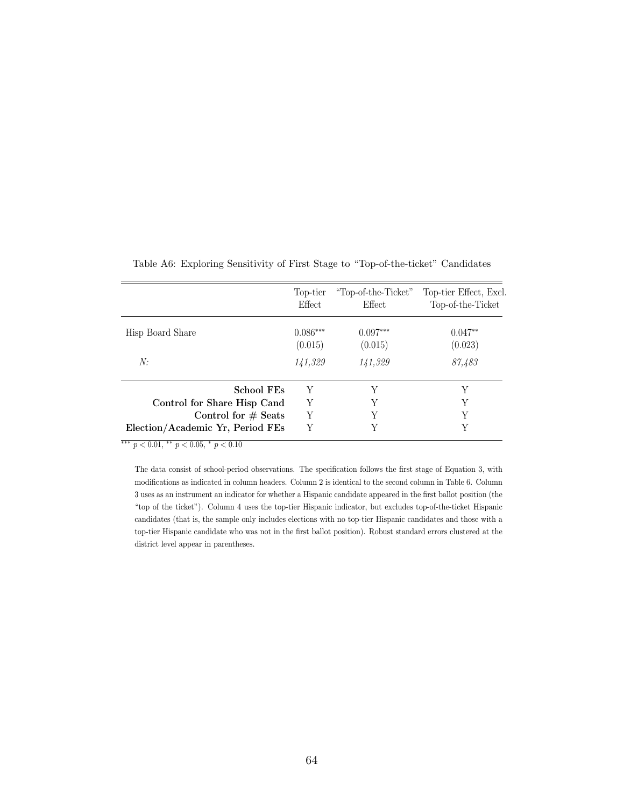<span id="page-63-0"></span>

|                                                           | Top-tier   | "Top-of-the-Ticket" | Top-tier Effect, Excl. |
|-----------------------------------------------------------|------------|---------------------|------------------------|
|                                                           | Effect     | Effect              | Top-of-the-Ticket      |
| Hisp Board Share                                          | $0.086***$ | $0.097***$          | $0.047**$              |
|                                                           | (0.015)    | (0.015)             | (0.023)                |
| N:                                                        | 141,329    | 141,329             | 87,483                 |
| <b>School FEs</b>                                         | Y          | Y                   | Y                      |
| Control for Share Hisp Cand                               | Y          |                     | Y                      |
| Control for $#$ Seats<br>Election/Academic Yr, Period FEs | Y<br>Y     | Y                   | Y                      |

Table A6: Exploring Sensitivity of First Stage to "Top-of-the-ticket" Candidates

∗∗∗ p < 0.01, ∗∗ p < 0.05, <sup>∗</sup> p < 0.10

The data consist of school-period observations. The specification follows the first stage of Equation [3,](#page-19-0) with modifications as indicated in column headers. Column 2 is identical to the second column in Table [6.](#page-42-0) Column 3 uses as an instrument an indicator for whether a Hispanic candidate appeared in the first ballot position (the "top of the ticket"). Column 4 uses the top-tier Hispanic indicator, but excludes top-of-the-ticket Hispanic candidates (that is, the sample only includes elections with no top-tier Hispanic candidates and those with a top-tier Hispanic candidate who was not in the first ballot position). Robust standard errors clustered at the district level appear in parentheses.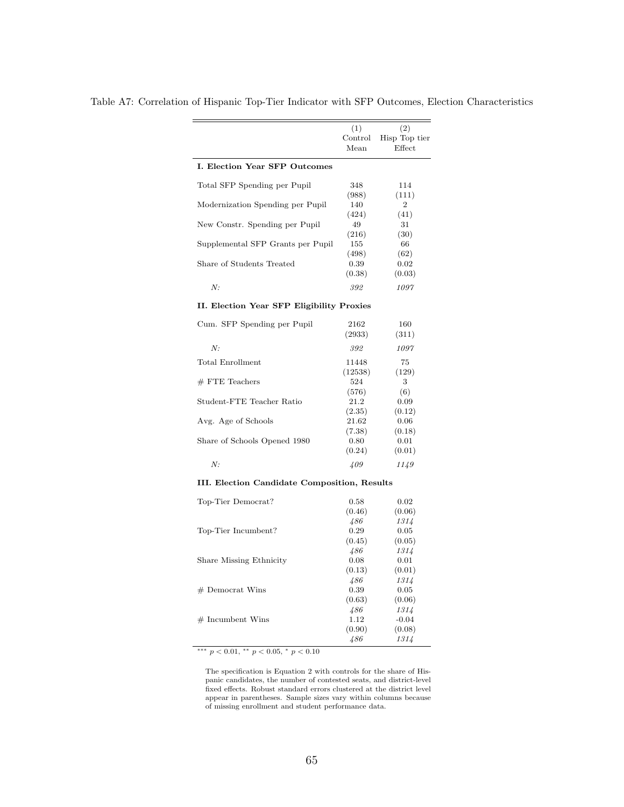|                                              | (1)             | (2)                     |
|----------------------------------------------|-----------------|-------------------------|
|                                              | Control<br>Mean | Hisp Top tier<br>Effect |
|                                              |                 |                         |
| I. Election Year SFP Outcomes                |                 |                         |
| Total SFP Spending per Pupil                 | 348             | 114                     |
|                                              | (988)           | (111)                   |
| Modernization Spending per Pupil             | 140             | $\boldsymbol{2}$        |
|                                              | (424)           | (41)                    |
| New Constr. Spending per Pupil               | 49              | 31                      |
|                                              | (216)           | (30)                    |
| Supplemental SFP Grants per Pupil            | 155             | 66                      |
|                                              | (498)           | (62)                    |
| Share of Students Treated                    | 0.39            | 0.02                    |
|                                              | (0.38)          | (0.03)                  |
| N:                                           | 392             | 1097                    |
| II. Election Year SFP Eligibility Proxies    |                 |                         |
| Cum. SFP Spending per Pupil                  | 2162            | 160                     |
|                                              |                 |                         |
|                                              | (2933)          | (311)                   |
| N:                                           | 392             | 1097                    |
| Total Enrollment                             | 11448           | 75                      |
|                                              | (12538)         | (129)                   |
| $#$ FTE Teachers                             | 524             | 3                       |
|                                              | (576)           | (6)                     |
| Student-FTE Teacher Ratio                    | 21.2            | 0.09                    |
|                                              | (2.35)          | (0.12)                  |
| Avg. Age of Schools                          | 21.62           | 0.06                    |
|                                              | (7.38)          | (0.18)                  |
| Share of Schools Opened 1980                 | 0.80            | 0.01                    |
|                                              | (0.24)          | (0.01)                  |
| N:                                           | 409             | 1149                    |
|                                              |                 |                         |
| III. Election Candidate Composition, Results |                 |                         |
| Top-Tier Democrat?                           | 0.58            | 0.02                    |
|                                              | (0.46)          | (0.06)                  |
|                                              | 486             | 1314                    |
| Top-Tier Incumbent?                          | 0.29            | 0.05                    |
|                                              | (0.45)          | (0.05)                  |
|                                              | 486             | 1314                    |
| Share Missing Ethnicity                      | 0.08            | 0.01                    |
|                                              | (0.13)          | (0.01)                  |
|                                              | 486             | 1314                    |
| $#$ Democrat Wins                            | 0.39            | 0.05                    |
|                                              | (0.63)          | (0.06)                  |
|                                              | 486             | 1314                    |
| $#$ Incumbent Wins                           | 1.12            | $-0.04$                 |
|                                              | (0.90)          | (0.08)                  |
|                                              | 486             | 1314                    |
|                                              |                 |                         |

<span id="page-64-0"></span>Table A7: Correlation of Hispanic Top-Tier Indicator with SFP Outcomes, Election Characteristics

 $***\,$   $p<0.01,$   $^{**}$   $p<0.05,$   $^{*}$   $p<0.10$ 

The specification is Equation [2](#page-17-0) with controls for the share of Hispanic candidates, the number of contested seats, and district-level fixed effects. Robust standard errors clustered at the district level appear in parentheses. Sample sizes vary within columns because of missing enrollment and student performance data.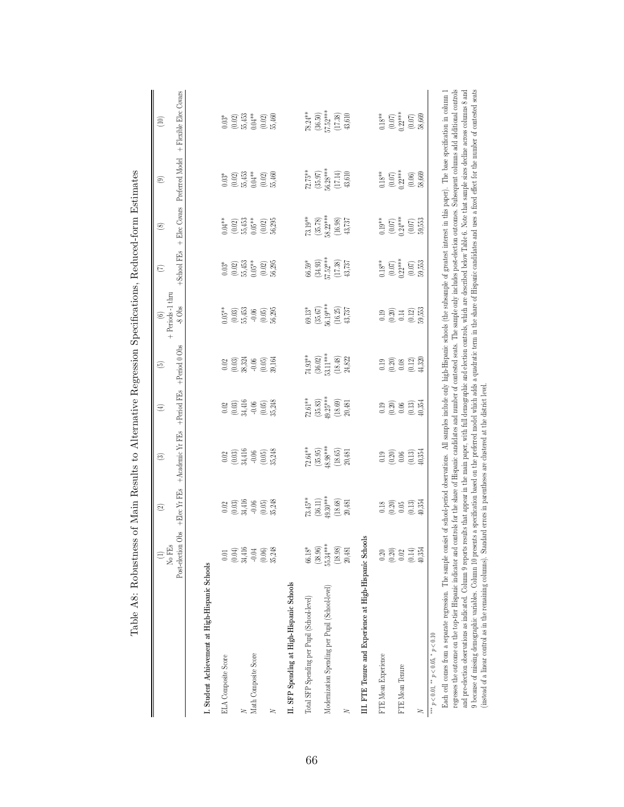<span id="page-65-0"></span>

| $\begin{array}{c} 78.24** \\ (36.50) \\ 57.52*** \\ (17.38) \\ (17.38) \\ \end{array}$<br>$\begin{array}{c} 0.18^{**} \\ (0.07) \\ 0.22^{***} \\ (0.07) \\ (0.07) \\ 58,669 \end{array}$<br>$\begin{array}{c} 0.03^* \\ (0.02) \\ 55,453 \\ 0.04^* \\ (0.02) \\ (0.03) \\ 55,460 \end{array}$<br>Preferred Model<br>$\begin{array}{c} 72.75^{**} \\ (35.97) \\ 56.28^{***} \\ (17.14) \\ (17.14) \\ \end{array}$<br>$\begin{array}{c} (0.07) \\ 0.22^{***} \\ (0.06) \\ 58,669 \end{array}$<br>$\begin{array}{c} 0.03^{*} \\ (0.02) \\ 55,453 \\ 0.04^{*} \\ (0.02) \\ (0.03) \\ 55,460 \end{array}$<br>$0.18**$<br>$+$ Elec Covars<br>$\begin{array}{c} 73.19^{**} \\ (35.78) \\ 58.22^{***} \\ (16.98) \end{array}$<br>$(0.07)$<br>$0.24***$<br>$\begin{array}{c} (0.02) \\ 55{,}453 \\ 0.05^{**} \\ (0.02) \\ (6.02) \\ 56{,}295 \end{array}$<br>$0.19**$<br>$\left( 0.07\right)$ 553<br>$0.04**$<br>43,737<br>+School FEs<br>$\begin{array}{l} 66.59^{*} \\ (34.93) \\ 57.52^{***} \\ (17.38) \\ (17.38) \\ \end{array}$<br>$\begin{array}{c} 0.18^{**} \\ (0.07) \\ 0.22^{***} \\ (0.07) \\ (0.07) \\ 59,553 \end{array}$<br>$\begin{array}{c} 0.03^* \\ (0.02) \\ 55,453 \\ 0.05^{**} \\ (0.02) \\ (0.03) \end{array}$<br>$\begin{array}{c} 69.13^* \\ (35.67) \\ 56.19^{***} \\ (16.25) \\ (16.25) \\ 43,737 \end{array}$<br>$-8$ Obs<br>$\begin{array}{c} 0.05** \\ (0.03) \\ 55,453 \end{array}$<br>$(0.12)$<br>59,553<br>$-0.05$<br>$(0.05)$<br>$56,295$<br>$0.30$<br>$0.31$<br>$0.14$<br>+Period 0 Obs<br>$\begin{array}{c} \text{74.93}^{\ast\ast} \\ \text{(36.02)} \\ \text{53.11}^{\ast\ast\ast} \\ \text{(18.48)} \\ \text{(18.48)} \end{array}$<br>24,822<br>$\begin{array}{c} 19 \\ 0.20 \\ 0.68 \\ 0.12 \\ 0.432 \\ \end{array}$<br>0.03<br>0.03)<br>0.05)<br>0.05)<br>39,164<br>+Period FEs<br>$72.61**$<br>$\begin{array}{c} (35.83) \\ 49.25^{***} \\ (18.69) \\ 20,481 \end{array}$<br>$0.02$<br>$0.03$<br>$0.416$<br>$0.05$<br>$0.05$<br>$0.05$<br>$0.34$<br>$\begin{array}{c} 19 \\ 0.20 \\ 0.66 \\ 0.13 \\ \hline \end{array}$<br>+Academic Yr FEs<br>$(35.95)$<br>$48.98***$<br>72.64**<br>(18.65)<br>0.03)<br>0.03)<br>0.05)<br>0.05)<br>35,248<br>0.19<br>0.20<br>0.09<br>0.13,354<br>20,481<br>+Elec Yr FEs<br>73.45**<br>$(36.11)$<br>49.30***<br>(18.68)<br>$\begin{array}{c} 0.02 \\ 0.03 \\ 0.4416 \\ -0.06 \\ 0.05 \end{array}$<br>20,481<br>$0.308$<br>$0.05$<br>$(0.13)$<br>$\pm 0.354$<br>Obs<br>III. FTE Tenure and Experience at High-Hispanic Schools<br>Post-election<br>$66.18^*$<br>(38.96)<br>55.34***<br>(18.98)<br>$(0.04)$<br>34,416<br>$\begin{array}{c} (0.20) \\ 0.02 \end{array}$<br>$-0.04$<br>20,481<br>$(0.06)$<br>35,248<br>$\begin{array}{c} (0.14) \\ 40,354 \end{array}$<br>$0.20\,$<br>$0.01$<br>I. Student Achievement at High-Hispanic Schools<br>II. SFP Spending at High-Hispanic Schools<br>Modernization Spending per Pupil (School-level)<br>Total SFP Spending per Pupil (School-level)<br>*** $p < 0.01$ , ** $p < 0.05$ , * $p < 0.10$<br>Math Composite Score<br>FTE Mean Experience<br><b>ELA</b> Composite Score<br>FTE Mean Tenure<br>≍<br>≍<br>≍ | No FEs<br>$\oplus$ | $\widehat{\mathfrak{D}}$ | ම | E | ම | + Periods -1 thru<br>© | $\widehat{\Xi}$ | $\circledast$ | $_{\odot}$ | $\circled{10}$         |
|-----------------------------------------------------------------------------------------------------------------------------------------------------------------------------------------------------------------------------------------------------------------------------------------------------------------------------------------------------------------------------------------------------------------------------------------------------------------------------------------------------------------------------------------------------------------------------------------------------------------------------------------------------------------------------------------------------------------------------------------------------------------------------------------------------------------------------------------------------------------------------------------------------------------------------------------------------------------------------------------------------------------------------------------------------------------------------------------------------------------------------------------------------------------------------------------------------------------------------------------------------------------------------------------------------------------------------------------------------------------------------------------------------------------------------------------------------------------------------------------------------------------------------------------------------------------------------------------------------------------------------------------------------------------------------------------------------------------------------------------------------------------------------------------------------------------------------------------------------------------------------------------------------------------------------------------------------------------------------------------------------------------------------------------------------------------------------------------------------------------------------------------------------------------------------------------------------------------------------------------------------------------------------------------------------------------------------------------------------------------------------------------------------------------------------------------------------------------------------------------------------------------------------------------------------------------------------------------------------------------------------------------------------------------------------------------------------------------------------------------------------------------------------------------------------------------------------------------------------------------------------------------------------------------------------------------------------------------------------------------------------------------------------------------------------------------------------------------------------------------------------|--------------------|--------------------------|---|---|---|------------------------|-----------------|---------------|------------|------------------------|
|                                                                                                                                                                                                                                                                                                                                                                                                                                                                                                                                                                                                                                                                                                                                                                                                                                                                                                                                                                                                                                                                                                                                                                                                                                                                                                                                                                                                                                                                                                                                                                                                                                                                                                                                                                                                                                                                                                                                                                                                                                                                                                                                                                                                                                                                                                                                                                                                                                                                                                                                                                                                                                                                                                                                                                                                                                                                                                                                                                                                                                                                                                                             |                    |                          |   |   |   |                        |                 |               |            | + Flexible Elec Covars |
|                                                                                                                                                                                                                                                                                                                                                                                                                                                                                                                                                                                                                                                                                                                                                                                                                                                                                                                                                                                                                                                                                                                                                                                                                                                                                                                                                                                                                                                                                                                                                                                                                                                                                                                                                                                                                                                                                                                                                                                                                                                                                                                                                                                                                                                                                                                                                                                                                                                                                                                                                                                                                                                                                                                                                                                                                                                                                                                                                                                                                                                                                                                             |                    |                          |   |   |   |                        |                 |               |            |                        |
|                                                                                                                                                                                                                                                                                                                                                                                                                                                                                                                                                                                                                                                                                                                                                                                                                                                                                                                                                                                                                                                                                                                                                                                                                                                                                                                                                                                                                                                                                                                                                                                                                                                                                                                                                                                                                                                                                                                                                                                                                                                                                                                                                                                                                                                                                                                                                                                                                                                                                                                                                                                                                                                                                                                                                                                                                                                                                                                                                                                                                                                                                                                             |                    |                          |   |   |   |                        |                 |               |            |                        |
|                                                                                                                                                                                                                                                                                                                                                                                                                                                                                                                                                                                                                                                                                                                                                                                                                                                                                                                                                                                                                                                                                                                                                                                                                                                                                                                                                                                                                                                                                                                                                                                                                                                                                                                                                                                                                                                                                                                                                                                                                                                                                                                                                                                                                                                                                                                                                                                                                                                                                                                                                                                                                                                                                                                                                                                                                                                                                                                                                                                                                                                                                                                             |                    |                          |   |   |   |                        |                 |               |            |                        |
|                                                                                                                                                                                                                                                                                                                                                                                                                                                                                                                                                                                                                                                                                                                                                                                                                                                                                                                                                                                                                                                                                                                                                                                                                                                                                                                                                                                                                                                                                                                                                                                                                                                                                                                                                                                                                                                                                                                                                                                                                                                                                                                                                                                                                                                                                                                                                                                                                                                                                                                                                                                                                                                                                                                                                                                                                                                                                                                                                                                                                                                                                                                             |                    |                          |   |   |   |                        |                 |               |            |                        |
|                                                                                                                                                                                                                                                                                                                                                                                                                                                                                                                                                                                                                                                                                                                                                                                                                                                                                                                                                                                                                                                                                                                                                                                                                                                                                                                                                                                                                                                                                                                                                                                                                                                                                                                                                                                                                                                                                                                                                                                                                                                                                                                                                                                                                                                                                                                                                                                                                                                                                                                                                                                                                                                                                                                                                                                                                                                                                                                                                                                                                                                                                                                             |                    |                          |   |   |   |                        |                 |               |            |                        |
|                                                                                                                                                                                                                                                                                                                                                                                                                                                                                                                                                                                                                                                                                                                                                                                                                                                                                                                                                                                                                                                                                                                                                                                                                                                                                                                                                                                                                                                                                                                                                                                                                                                                                                                                                                                                                                                                                                                                                                                                                                                                                                                                                                                                                                                                                                                                                                                                                                                                                                                                                                                                                                                                                                                                                                                                                                                                                                                                                                                                                                                                                                                             |                    |                          |   |   |   |                        |                 |               |            |                        |
|                                                                                                                                                                                                                                                                                                                                                                                                                                                                                                                                                                                                                                                                                                                                                                                                                                                                                                                                                                                                                                                                                                                                                                                                                                                                                                                                                                                                                                                                                                                                                                                                                                                                                                                                                                                                                                                                                                                                                                                                                                                                                                                                                                                                                                                                                                                                                                                                                                                                                                                                                                                                                                                                                                                                                                                                                                                                                                                                                                                                                                                                                                                             |                    |                          |   |   |   |                        |                 |               |            |                        |
|                                                                                                                                                                                                                                                                                                                                                                                                                                                                                                                                                                                                                                                                                                                                                                                                                                                                                                                                                                                                                                                                                                                                                                                                                                                                                                                                                                                                                                                                                                                                                                                                                                                                                                                                                                                                                                                                                                                                                                                                                                                                                                                                                                                                                                                                                                                                                                                                                                                                                                                                                                                                                                                                                                                                                                                                                                                                                                                                                                                                                                                                                                                             |                    |                          |   |   |   |                        |                 |               |            |                        |
|                                                                                                                                                                                                                                                                                                                                                                                                                                                                                                                                                                                                                                                                                                                                                                                                                                                                                                                                                                                                                                                                                                                                                                                                                                                                                                                                                                                                                                                                                                                                                                                                                                                                                                                                                                                                                                                                                                                                                                                                                                                                                                                                                                                                                                                                                                                                                                                                                                                                                                                                                                                                                                                                                                                                                                                                                                                                                                                                                                                                                                                                                                                             |                    |                          |   |   |   |                        |                 |               |            |                        |
|                                                                                                                                                                                                                                                                                                                                                                                                                                                                                                                                                                                                                                                                                                                                                                                                                                                                                                                                                                                                                                                                                                                                                                                                                                                                                                                                                                                                                                                                                                                                                                                                                                                                                                                                                                                                                                                                                                                                                                                                                                                                                                                                                                                                                                                                                                                                                                                                                                                                                                                                                                                                                                                                                                                                                                                                                                                                                                                                                                                                                                                                                                                             |                    |                          |   |   |   |                        |                 |               |            |                        |
|                                                                                                                                                                                                                                                                                                                                                                                                                                                                                                                                                                                                                                                                                                                                                                                                                                                                                                                                                                                                                                                                                                                                                                                                                                                                                                                                                                                                                                                                                                                                                                                                                                                                                                                                                                                                                                                                                                                                                                                                                                                                                                                                                                                                                                                                                                                                                                                                                                                                                                                                                                                                                                                                                                                                                                                                                                                                                                                                                                                                                                                                                                                             |                    |                          |   |   |   |                        |                 |               |            |                        |
|                                                                                                                                                                                                                                                                                                                                                                                                                                                                                                                                                                                                                                                                                                                                                                                                                                                                                                                                                                                                                                                                                                                                                                                                                                                                                                                                                                                                                                                                                                                                                                                                                                                                                                                                                                                                                                                                                                                                                                                                                                                                                                                                                                                                                                                                                                                                                                                                                                                                                                                                                                                                                                                                                                                                                                                                                                                                                                                                                                                                                                                                                                                             |                    |                          |   |   |   |                        |                 |               |            |                        |
|                                                                                                                                                                                                                                                                                                                                                                                                                                                                                                                                                                                                                                                                                                                                                                                                                                                                                                                                                                                                                                                                                                                                                                                                                                                                                                                                                                                                                                                                                                                                                                                                                                                                                                                                                                                                                                                                                                                                                                                                                                                                                                                                                                                                                                                                                                                                                                                                                                                                                                                                                                                                                                                                                                                                                                                                                                                                                                                                                                                                                                                                                                                             |                    |                          |   |   |   |                        |                 |               |            |                        |
|                                                                                                                                                                                                                                                                                                                                                                                                                                                                                                                                                                                                                                                                                                                                                                                                                                                                                                                                                                                                                                                                                                                                                                                                                                                                                                                                                                                                                                                                                                                                                                                                                                                                                                                                                                                                                                                                                                                                                                                                                                                                                                                                                                                                                                                                                                                                                                                                                                                                                                                                                                                                                                                                                                                                                                                                                                                                                                                                                                                                                                                                                                                             |                    |                          |   |   |   |                        |                 |               |            |                        |
|                                                                                                                                                                                                                                                                                                                                                                                                                                                                                                                                                                                                                                                                                                                                                                                                                                                                                                                                                                                                                                                                                                                                                                                                                                                                                                                                                                                                                                                                                                                                                                                                                                                                                                                                                                                                                                                                                                                                                                                                                                                                                                                                                                                                                                                                                                                                                                                                                                                                                                                                                                                                                                                                                                                                                                                                                                                                                                                                                                                                                                                                                                                             |                    |                          |   |   |   |                        |                 |               |            |                        |
|                                                                                                                                                                                                                                                                                                                                                                                                                                                                                                                                                                                                                                                                                                                                                                                                                                                                                                                                                                                                                                                                                                                                                                                                                                                                                                                                                                                                                                                                                                                                                                                                                                                                                                                                                                                                                                                                                                                                                                                                                                                                                                                                                                                                                                                                                                                                                                                                                                                                                                                                                                                                                                                                                                                                                                                                                                                                                                                                                                                                                                                                                                                             |                    |                          |   |   |   |                        |                 |               |            |                        |
|                                                                                                                                                                                                                                                                                                                                                                                                                                                                                                                                                                                                                                                                                                                                                                                                                                                                                                                                                                                                                                                                                                                                                                                                                                                                                                                                                                                                                                                                                                                                                                                                                                                                                                                                                                                                                                                                                                                                                                                                                                                                                                                                                                                                                                                                                                                                                                                                                                                                                                                                                                                                                                                                                                                                                                                                                                                                                                                                                                                                                                                                                                                             |                    |                          |   |   |   |                        |                 |               |            |                        |
|                                                                                                                                                                                                                                                                                                                                                                                                                                                                                                                                                                                                                                                                                                                                                                                                                                                                                                                                                                                                                                                                                                                                                                                                                                                                                                                                                                                                                                                                                                                                                                                                                                                                                                                                                                                                                                                                                                                                                                                                                                                                                                                                                                                                                                                                                                                                                                                                                                                                                                                                                                                                                                                                                                                                                                                                                                                                                                                                                                                                                                                                                                                             |                    |                          |   |   |   |                        |                 |               |            |                        |

Table A8: Robustness of Main Results to Alternative Regression Specifications, Reduced-form Estimates Table A8: Robustness of Main Results to Alternative Regression Specifications, Reduced-form Estimates Each cell comes from a separate regression. The sample consist of evaluation constructed and a substant of the substantive of greatest interest in this paper). The base specification in column 1 regresses the outcome on the top-tier Hispanic indicator and controls for the share of Hispanic candiates and number of contested seats. The sample only includes post-election outcomes. Subsequent columns add additional co regresses the outcome on the top-tier Hispanic indicator and controls for the share of Hispanic candidates and number of contested seats. The sample only includes post-election outcomes. Subsequent columns additional cont and pre-dection observations as indicated. Column 9 reports relate that appear in the paper, with denotopable and election controls, which are described below Table [6.](#page-42-0) Note that sample sizes decline across columns 8 and<br>A  $\beta$  because of missing demographic variables. Column 10 presents a specification based on the preferred model which adds a quadratic term in the share of Hispanic candidates and uses a fixed effect for the number of cont (instead of a linear control as in the remaining columns). Standard errors in parentheses are clustered at the district level.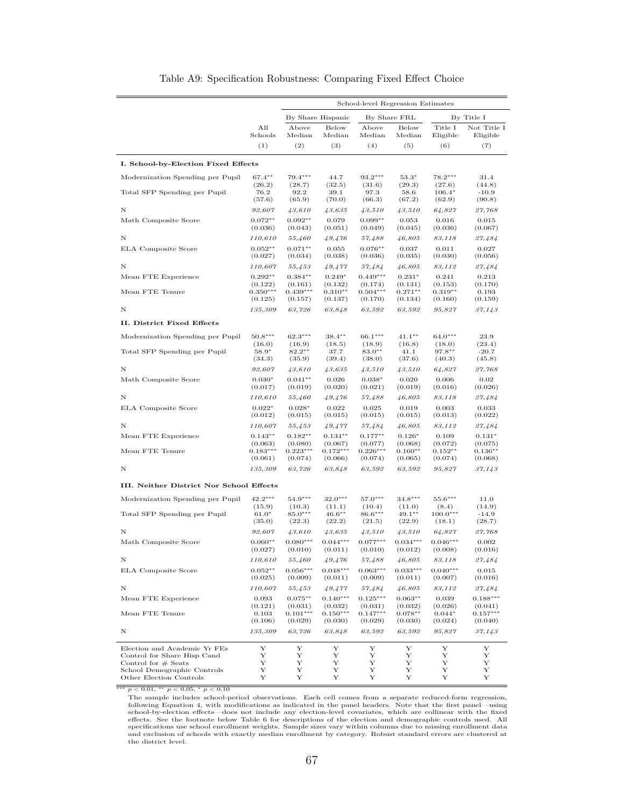<span id="page-66-0"></span>

|                                                      |                       |                       |                       | School-level Regression Estimates |                       |                       |                         |
|------------------------------------------------------|-----------------------|-----------------------|-----------------------|-----------------------------------|-----------------------|-----------------------|-------------------------|
|                                                      |                       |                       | By Share Hispanic     | By Share FRL                      |                       |                       | By Title I              |
|                                                      | All<br>Schools        | Above<br>Median       | Below<br>Median       | Above<br>Median                   | Below<br>Median       | Title I<br>Eligible   | Not Title I<br>Eligible |
|                                                      | (1)                   | (2)                   | (3)                   | (4)                               | (5)                   | (6)                   | (7)                     |
| I. School-by-Election Fixed Effects                  |                       |                       |                       |                                   |                       |                       |                         |
| Modernization Spending per Pupil                     | $67.4***$             | $79.4***$             | 44.7                  | $93.2***$                         | $53.3*$               | $78.2***$             | 31.4                    |
| Total SFP Spending per Pupil                         | (26.2)<br>76.2        | (28.7)<br>92.2        | (32.5)<br>39.1        | (31.6)<br>97.3                    | (29.3)<br>58.6        | (27.6)<br>$106.4*$    | (44.8)<br>$-10.9$       |
|                                                      | (57.6)                | (65.9)                | (70.0)                | (66.3)                            | (67.2)                | (62.9)                | (90.8)                  |
| N                                                    | 92,607                | 43,610                | 43,635                | 43,510                            | 43,510                | 64,827                | 27,768                  |
| Math Composite Score                                 | $0.072**$<br>(0.036)  | $0.092**$<br>(0.043)  | 0.079<br>(0.051)      | $0.099**$<br>(0.049)              | 0.053<br>(0.045)      | 0.016<br>(0.036)      | 0.015<br>(0.067)        |
| N                                                    | 110,610               | 55,460                | 49,476                | 57,488                            | 46,805                | 83,118                | 27,484                  |
| ELA Composite Score                                  | $0.052**$             | $0.071**$             | 0.055                 | $0.076**$                         | 0.037                 | 0.011                 | 0.027                   |
|                                                      | (0.027)               | (0.034)               | (0.038)               | (0.036)                           | (0.035)               | (0.030)               | (0.056)                 |
| N                                                    | 110,607<br>$0.292**$  | 55,453<br>$0.384**$   | 49,477                | 57,484<br>$0.449***$              | 46,805<br>$0.231*$    | 83,112                | 27,484<br>0.213         |
| Mean FTE Experience                                  | (0.122)               | (0.161)               | $0.249*$<br>(0.132)   | (0.174)                           | (0.131)               | 0.241<br>(0.153)      | (0.170)                 |
| Mean FTE Tenure                                      | $0.350***$<br>(0.125) | $0.439***$<br>(0.157) | $0.310**$<br>(0.137)  | $0.504***$<br>(0.170)             | $0.271**$<br>(0.134)  | $0.319**$<br>(0.160)  | 0.193<br>(0.159)        |
| N                                                    | 135,309               | 63,726                | 63,848                | 63,592                            | 63,592                | 95.827                | 37,143                  |
| II. District Fixed Effects                           |                       |                       |                       |                                   |                       |                       |                         |
| Modernization Spending per Pupil                     | $50.8***$             | $62.3***$             | $38.4***$             | $66.1***$                         | $41.1***$             | $64.0***$             | 23.9                    |
|                                                      | (16.0)                | (16.9)                | (18.5)                | (18.9)                            | (16.8)                | (18.0)                | (23.4)                  |
| Total SFP Spending per Pupil                         | $58.9*$<br>(34.3)     | $82.2***$<br>(35.9)   | 37.7<br>(39.4)        | $83.0**$<br>(38.0)                | 41.1<br>(37.6)        | 97.8**<br>(40.3)      | $-20.7$<br>(45.8)       |
| N                                                    | 92,607                | 43,610                | 43,635                | 43,510                            | 43,510                | 64,827                | 27,768                  |
| Math Composite Score                                 | $0.030*$              | $0.041**$             | 0.026                 | $0.038*$                          | 0.020                 | 0.006                 | 0.02                    |
|                                                      | (0.017)               | (0.019)               | (0.020)               | (0.021)                           | (0.019)               | (0.016)               | (0.026)                 |
| N                                                    | 110,610               | 55,460                | 49,476                | 57,488                            | 46,805                | 83,118                | 27,484                  |
| ELA Composite Score                                  | $0.022*$<br>(0.012)   | $0.028*$<br>(0.015)   | 0.022<br>(0.015)      | 0.025<br>(0.015)                  | 0.019<br>(0.015)      | 0.003<br>(0.013)      | 0.033<br>(0.022)        |
| N                                                    | 110,607               | 55,453                | 49,477                | 57,484                            | 46,805                | 83,112                | 27,484                  |
| Mean FTE Experience                                  | $0.143**$             | $0.182**$             | $0.134**$             | $0.177**$                         | $0.126*$              | 0.109                 | $0.131*$                |
| Mean FTE Tenure                                      | (0.063)<br>$0.183***$ | (0.080)<br>$0.223***$ | (0.067)<br>$0.172***$ | (0.077)<br>$0.226***$             | (0.068)<br>$0.160**$  | (0.072)<br>$0.152**$  | (0.075)<br>$0.136***$   |
|                                                      | (0.061)               | (0.074)               | (0.066)               | (0.074)                           | (0.065)               | (0.074)               | (0.068)                 |
| N                                                    | 135,309               | 63,726                | 63,848                | 63,592                            | 63,592                | 95,827                | 37,143                  |
| III. Neither District Nor School Effects             |                       |                       |                       |                                   |                       |                       |                         |
| Modernization Spending per Pupil                     | $42.2***$             | $54.9***$             | $32.0***$             | $57.0***$                         | $34.8***$             | $55.6***$             | 11.0                    |
| Total SFP Spending per Pupil                         | (15.9)<br>$61.0*$     | (10.3)<br>$85.0***$   | (11.1)<br>$46.6***$   | (10.4)<br>$86.6***$               | (11.0)<br>$49.1**$    | (8.4)<br>$100.0***$   | (14.9)<br>$-14.9$       |
|                                                      | (35.0)                | (22.3)                | (22.2)                | (21.5)                            | (22.9)                | (18.1)                | (28.7)                  |
| N                                                    | 92,607                | 43,610                | 43,635                | 43,510                            | 43,510                | 64,827                | 27,768                  |
| Math Composite Score                                 | $0.060**$<br>(0.027)  | $0.080***$<br>(0.010) | $0.044***$<br>(0.011) | $0.077***$<br>(0.010)             | $0.034***$<br>(0.012) | $0.046***$<br>(0.008) | 0.002<br>(0.016)        |
| Ν                                                    | 110,610               | 55,460                | 49,476                | 57,488                            | 46,805                | 83,118                | 27,484                  |
| <b>ELA</b> Composite Score                           | $0.052**$             | $0.056***$            | $0.048***$            | $0.063***$                        | $0.033***$            | $0.040***$            | 0.015                   |
|                                                      | (0.025)               | (0.009)               | (0.011)               | (0.009)                           | (0.011)               | (0.007)               | (0.016)                 |
| N                                                    | 110,607               | 55,453                | 49,477                | 57,484<br>$0.125***$              | 46,805                | 83,112                | 27,484<br>$0.188***$    |
| Mean FTE Experience                                  | 0.093<br>(0.121)      | $0.075***$<br>(0.031) | $0.140***$<br>(0.032) | (0.031)                           | $0.063**$<br>(0.032)  | 0.039<br>(0.026)      | (0.041)                 |
| Mean FTE Tenure                                      | 0.103<br>(0.106)      | $0.101***$<br>(0.029) | $0.150***$<br>(0.030) | $0.147***$<br>(0.029)             | $0.078**$<br>(0.030)  | $0.044*$<br>(0.024)   | $0.157***$<br>(0.040)   |
| Ν                                                    | 135,309               | 63,726                | 63,848                | 63,592                            | 63,592                | 95,827                | 37,143                  |
| Election and Academic Yr FEs                         | Υ                     | Υ                     | Υ                     | Υ                                 | Y                     | Υ                     | Υ                       |
| Control for Share Hisp Cand                          | Υ                     | Υ                     | Υ                     | Υ                                 | Y                     | Υ                     | Υ                       |
| Control for $#$ Seats<br>School Demographic Controls | Υ<br>Υ                | Υ<br>Υ                | Υ<br>Υ                | Υ<br>Υ                            | Υ<br>Y                | Υ<br>Y                | Υ<br>Υ                  |
| Other Election Controls                              | Υ                     | Υ                     | Υ                     | Υ                                 | Υ                     | Υ                     | Υ                       |

Table A9: Specification Robustness: Comparing Fixed Effect Choice

 $\begin{tabular}{c} \hline \textbf{1} & $p<0.01$, $^*$ $p<0.05$, $^*$ $p<0.10$ \\ \hline \end{tabular} \begin{tabular}{c} \hline \textbf{2} & \textbf{3} & \textbf{4} \\ \hline \textbf{3} & \textbf{5} & \textbf{6} \\ \textbf{4} & \textbf{6} & \textbf{7} \\ \textbf{5} & \textbf{7} \\ \textbf{6} & \textbf{8} \\ \textbf{7} & \textbf{8} \\ \textbf{8} & \textbf{9} \\ \textbf{9} & \textbf{10} \\ \textbf{10} & \textbf{$ booking Equation +, with incountations as interacted in the pair freeders. Two that the fixed<br>effects. See the footnote below Table [6](#page-42-0) for descriptions of the election and demographic controls used. All<br>effects. See the foo the district level.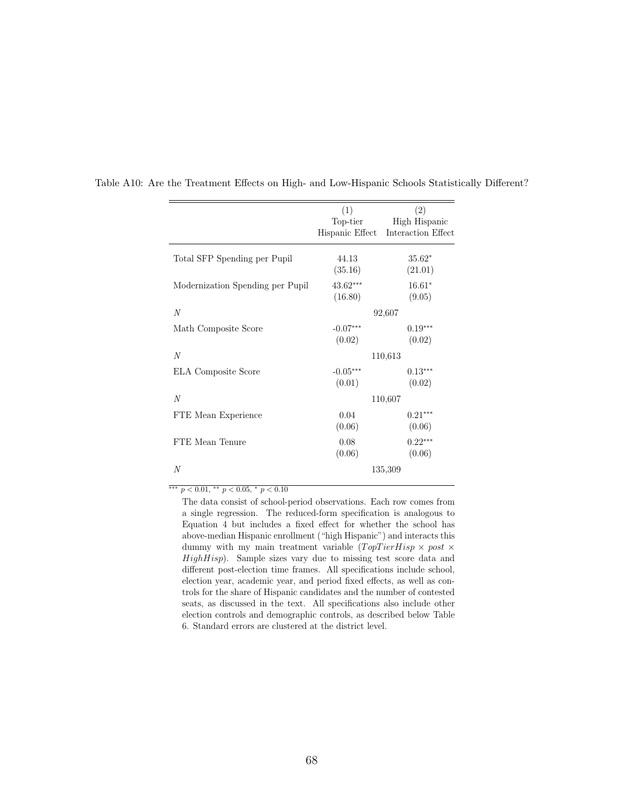|                                  | (1)<br>Top-tier<br>Hispanic Effect | (2)<br>High Hispanic<br>Interaction Effect |
|----------------------------------|------------------------------------|--------------------------------------------|
| Total SFP Spending per Pupil     | 44.13<br>(35.16)                   | $35.62*$<br>(21.01)                        |
| Modernization Spending per Pupil | $43.62***$<br>(16.80)              | $16.61*$<br>(9.05)                         |
| N                                |                                    | 92,607                                     |
| Math Composite Score             | $-0.07***$<br>(0.02)               | $0.19***$<br>(0.02)                        |
| N                                |                                    | 110,613                                    |
| ELA Composite Score              | $-0.05***$<br>(0.01)               | $0.13***$<br>(0.02)                        |
| N                                |                                    | 110,607                                    |
| FTE Mean Experience              | 0.04<br>(0.06)                     | $0.21***$<br>(0.06)                        |
| FTE Mean Tenure                  | 0.08<br>(0.06)                     | $0.22***$<br>(0.06)                        |
| N                                |                                    | 135,309                                    |

<span id="page-67-0"></span>Table A10: Are the Treatment Effects on High- and Low-Hispanic Schools Statistically Different?

 $\overline{^{***}}$   $p<0.01,$   $\overline{^{**}}$   $p<0.05,$   $\overline{^{*}}$   $p<0.10$ 

The data consist of school-period observations. Each row comes from a single regression. The reduced-form specification is analogous to Equation [4](#page-21-0) but includes a fixed effect for whether the school has above-median Hispanic enrollment ("high Hispanic") and interacts this dummy with my main treatment variable  $(TopTierHisp \times post \times$  $HighHisp$ ). Sample sizes vary due to missing test score data and different post-election time frames. All specifications include school, election year, academic year, and period fixed effects, as well as controls for the share of Hispanic candidates and the number of contested seats, as discussed in the text. All specifications also include other election controls and demographic controls, as described below Table [6.](#page-42-0) Standard errors are clustered at the district level.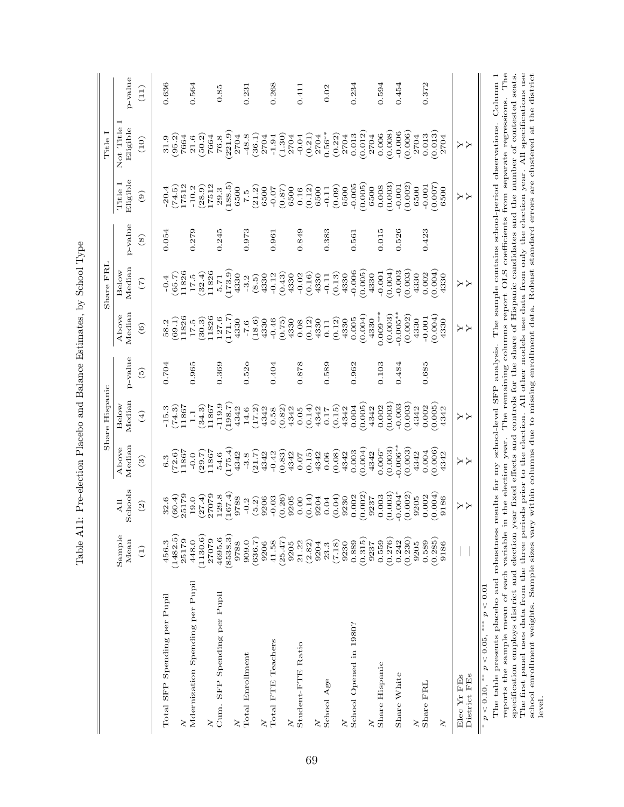| ı<br>į                                       |
|----------------------------------------------|
| Į<br>֕                                       |
| I<br>CCCCCCCCCC<br>ì                         |
| b                                            |
| ļ<br>$\overline{a}$<br>I                     |
| $\sim$ $\sim$ $\sim$ $\sim$ $\sim$<br>l      |
| $\frac{1}{2}$                                |
| $\frac{1}{2}$<br>i                           |
| .<br>י<br>ì<br>י<br>י<br>ı<br>$\frac{1}{1}$  |
| ֕<br>ĺ                                       |
| l<br>ׇ֚֘֡<br>ׇ֚֘֝֬<br>l                      |
| $\overline{a}$<br>ï<br>.<br> <br> <br>!<br>֕ |

<span id="page-68-0"></span>

|                                                          |                                     |                                 |                                   | Share Hispanic                        |                   |                                        | Share FRL                       |                |                                      | Title I                                                  |                |
|----------------------------------------------------------|-------------------------------------|---------------------------------|-----------------------------------|---------------------------------------|-------------------|----------------------------------------|---------------------------------|----------------|--------------------------------------|----------------------------------------------------------|----------------|
|                                                          | Sample<br>Mean                      | Schools<br>$\overline{A}$ ll    | Median<br>Above                   | Median<br>Below                       | p-value           | Median<br>Above                        | Median<br>Below                 | p-value        | Eligible<br>Title I                  | Not Title<br>Eligible                                    | p-value        |
|                                                          | $\left(1\right)$                    | (2)                             | $\mathbf{G}$                      | $(\pm)$                               | $\widetilde{5}$   | $\widehat{\mathbf{e}}$                 | $\widetilde{(\mathcal{L})}$     | $\circledast$  | $\odot$                              | (10)                                                     | (11)           |
| Total SFP Spending per Pupil                             | (1482.5)<br>456.3                   | (60.4)<br>32.6                  | (72.6)<br>6.3                     | (74.3)<br>$-15.3$                     | 0.704             | (69.1)<br>58.2                         | (65.7)<br>$-0.4$                | 0.054          | (74.5)<br>20.4                       | (95.2)<br>31.9                                           | 0.636          |
| Mdernization Spending per Pupil<br>ζ                     | 1130.6<br>25179<br>448.0            | 25179<br>(27.4)<br>19.0         | 11867<br>(29.7)<br>$-0.0$         | (34.3)<br>11867<br>1.1                | 0.965             | 11826<br>(30.3)<br>$17.5\,$            | 11826<br>(32.4)<br>$17.5\,$     | 0.279          | 17512<br>(28.9)<br>$-10.2$           | (50.2)<br>7664<br>21.6                                   | 0.564          |
| SFP Spending per Pupil<br>$_{\rm Cum.}$<br>ζ<br>ζ        | (8538.3)<br>4695.6<br>27079<br>9788 | 167.4<br>27079<br>129.8<br>9788 | 175.4<br>11867<br>4342<br>54.6    | $-119.9$<br>(7.88.1)<br>11867<br>4342 | 0.369             | 11826<br>(171.7)<br>127.6<br>4330      | 173.9<br>11826<br>4330<br>5.71  | 0.245          | 188.5<br>17512<br>6500<br>29.3       | 221.9<br>2704<br>7664<br>$76.8\,$                        | 0.85           |
| Total Enrollment<br>$\geq$                               | (636.7)<br>909.0<br>9206            | 9206<br>(5.2)<br>$-0.2$         | (21.7)<br>4342<br>$-3.8$          | (17.2)<br>4342<br>14.6                | 0.52 <sub>o</sub> | (18.6)<br>4330<br>$-7.6$               | 4330<br>(8.5)<br>$-3.2$         | 0.973          | (21.2)<br>6500<br>7.5                | $-48.8$<br>(36.1)<br>2704                                | 0.231          |
| Total FTE Teachers<br>$\geq$                             | (25.47)<br>41.58<br>9205            | (0.26)<br>$-0.03$<br>9205       | (0.83)<br>$-0.42$<br>4342         | (0.82)<br>4342<br>0.58                | 0.404             | (0.75)<br>$-0.46$<br>4330              | (0.43)<br>$-0.12$<br>4330       | 0.961          | (0.87)<br>$-0.07$<br>6500            | $\begin{array}{c} (1.30) \\ 2704 \end{array}$<br>$-1.94$ | 0.268          |
| Student-FTE Ratio<br>ζ                                   | 21.22<br>(2.82)<br>9204             | (0.14)<br>9204<br>0.00          | (0.15)<br>4342<br>0.07            | (0.14)<br>4342<br>0.05                | 0.878             | (0.12)<br>4330<br>0.08                 | (0.16)<br>$-0.02$<br>4330       | 0.849          | (0.12)<br>6500<br>0.16               | (0.21)<br>$-0.04$<br>2704                                | 0.411          |
| School Age<br>$\geq$                                     | (7.18)<br>9230<br>23.3              | (0.04)<br>9230<br>0.04          | (0.08)<br>4342<br>0.06            | (0.15)<br>4342<br>0.17                | 0.589             | (0.12)<br>4330<br>0.11                 | (0.13)<br>4330<br>$-0.11$       | 0.383          | (0.09)<br>6500<br>$-0.11$            | $0.56***$<br>(0.22)<br>2704                              | 0.02           |
| School Opened in 1980?<br>ζ                              | (0.315)<br>0.889<br>9237            | 0.002<br>0.002<br>9237          | (0.004)<br>0.003<br>4342          | (0.005)<br>0.004<br>4342              | 0.962             | (0.004)<br>0.005<br>4330               | $-0.006$<br>(0.005)<br>4330     | 0.561          | (0.005)<br>$-0.005$<br>6500          | (0.012)<br>0.013<br>2704                                 | 0.234          |
| Share Hispanic<br>Share White                            | (0.276)<br>0.559<br>0.242           | $0.004*$<br>(0.003)<br>0.003    | $0.006**$<br>(0.003)<br>$0.006*$  | (0.003)<br>$-0.003$<br>0.002          | 0.103<br>0.484    | $0.005***$<br>$-0.005***$<br>(0.003)   | $-0.003$<br>(0.004)<br>$-0.001$ | 0.526<br>0.015 | (0.003)<br>$-0.001$<br>0.008         | (0.008)<br>$-0.006$<br>0.006                             | 0.454<br>0.594 |
| Share FRL<br>ζ                                           | (0.230)<br>(0.285)<br>0.589<br>9205 | 0.002<br>0.004<br>0.002<br>9205 | (0.003)<br>0.006<br>0.004<br>4342 | 0.003<br>0.005<br>0.002<br>4342       | 0.685             | (0.002)<br>(0.004)<br>$-0.001$<br>4330 | 0.004<br>0.003<br>0.002<br>4330 | 0.423          | (0.002)<br>0.007<br>$-0.001$<br>6500 | (0.006)<br>0.013<br>0.013<br>2704                        | 0.372          |
| $\geq$                                                   | 9186                                | 9186                            | 4342                              | 4342                                  |                   | 4330                                   | 4330                            |                | 6500                                 | 2704                                                     |                |
| District FEs<br>Elec Yr FEs                              |                                     | とと                              | メス                                | X<br>X                                |                   | とと                                     | とと                              |                | λ<br>Σ                               | とと                                                       |                |
| p < 0.01<br>$* * * *$<br>** $p < 0.05$ ,<br>$p < 0.10$ , |                                     |                                 |                                   |                                       |                   |                                        |                                 |                |                                      |                                                          |                |

The table presents placebo and robustness results for my school-level SFP analysis. The sample contains school-period observations. Column 1 reports the sample mean of each variable in the election year. The remaining columns report OLS coefficients from separate regressions. The specification employs district and election year fixed effects and controls for the share of Hispanic candidates and the number of contested seats. The first panel uses data from the three periods prior to the election. All other models use data from only the election year. All specifications use school enrollment weights. Sample sizes vary within columns due to missing enrollment data. Robust standard errors are clustered at the district reports the sample mean of each variable in the election year. The remaining columns report OLS coefficients from separate regressions. Column 1 specification employs district and election year. The remaining columns repor